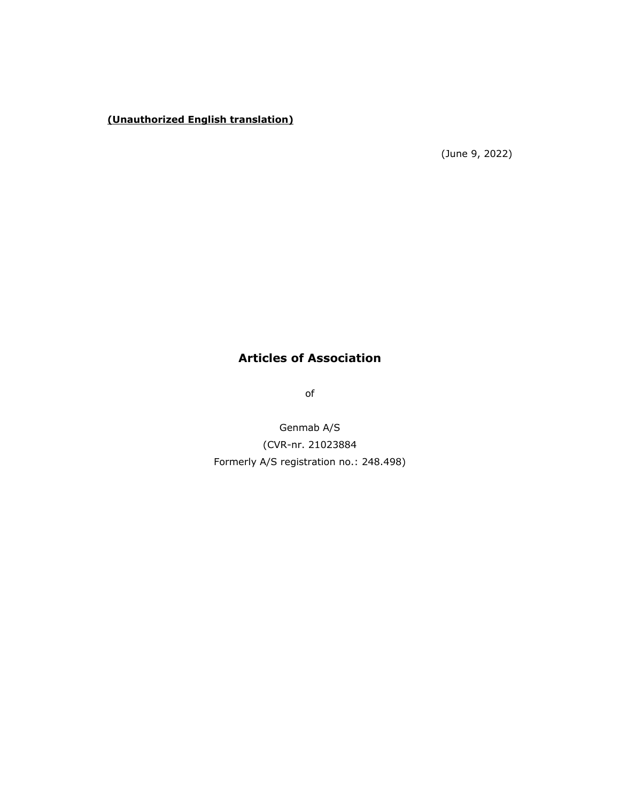# **(Unauthorized English translation)**

(June 9, 2022)

# **Articles of Association**

of

Genmab A/S (CVR-nr. 21023884 Formerly A/S registration no.: 248.498)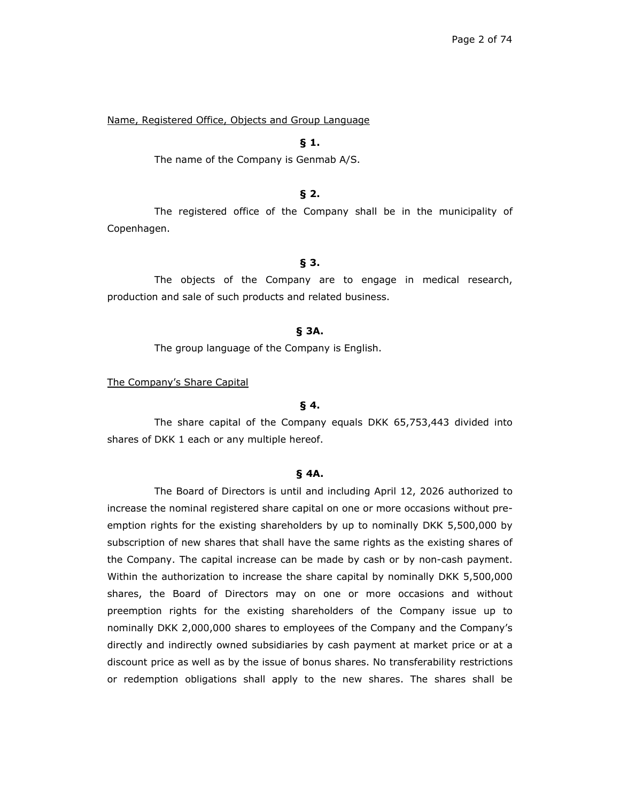Name, Registered Office, Objects and Group Language

## **§ 1.**

The name of the Company is Genmab A/S.

#### **§ 2.**

The registered office of the Company shall be in the municipality of Copenhagen.

### **§ 3.**

The objects of the Company are to engage in medical research, production and sale of such products and related business.

#### **§ 3A.**

The group language of the Company is English.

The Company's Share Capital

## **§ 4.**

The share capital of the Company equals DKK 65,753,443 divided into shares of DKK 1 each or any multiple hereof.

# **§ 4A.**

The Board of Directors is until and including April 12, 2026 authorized to increase the nominal registered share capital on one or more occasions without preemption rights for the existing shareholders by up to nominally DKK 5,500,000 by subscription of new shares that shall have the same rights as the existing shares of the Company. The capital increase can be made by cash or by non-cash payment. Within the authorization to increase the share capital by nominally DKK 5,500,000 shares, the Board of Directors may on one or more occasions and without preemption rights for the existing shareholders of the Company issue up to nominally DKK 2,000,000 shares to employees of the Company and the Company's directly and indirectly owned subsidiaries by cash payment at market price or at a discount price as well as by the issue of bonus shares. No transferability restrictions or redemption obligations shall apply to the new shares. The shares shall be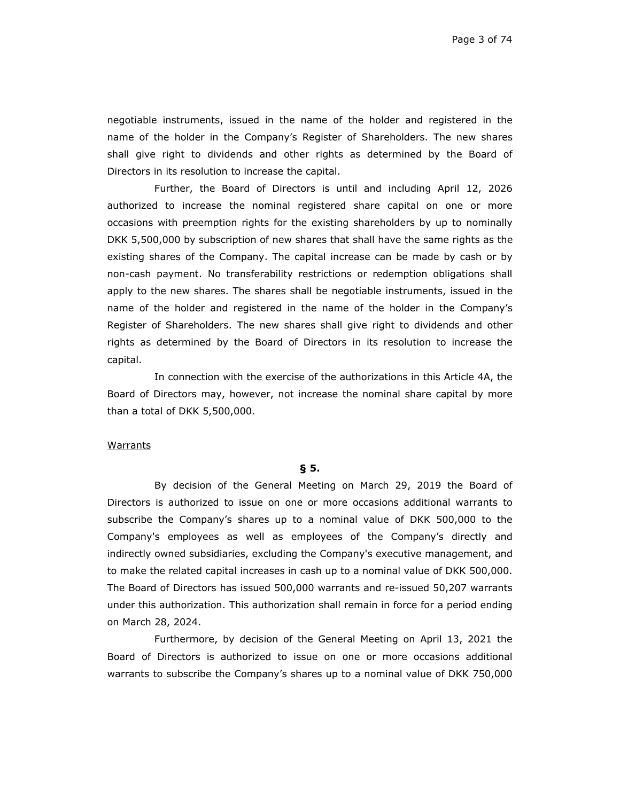negotiable instruments, issued in the name of the holder and registered in the name of the holder in the Company's Register of Shareholders. The new shares shall give right to dividends and other rights as determined by the Board of Directors in its resolution to increase the capital.

Further, the Board of Directors is until and including April 12, 2026 authorized to increase the nominal registered share capital on one or more occasions with preemption rights for the existing shareholders by up to nominally DKK 5,500,000 by subscription of new shares that shall have the same rights as the existing shares of the Company. The capital increase can be made by cash or by non-cash payment. No transferability restrictions or redemption obligations shall apply to the new shares. The shares shall be negotiable instruments, issued in the name of the holder and registered in the name of the holder in the Company's Register of Shareholders. The new shares shall give right to dividends and other rights as determined by the Board of Directors in its resolution to increase the capital.

In connection with the exercise of the authorizations in this Article 4A, the Board of Directors may, however, not increase the nominal share capital by more than a total of DKK 5,500,000.

#### **Warrants**

## **§ 5.**

By decision of the General Meeting on March 29, 2019 the Board of Directors is authorized to issue on one or more occasions additional warrants to subscribe the Company's shares up to a nominal value of DKK 500,000 to the Company's employees as well as employees of the Company's directly and indirectly owned subsidiaries, excluding the Company's executive management, and to make the related capital increases in cash up to a nominal value of DKK 500,000. The Board of Directors has issued 500,000 warrants and re-issued 50,207 warrants under this authorization. This authorization shall remain in force for a period ending on March 28, 2024.

Furthermore, by decision of the General Meeting on April 13, 2021 the Board of Directors is authorized to issue on one or more occasions additional warrants to subscribe the Company's shares up to a nominal value of DKK 750,000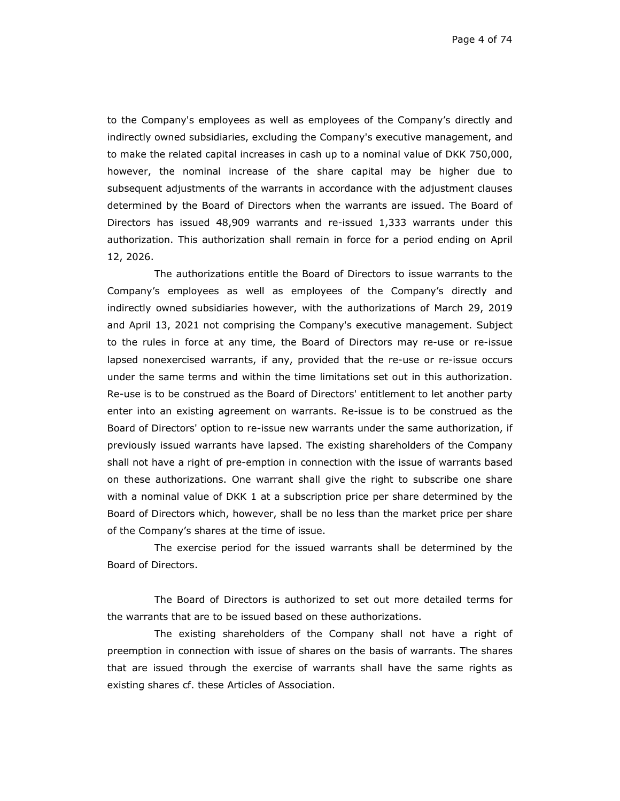Page 4 of 74

to the Company's employees as well as employees of the Company's directly and indirectly owned subsidiaries, excluding the Company's executive management, and to make the related capital increases in cash up to a nominal value of DKK 750,000, however, the nominal increase of the share capital may be higher due to subsequent adjustments of the warrants in accordance with the adjustment clauses determined by the Board of Directors when the warrants are issued. The Board of Directors has issued 48,909 warrants and re-issued 1,333 warrants under this authorization. This authorization shall remain in force for a period ending on April 12, 2026.

The authorizations entitle the Board of Directors to issue warrants to the Company's employees as well as employees of the Company's directly and indirectly owned subsidiaries however, with the authorizations of March 29, 2019 and April 13, 2021 not comprising the Company's executive management. Subject to the rules in force at any time, the Board of Directors may re-use or re-issue lapsed nonexercised warrants, if any, provided that the re-use or re-issue occurs under the same terms and within the time limitations set out in this authorization. Re-use is to be construed as the Board of Directors' entitlement to let another party enter into an existing agreement on warrants. Re-issue is to be construed as the Board of Directors' option to re-issue new warrants under the same authorization, if previously issued warrants have lapsed. The existing shareholders of the Company shall not have a right of pre-emption in connection with the issue of warrants based on these authorizations. One warrant shall give the right to subscribe one share with a nominal value of DKK 1 at a subscription price per share determined by the Board of Directors which, however, shall be no less than the market price per share of the Company's shares at the time of issue.

The exercise period for the issued warrants shall be determined by the Board of Directors.

The Board of Directors is authorized to set out more detailed terms for the warrants that are to be issued based on these authorizations.

The existing shareholders of the Company shall not have a right of preemption in connection with issue of shares on the basis of warrants. The shares that are issued through the exercise of warrants shall have the same rights as existing shares cf. these Articles of Association.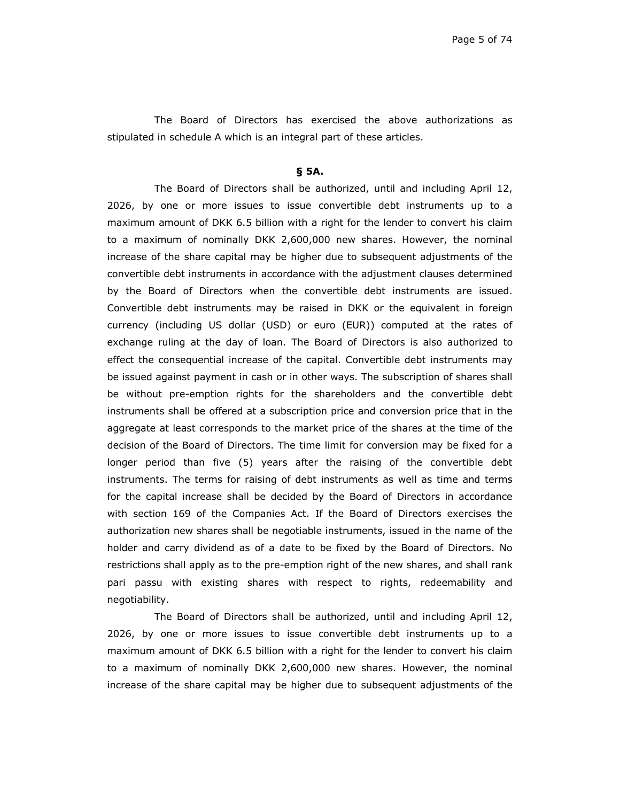The Board of Directors has exercised the above authorizations as stipulated in schedule A which is an integral part of these articles.

#### **§ 5A.**

The Board of Directors shall be authorized, until and including April 12, 2026, by one or more issues to issue convertible debt instruments up to a maximum amount of DKK 6.5 billion with a right for the lender to convert his claim to a maximum of nominally DKK 2,600,000 new shares. However, the nominal increase of the share capital may be higher due to subsequent adjustments of the convertible debt instruments in accordance with the adjustment clauses determined by the Board of Directors when the convertible debt instruments are issued. Convertible debt instruments may be raised in DKK or the equivalent in foreign currency (including US dollar (USD) or euro (EUR)) computed at the rates of exchange ruling at the day of loan. The Board of Directors is also authorized to effect the consequential increase of the capital. Convertible debt instruments may be issued against payment in cash or in other ways. The subscription of shares shall be without pre-emption rights for the shareholders and the convertible debt instruments shall be offered at a subscription price and conversion price that in the aggregate at least corresponds to the market price of the shares at the time of the decision of the Board of Directors. The time limit for conversion may be fixed for a longer period than five (5) years after the raising of the convertible debt instruments. The terms for raising of debt instruments as well as time and terms for the capital increase shall be decided by the Board of Directors in accordance with section 169 of the Companies Act. If the Board of Directors exercises the authorization new shares shall be negotiable instruments, issued in the name of the holder and carry dividend as of a date to be fixed by the Board of Directors. No restrictions shall apply as to the pre-emption right of the new shares, and shall rank pari passu with existing shares with respect to rights, redeemability and negotiability.

The Board of Directors shall be authorized, until and including April 12, 2026, by one or more issues to issue convertible debt instruments up to a maximum amount of DKK 6.5 billion with a right for the lender to convert his claim to a maximum of nominally DKK 2,600,000 new shares. However, the nominal increase of the share capital may be higher due to subsequent adjustments of the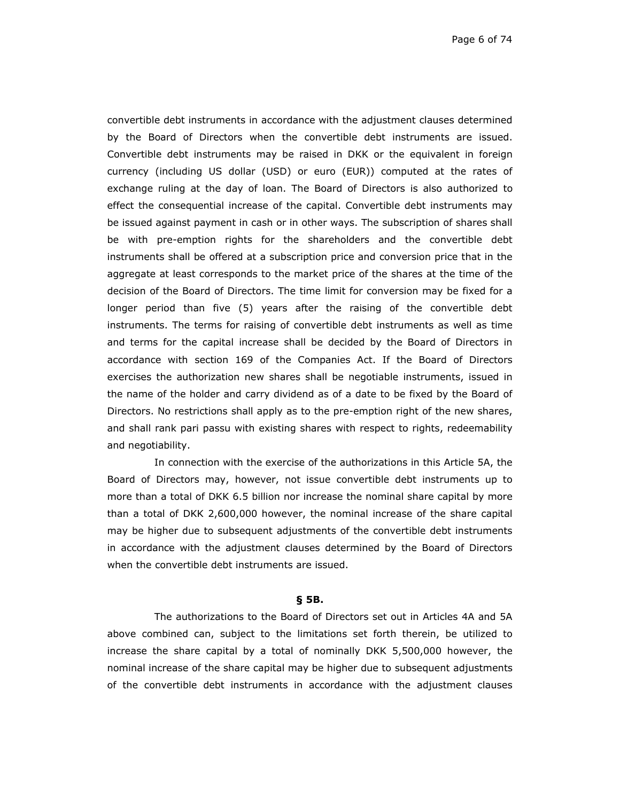convertible debt instruments in accordance with the adjustment clauses determined by the Board of Directors when the convertible debt instruments are issued. Convertible debt instruments may be raised in DKK or the equivalent in foreign currency (including US dollar (USD) or euro (EUR)) computed at the rates of exchange ruling at the day of loan. The Board of Directors is also authorized to effect the consequential increase of the capital. Convertible debt instruments may be issued against payment in cash or in other ways. The subscription of shares shall be with pre-emption rights for the shareholders and the convertible debt instruments shall be offered at a subscription price and conversion price that in the aggregate at least corresponds to the market price of the shares at the time of the decision of the Board of Directors. The time limit for conversion may be fixed for a longer period than five (5) years after the raising of the convertible debt instruments. The terms for raising of convertible debt instruments as well as time and terms for the capital increase shall be decided by the Board of Directors in accordance with section 169 of the Companies Act. If the Board of Directors exercises the authorization new shares shall be negotiable instruments, issued in the name of the holder and carry dividend as of a date to be fixed by the Board of Directors. No restrictions shall apply as to the pre-emption right of the new shares, and shall rank pari passu with existing shares with respect to rights, redeemability and negotiability.

In connection with the exercise of the authorizations in this Article 5A, the Board of Directors may, however, not issue convertible debt instruments up to more than a total of DKK 6.5 billion nor increase the nominal share capital by more than a total of DKK 2,600,000 however, the nominal increase of the share capital may be higher due to subsequent adjustments of the convertible debt instruments in accordance with the adjustment clauses determined by the Board of Directors when the convertible debt instruments are issued.

#### **§ 5B.**

The authorizations to the Board of Directors set out in Articles 4A and 5A above combined can, subject to the limitations set forth therein, be utilized to increase the share capital by a total of nominally DKK 5,500,000 however, the nominal increase of the share capital may be higher due to subsequent adjustments of the convertible debt instruments in accordance with the adjustment clauses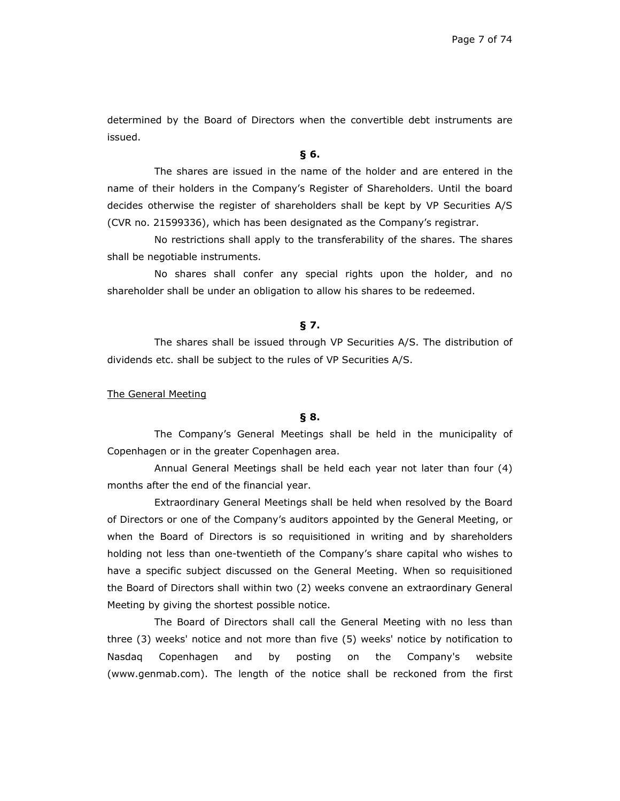determined by the Board of Directors when the convertible debt instruments are issued.

#### **§ 6.**

The shares are issued in the name of the holder and are entered in the name of their holders in the Company's Register of Shareholders. Until the board decides otherwise the register of shareholders shall be kept by VP Securities A/S (CVR no. 21599336), which has been designated as the Company's registrar.

No restrictions shall apply to the transferability of the shares. The shares shall be negotiable instruments.

No shares shall confer any special rights upon the holder, and no shareholder shall be under an obligation to allow his shares to be redeemed.

#### **§ 7.**

The shares shall be issued through VP Securities A/S. The distribution of dividends etc. shall be subject to the rules of VP Securities A/S.

#### The General Meeting

## **§ 8.**

The Company's General Meetings shall be held in the municipality of Copenhagen or in the greater Copenhagen area.

Annual General Meetings shall be held each year not later than four (4) months after the end of the financial year.

Extraordinary General Meetings shall be held when resolved by the Board of Directors or one of the Company's auditors appointed by the General Meeting, or when the Board of Directors is so requisitioned in writing and by shareholders holding not less than one-twentieth of the Company's share capital who wishes to have a specific subject discussed on the General Meeting. When so requisitioned the Board of Directors shall within two (2) weeks convene an extraordinary General Meeting by giving the shortest possible notice.

The Board of Directors shall call the General Meeting with no less than three (3) weeks' notice and not more than five (5) weeks' notice by notification to Nasdaq Copenhagen and by posting on the Company's website (www.genmab.com). The length of the notice shall be reckoned from the first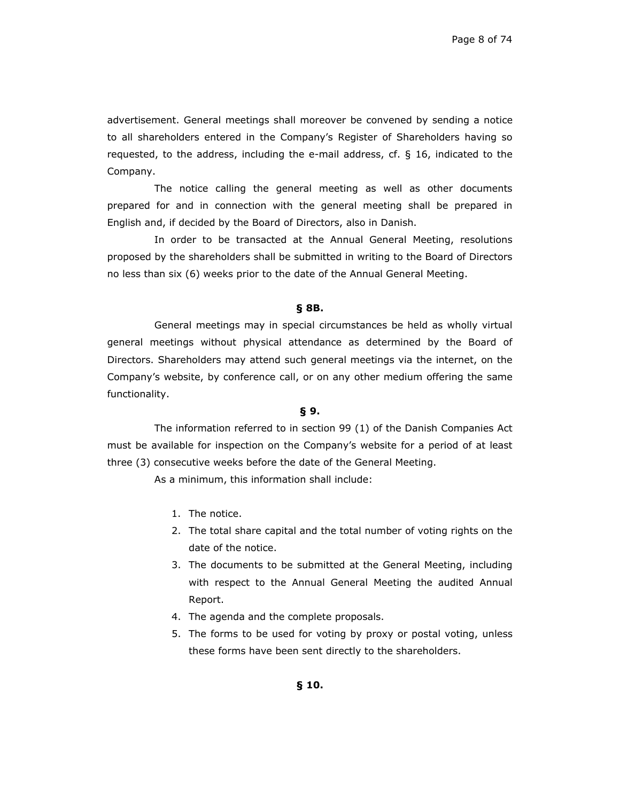advertisement. General meetings shall moreover be convened by sending a notice to all shareholders entered in the Company's Register of Shareholders having so requested, to the address, including the e-mail address, cf. § 16, indicated to the Company.

The notice calling the general meeting as well as other documents prepared for and in connection with the general meeting shall be prepared in English and, if decided by the Board of Directors, also in Danish.

In order to be transacted at the Annual General Meeting, resolutions proposed by the shareholders shall be submitted in writing to the Board of Directors no less than six (6) weeks prior to the date of the Annual General Meeting.

## **§ 8B.**

General meetings may in special circumstances be held as wholly virtual general meetings without physical attendance as determined by the Board of Directors. Shareholders may attend such general meetings via the internet, on the Company's website, by conference call, or on any other medium offering the same functionality.

## **§ 9.**

The information referred to in section 99 (1) of the Danish Companies Act must be available for inspection on the Company's website for a period of at least three (3) consecutive weeks before the date of the General Meeting.

As a minimum, this information shall include:

- 1. The notice.
- 2. The total share capital and the total number of voting rights on the date of the notice.
- 3. The documents to be submitted at the General Meeting, including with respect to the Annual General Meeting the audited Annual Report.
- 4. The agenda and the complete proposals.
- 5. The forms to be used for voting by proxy or postal voting, unless these forms have been sent directly to the shareholders.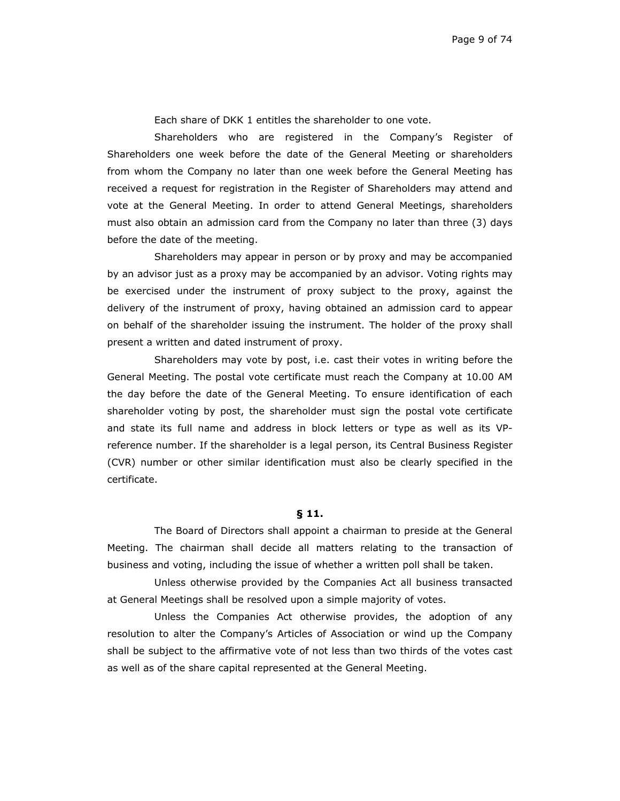Each share of DKK 1 entitles the shareholder to one vote.

Shareholders who are registered in the Company's Register of Shareholders one week before the date of the General Meeting or shareholders from whom the Company no later than one week before the General Meeting has received a request for registration in the Register of Shareholders may attend and vote at the General Meeting. In order to attend General Meetings, shareholders must also obtain an admission card from the Company no later than three (3) days before the date of the meeting.

Shareholders may appear in person or by proxy and may be accompanied by an advisor just as a proxy may be accompanied by an advisor. Voting rights may be exercised under the instrument of proxy subject to the proxy, against the delivery of the instrument of proxy, having obtained an admission card to appear on behalf of the shareholder issuing the instrument. The holder of the proxy shall present a written and dated instrument of proxy.

Shareholders may vote by post, i.e. cast their votes in writing before the General Meeting. The postal vote certificate must reach the Company at 10.00 AM the day before the date of the General Meeting. To ensure identification of each shareholder voting by post, the shareholder must sign the postal vote certificate and state its full name and address in block letters or type as well as its VPreference number. If the shareholder is a legal person, its Central Business Register (CVR) number or other similar identification must also be clearly specified in the certificate.

## **§ 11.**

The Board of Directors shall appoint a chairman to preside at the General Meeting. The chairman shall decide all matters relating to the transaction of business and voting, including the issue of whether a written poll shall be taken.

Unless otherwise provided by the Companies Act all business transacted at General Meetings shall be resolved upon a simple majority of votes.

Unless the Companies Act otherwise provides, the adoption of any resolution to alter the Company's Articles of Association or wind up the Company shall be subject to the affirmative vote of not less than two thirds of the votes cast as well as of the share capital represented at the General Meeting.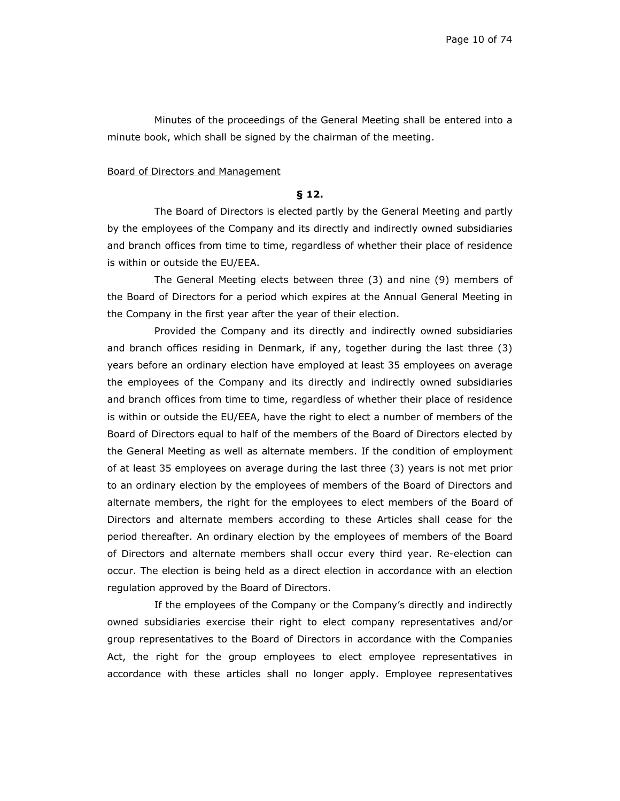Minutes of the proceedings of the General Meeting shall be entered into a minute book, which shall be signed by the chairman of the meeting.

#### Board of Directors and Management

## **§ 12.**

The Board of Directors is elected partly by the General Meeting and partly by the employees of the Company and its directly and indirectly owned subsidiaries and branch offices from time to time, regardless of whether their place of residence is within or outside the EU/EEA.

The General Meeting elects between three (3) and nine (9) members of the Board of Directors for a period which expires at the Annual General Meeting in the Company in the first year after the year of their election.

Provided the Company and its directly and indirectly owned subsidiaries and branch offices residing in Denmark, if any, together during the last three (3) years before an ordinary election have employed at least 35 employees on average the employees of the Company and its directly and indirectly owned subsidiaries and branch offices from time to time, regardless of whether their place of residence is within or outside the EU/EEA, have the right to elect a number of members of the Board of Directors equal to half of the members of the Board of Directors elected by the General Meeting as well as alternate members. If the condition of employment of at least 35 employees on average during the last three (3) years is not met prior to an ordinary election by the employees of members of the Board of Directors and alternate members, the right for the employees to elect members of the Board of Directors and alternate members according to these Articles shall cease for the period thereafter. An ordinary election by the employees of members of the Board of Directors and alternate members shall occur every third year. Re-election can occur. The election is being held as a direct election in accordance with an election regulation approved by the Board of Directors.

If the employees of the Company or the Company's directly and indirectly owned subsidiaries exercise their right to elect company representatives and/or group representatives to the Board of Directors in accordance with the Companies Act, the right for the group employees to elect employee representatives in accordance with these articles shall no longer apply. Employee representatives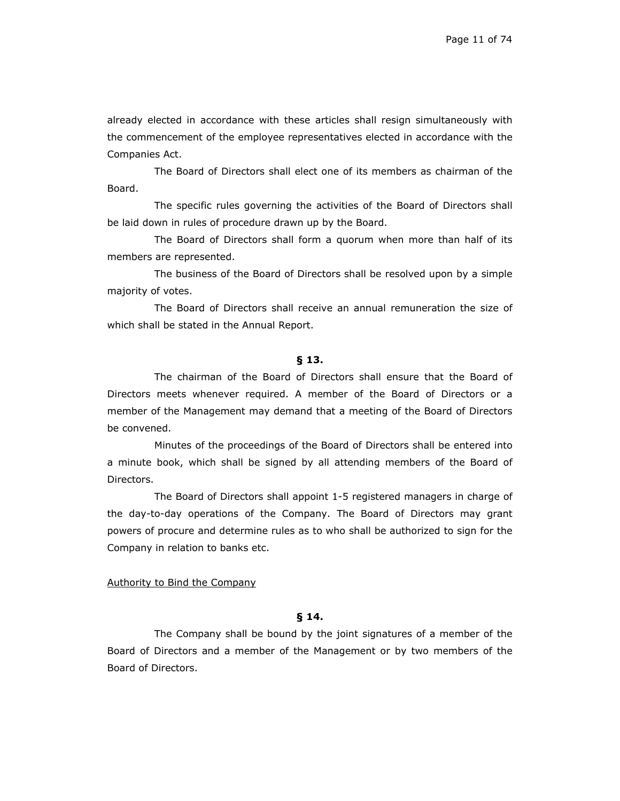already elected in accordance with these articles shall resign simultaneously with the commencement of the employee representatives elected in accordance with the Companies Act.

The Board of Directors shall elect one of its members as chairman of the Board.

The specific rules governing the activities of the Board of Directors shall be laid down in rules of procedure drawn up by the Board.

The Board of Directors shall form a quorum when more than half of its members are represented.

The business of the Board of Directors shall be resolved upon by a simple majority of votes.

The Board of Directors shall receive an annual remuneration the size of which shall be stated in the Annual Report.

#### **§ 13.**

The chairman of the Board of Directors shall ensure that the Board of Directors meets whenever required. A member of the Board of Directors or a member of the Management may demand that a meeting of the Board of Directors be convened.

Minutes of the proceedings of the Board of Directors shall be entered into a minute book, which shall be signed by all attending members of the Board of Directors.

The Board of Directors shall appoint 1-5 registered managers in charge of the day-to-day operations of the Company. The Board of Directors may grant powers of procure and determine rules as to who shall be authorized to sign for the Company in relation to banks etc.

#### Authority to Bind the Company

## **§ 14.**

The Company shall be bound by the joint signatures of a member of the Board of Directors and a member of the Management or by two members of the Board of Directors.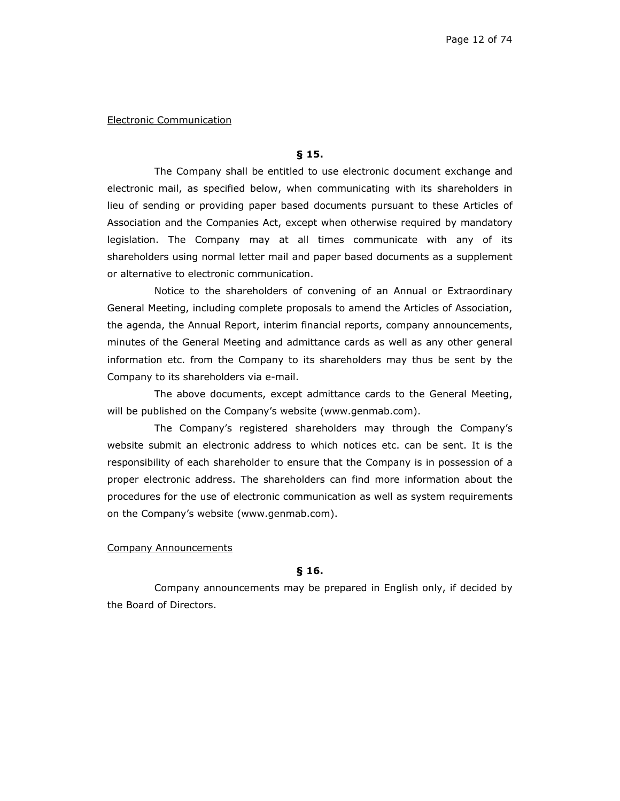#### Electronic Communication

#### **§ 15.**

The Company shall be entitled to use electronic document exchange and electronic mail, as specified below, when communicating with its shareholders in lieu of sending or providing paper based documents pursuant to these Articles of Association and the Companies Act, except when otherwise required by mandatory legislation. The Company may at all times communicate with any of its shareholders using normal letter mail and paper based documents as a supplement or alternative to electronic communication.

Notice to the shareholders of convening of an Annual or Extraordinary General Meeting, including complete proposals to amend the Articles of Association, the agenda, the Annual Report, interim financial reports, company announcements, minutes of the General Meeting and admittance cards as well as any other general information etc. from the Company to its shareholders may thus be sent by the Company to its shareholders via e-mail.

The above documents, except admittance cards to the General Meeting, will be published on the Company's website (www.genmab.com).

The Company's registered shareholders may through the Company's website submit an electronic address to which notices etc. can be sent. It is the responsibility of each shareholder to ensure that the Company is in possession of a proper electronic address. The shareholders can find more information about the procedures for the use of electronic communication as well as system requirements on the Company's website (www.genmab.com).

#### Company Announcements

#### **§ 16.**

Company announcements may be prepared in English only, if decided by the Board of Directors.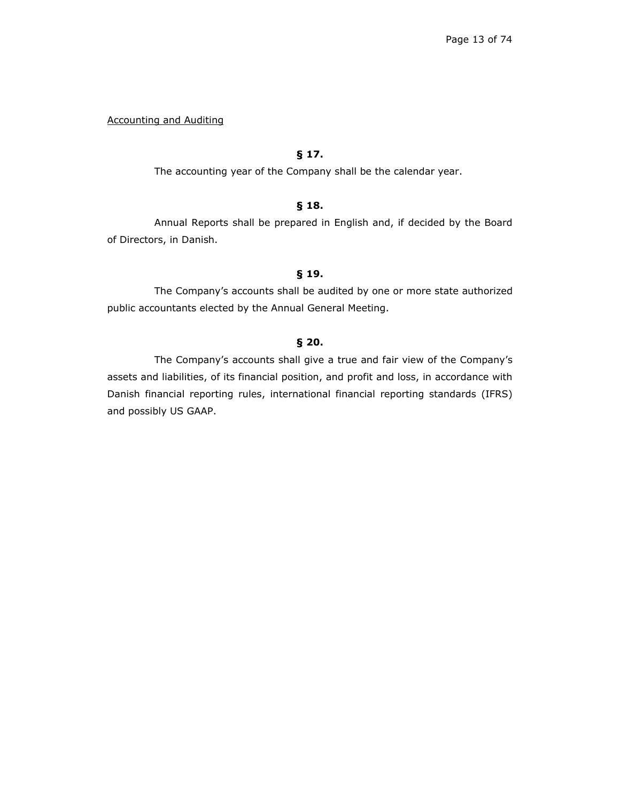Accounting and Auditing

# **§ 17.**

The accounting year of the Company shall be the calendar year.

## **§ 18.**

Annual Reports shall be prepared in English and, if decided by the Board of Directors, in Danish.

## **§ 19.**

The Company's accounts shall be audited by one or more state authorized public accountants elected by the Annual General Meeting.

## **§ 20.**

The Company's accounts shall give a true and fair view of the Company's assets and liabilities, of its financial position, and profit and loss, in accordance with Danish financial reporting rules, international financial reporting standards (IFRS) and possibly US GAAP.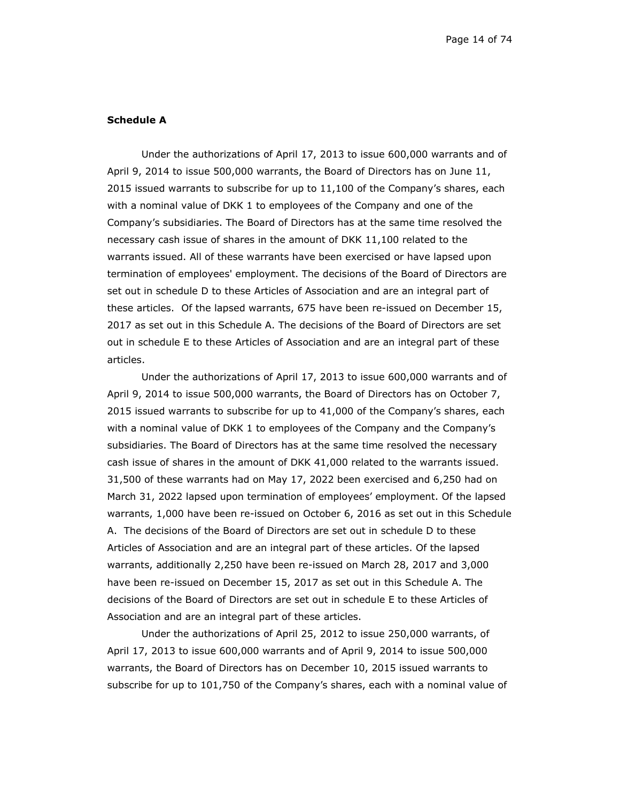### **Schedule A**

Under the authorizations of April 17, 2013 to issue 600,000 warrants and of April 9, 2014 to issue 500,000 warrants, the Board of Directors has on June 11, 2015 issued warrants to subscribe for up to 11,100 of the Company's shares, each with a nominal value of DKK 1 to employees of the Company and one of the Company's subsidiaries. The Board of Directors has at the same time resolved the necessary cash issue of shares in the amount of DKK 11,100 related to the warrants issued. All of these warrants have been exercised or have lapsed upon termination of employees' employment. The decisions of the Board of Directors are set out in schedule D to these Articles of Association and are an integral part of these articles. Of the lapsed warrants, 675 have been re-issued on December 15, 2017 as set out in this Schedule A. The decisions of the Board of Directors are set out in schedule E to these Articles of Association and are an integral part of these articles.

Under the authorizations of April 17, 2013 to issue 600,000 warrants and of April 9, 2014 to issue 500,000 warrants, the Board of Directors has on October 7, 2015 issued warrants to subscribe for up to 41,000 of the Company's shares, each with a nominal value of DKK 1 to employees of the Company and the Company's subsidiaries. The Board of Directors has at the same time resolved the necessary cash issue of shares in the amount of DKK 41,000 related to the warrants issued. 31,500 of these warrants had on May 17, 2022 been exercised and 6,250 had on March 31, 2022 lapsed upon termination of employees' employment. Of the lapsed warrants, 1,000 have been re-issued on October 6, 2016 as set out in this Schedule A. The decisions of the Board of Directors are set out in schedule D to these Articles of Association and are an integral part of these articles. Of the lapsed warrants, additionally 2,250 have been re-issued on March 28, 2017 and 3,000 have been re-issued on December 15, 2017 as set out in this Schedule A. The decisions of the Board of Directors are set out in schedule E to these Articles of Association and are an integral part of these articles.

Under the authorizations of April 25, 2012 to issue 250,000 warrants, of April 17, 2013 to issue 600,000 warrants and of April 9, 2014 to issue 500,000 warrants, the Board of Directors has on December 10, 2015 issued warrants to subscribe for up to 101,750 of the Company's shares, each with a nominal value of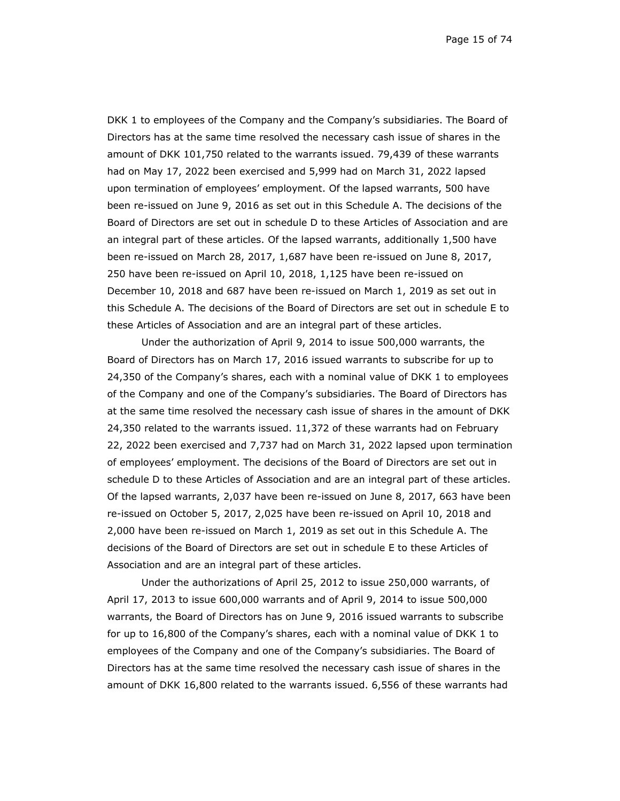Page 15 of 74

DKK 1 to employees of the Company and the Company's subsidiaries. The Board of Directors has at the same time resolved the necessary cash issue of shares in the amount of DKK 101,750 related to the warrants issued. 79,439 of these warrants had on May 17, 2022 been exercised and 5,999 had on March 31, 2022 lapsed upon termination of employees' employment. Of the lapsed warrants, 500 have been re-issued on June 9, 2016 as set out in this Schedule A. The decisions of the Board of Directors are set out in schedule D to these Articles of Association and are an integral part of these articles. Of the lapsed warrants, additionally 1,500 have been re-issued on March 28, 2017, 1,687 have been re-issued on June 8, 2017, 250 have been re-issued on April 10, 2018, 1,125 have been re-issued on December 10, 2018 and 687 have been re-issued on March 1, 2019 as set out in this Schedule A. The decisions of the Board of Directors are set out in schedule E to these Articles of Association and are an integral part of these articles.

Under the authorization of April 9, 2014 to issue 500,000 warrants, the Board of Directors has on March 17, 2016 issued warrants to subscribe for up to 24,350 of the Company's shares, each with a nominal value of DKK 1 to employees of the Company and one of the Company's subsidiaries. The Board of Directors has at the same time resolved the necessary cash issue of shares in the amount of DKK 24,350 related to the warrants issued. 11,372 of these warrants had on February 22, 2022 been exercised and 7,737 had on March 31, 2022 lapsed upon termination of employees' employment. The decisions of the Board of Directors are set out in schedule D to these Articles of Association and are an integral part of these articles. Of the lapsed warrants, 2,037 have been re-issued on June 8, 2017, 663 have been re-issued on October 5, 2017, 2,025 have been re-issued on April 10, 2018 and 2,000 have been re-issued on March 1, 2019 as set out in this Schedule A. The decisions of the Board of Directors are set out in schedule E to these Articles of Association and are an integral part of these articles.

Under the authorizations of April 25, 2012 to issue 250,000 warrants, of April 17, 2013 to issue 600,000 warrants and of April 9, 2014 to issue 500,000 warrants, the Board of Directors has on June 9, 2016 issued warrants to subscribe for up to 16,800 of the Company's shares, each with a nominal value of DKK 1 to employees of the Company and one of the Company's subsidiaries. The Board of Directors has at the same time resolved the necessary cash issue of shares in the amount of DKK 16,800 related to the warrants issued. 6,556 of these warrants had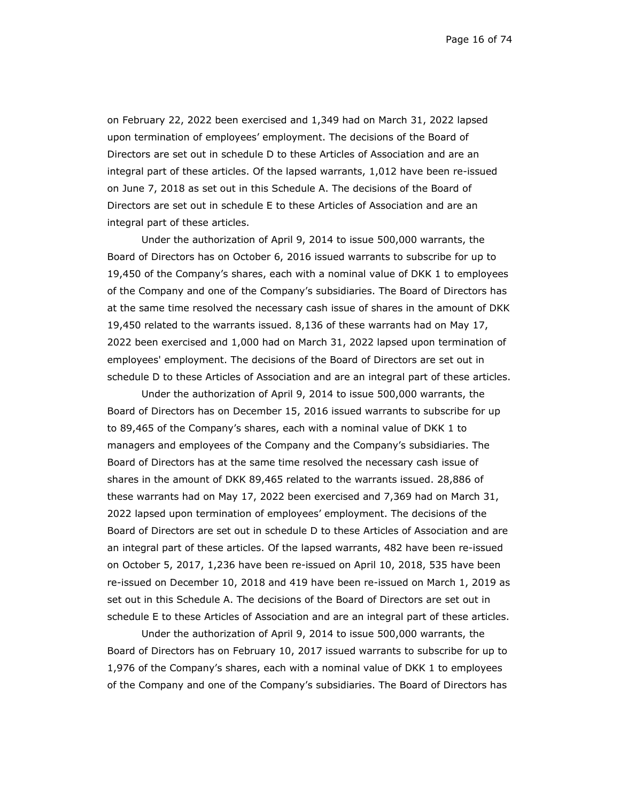Page 16 of 74

on February 22, 2022 been exercised and 1,349 had on March 31, 2022 lapsed upon termination of employees' employment. The decisions of the Board of Directors are set out in schedule D to these Articles of Association and are an integral part of these articles. Of the lapsed warrants, 1,012 have been re-issued on June 7, 2018 as set out in this Schedule A. The decisions of the Board of Directors are set out in schedule E to these Articles of Association and are an integral part of these articles.

Under the authorization of April 9, 2014 to issue 500,000 warrants, the Board of Directors has on October 6, 2016 issued warrants to subscribe for up to 19,450 of the Company's shares, each with a nominal value of DKK 1 to employees of the Company and one of the Company's subsidiaries. The Board of Directors has at the same time resolved the necessary cash issue of shares in the amount of DKK 19,450 related to the warrants issued. 8,136 of these warrants had on May 17, 2022 been exercised and 1,000 had on March 31, 2022 lapsed upon termination of employees' employment. The decisions of the Board of Directors are set out in schedule D to these Articles of Association and are an integral part of these articles.

Under the authorization of April 9, 2014 to issue 500,000 warrants, the Board of Directors has on December 15, 2016 issued warrants to subscribe for up to 89,465 of the Company's shares, each with a nominal value of DKK 1 to managers and employees of the Company and the Company's subsidiaries. The Board of Directors has at the same time resolved the necessary cash issue of shares in the amount of DKK 89,465 related to the warrants issued. 28,886 of these warrants had on May 17, 2022 been exercised and 7,369 had on March 31, 2022 lapsed upon termination of employees' employment. The decisions of the Board of Directors are set out in schedule D to these Articles of Association and are an integral part of these articles. Of the lapsed warrants, 482 have been re-issued on October 5, 2017, 1,236 have been re-issued on April 10, 2018, 535 have been re-issued on December 10, 2018 and 419 have been re-issued on March 1, 2019 as set out in this Schedule A. The decisions of the Board of Directors are set out in schedule E to these Articles of Association and are an integral part of these articles.

Under the authorization of April 9, 2014 to issue 500,000 warrants, the Board of Directors has on February 10, 2017 issued warrants to subscribe for up to 1,976 of the Company's shares, each with a nominal value of DKK 1 to employees of the Company and one of the Company's subsidiaries. The Board of Directors has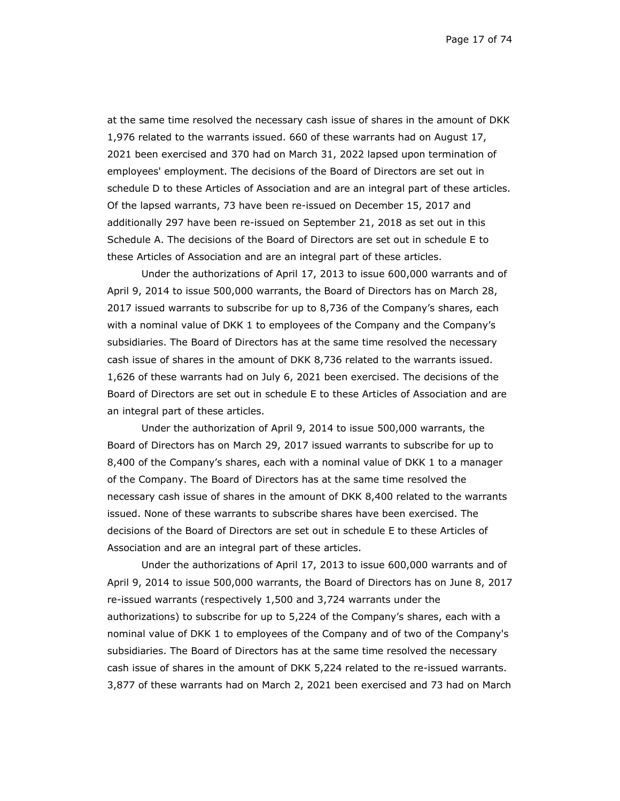Page 17 of 74

at the same time resolved the necessary cash issue of shares in the amount of DKK 1,976 related to the warrants issued. 660 of these warrants had on August 17, 2021 been exercised and 370 had on March 31, 2022 lapsed upon termination of employees' employment. The decisions of the Board of Directors are set out in schedule D to these Articles of Association and are an integral part of these articles. Of the lapsed warrants, 73 have been re-issued on December 15, 2017 and additionally 297 have been re-issued on September 21, 2018 as set out in this Schedule A. The decisions of the Board of Directors are set out in schedule E to these Articles of Association and are an integral part of these articles.

Under the authorizations of April 17, 2013 to issue 600,000 warrants and of April 9, 2014 to issue 500,000 warrants, the Board of Directors has on March 28, 2017 issued warrants to subscribe for up to 8,736 of the Company's shares, each with a nominal value of DKK 1 to employees of the Company and the Company's subsidiaries. The Board of Directors has at the same time resolved the necessary cash issue of shares in the amount of DKK 8,736 related to the warrants issued. 1,626 of these warrants had on July 6, 2021 been exercised. The decisions of the Board of Directors are set out in schedule E to these Articles of Association and are an integral part of these articles.

Under the authorization of April 9, 2014 to issue 500,000 warrants, the Board of Directors has on March 29, 2017 issued warrants to subscribe for up to 8,400 of the Company's shares, each with a nominal value of DKK 1 to a manager of the Company. The Board of Directors has at the same time resolved the necessary cash issue of shares in the amount of DKK 8,400 related to the warrants issued. None of these warrants to subscribe shares have been exercised. The decisions of the Board of Directors are set out in schedule E to these Articles of Association and are an integral part of these articles.

Under the authorizations of April 17, 2013 to issue 600,000 warrants and of April 9, 2014 to issue 500,000 warrants, the Board of Directors has on June 8, 2017 re-issued warrants (respectively 1,500 and 3,724 warrants under the authorizations) to subscribe for up to 5,224 of the Company's shares, each with a nominal value of DKK 1 to employees of the Company and of two of the Company's subsidiaries. The Board of Directors has at the same time resolved the necessary cash issue of shares in the amount of DKK 5,224 related to the re-issued warrants. 3,877 of these warrants had on March 2, 2021 been exercised and 73 had on March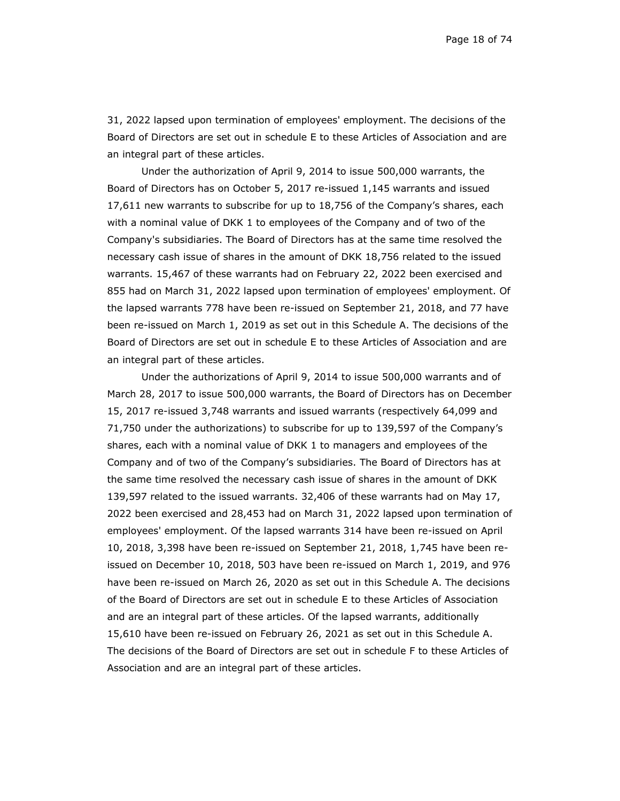Page 18 of 74

31, 2022 lapsed upon termination of employees' employment. The decisions of the Board of Directors are set out in schedule E to these Articles of Association and are an integral part of these articles.

Under the authorization of April 9, 2014 to issue 500,000 warrants, the Board of Directors has on October 5, 2017 re-issued 1,145 warrants and issued 17,611 new warrants to subscribe for up to 18,756 of the Company's shares, each with a nominal value of DKK 1 to employees of the Company and of two of the Company's subsidiaries. The Board of Directors has at the same time resolved the necessary cash issue of shares in the amount of DKK 18,756 related to the issued warrants. 15,467 of these warrants had on February 22, 2022 been exercised and 855 had on March 31, 2022 lapsed upon termination of employees' employment. Of the lapsed warrants 778 have been re-issued on September 21, 2018, and 77 have been re-issued on March 1, 2019 as set out in this Schedule A. The decisions of the Board of Directors are set out in schedule E to these Articles of Association and are an integral part of these articles.

Under the authorizations of April 9, 2014 to issue 500,000 warrants and of March 28, 2017 to issue 500,000 warrants, the Board of Directors has on December 15, 2017 re-issued 3,748 warrants and issued warrants (respectively 64,099 and 71,750 under the authorizations) to subscribe for up to 139,597 of the Company's shares, each with a nominal value of DKK 1 to managers and employees of the Company and of two of the Company's subsidiaries. The Board of Directors has at the same time resolved the necessary cash issue of shares in the amount of DKK 139,597 related to the issued warrants. 32,406 of these warrants had on May 17, 2022 been exercised and 28,453 had on March 31, 2022 lapsed upon termination of employees' employment. Of the lapsed warrants 314 have been re-issued on April 10, 2018, 3,398 have been re-issued on September 21, 2018, 1,745 have been reissued on December 10, 2018, 503 have been re-issued on March 1, 2019, and 976 have been re-issued on March 26, 2020 as set out in this Schedule A. The decisions of the Board of Directors are set out in schedule E to these Articles of Association and are an integral part of these articles. Of the lapsed warrants, additionally 15,610 have been re-issued on February 26, 2021 as set out in this Schedule A. The decisions of the Board of Directors are set out in schedule F to these Articles of Association and are an integral part of these articles.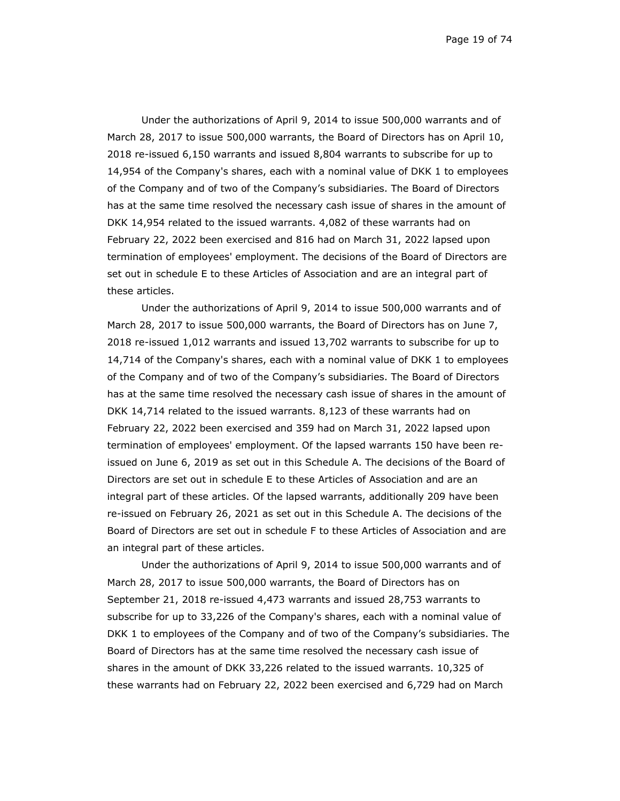Page 19 of 74

Under the authorizations of April 9, 2014 to issue 500,000 warrants and of March 28, 2017 to issue 500,000 warrants, the Board of Directors has on April 10, 2018 re-issued 6,150 warrants and issued 8,804 warrants to subscribe for up to 14,954 of the Company's shares, each with a nominal value of DKK 1 to employees of the Company and of two of the Company's subsidiaries. The Board of Directors has at the same time resolved the necessary cash issue of shares in the amount of DKK 14,954 related to the issued warrants. 4,082 of these warrants had on February 22, 2022 been exercised and 816 had on March 31, 2022 lapsed upon termination of employees' employment. The decisions of the Board of Directors are set out in schedule E to these Articles of Association and are an integral part of these articles.

Under the authorizations of April 9, 2014 to issue 500,000 warrants and of March 28, 2017 to issue 500,000 warrants, the Board of Directors has on June 7, 2018 re-issued 1,012 warrants and issued 13,702 warrants to subscribe for up to 14,714 of the Company's shares, each with a nominal value of DKK 1 to employees of the Company and of two of the Company's subsidiaries. The Board of Directors has at the same time resolved the necessary cash issue of shares in the amount of DKK 14,714 related to the issued warrants. 8,123 of these warrants had on February 22, 2022 been exercised and 359 had on March 31, 2022 lapsed upon termination of employees' employment. Of the lapsed warrants 150 have been reissued on June 6, 2019 as set out in this Schedule A. The decisions of the Board of Directors are set out in schedule E to these Articles of Association and are an integral part of these articles. Of the lapsed warrants, additionally 209 have been re-issued on February 26, 2021 as set out in this Schedule A. The decisions of the Board of Directors are set out in schedule F to these Articles of Association and are an integral part of these articles.

Under the authorizations of April 9, 2014 to issue 500,000 warrants and of March 28, 2017 to issue 500,000 warrants, the Board of Directors has on September 21, 2018 re-issued 4,473 warrants and issued 28,753 warrants to subscribe for up to 33,226 of the Company's shares, each with a nominal value of DKK 1 to employees of the Company and of two of the Company's subsidiaries. The Board of Directors has at the same time resolved the necessary cash issue of shares in the amount of DKK 33,226 related to the issued warrants. 10,325 of these warrants had on February 22, 2022 been exercised and 6,729 had on March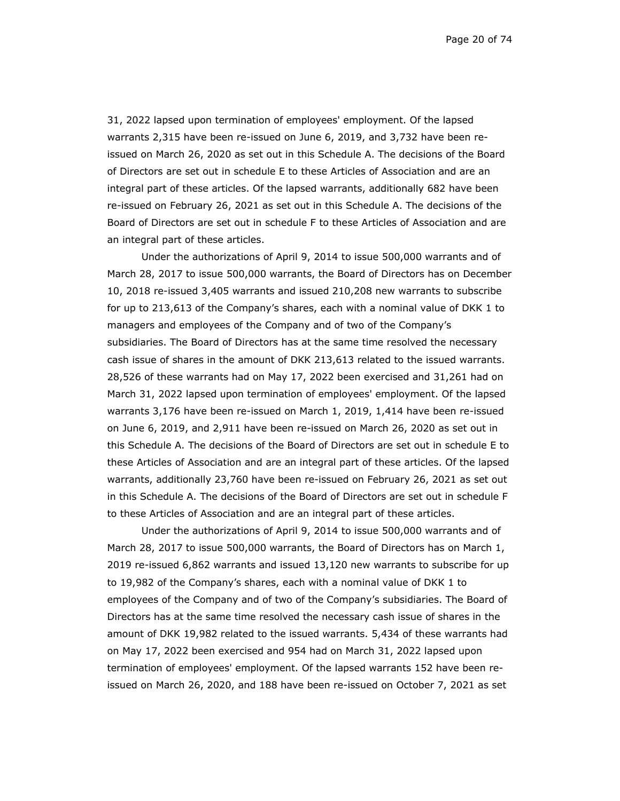Page 20 of 74

31, 2022 lapsed upon termination of employees' employment. Of the lapsed warrants 2,315 have been re-issued on June 6, 2019, and 3,732 have been reissued on March 26, 2020 as set out in this Schedule A. The decisions of the Board of Directors are set out in schedule E to these Articles of Association and are an integral part of these articles. Of the lapsed warrants, additionally 682 have been re-issued on February 26, 2021 as set out in this Schedule A. The decisions of the Board of Directors are set out in schedule F to these Articles of Association and are an integral part of these articles.

Under the authorizations of April 9, 2014 to issue 500,000 warrants and of March 28, 2017 to issue 500,000 warrants, the Board of Directors has on December 10, 2018 re-issued 3,405 warrants and issued 210,208 new warrants to subscribe for up to 213,613 of the Company's shares, each with a nominal value of DKK 1 to managers and employees of the Company and of two of the Company's subsidiaries. The Board of Directors has at the same time resolved the necessary cash issue of shares in the amount of DKK 213,613 related to the issued warrants. 28,526 of these warrants had on May 17, 2022 been exercised and 31,261 had on March 31, 2022 lapsed upon termination of employees' employment. Of the lapsed warrants 3,176 have been re-issued on March 1, 2019, 1,414 have been re-issued on June 6, 2019, and 2,911 have been re-issued on March 26, 2020 as set out in this Schedule A. The decisions of the Board of Directors are set out in schedule E to these Articles of Association and are an integral part of these articles. Of the lapsed warrants, additionally 23,760 have been re-issued on February 26, 2021 as set out in this Schedule A. The decisions of the Board of Directors are set out in schedule F to these Articles of Association and are an integral part of these articles.

Under the authorizations of April 9, 2014 to issue 500,000 warrants and of March 28, 2017 to issue 500,000 warrants, the Board of Directors has on March 1, 2019 re-issued 6,862 warrants and issued 13,120 new warrants to subscribe for up to 19,982 of the Company's shares, each with a nominal value of DKK 1 to employees of the Company and of two of the Company's subsidiaries. The Board of Directors has at the same time resolved the necessary cash issue of shares in the amount of DKK 19,982 related to the issued warrants. 5,434 of these warrants had on May 17, 2022 been exercised and 954 had on March 31, 2022 lapsed upon termination of employees' employment. Of the lapsed warrants 152 have been reissued on March 26, 2020, and 188 have been re-issued on October 7, 2021 as set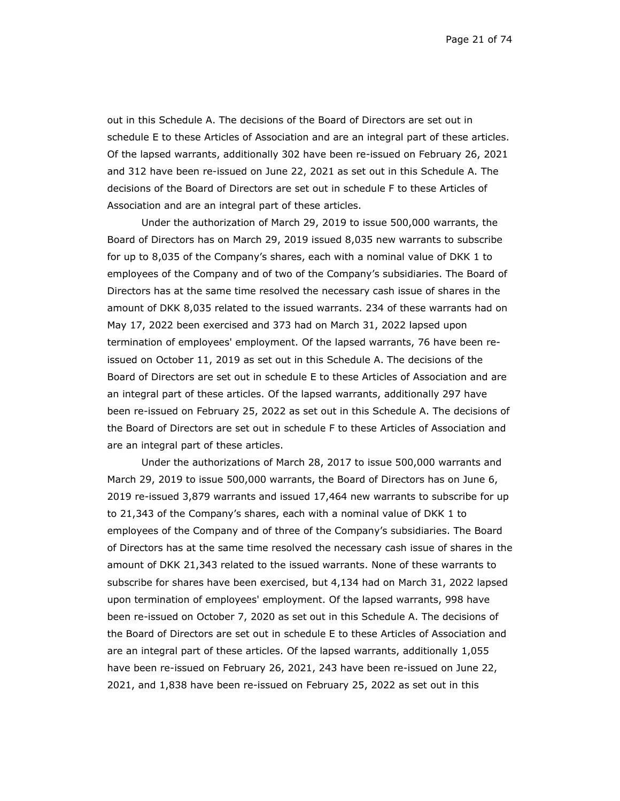Page 21 of 74

out in this Schedule A. The decisions of the Board of Directors are set out in schedule E to these Articles of Association and are an integral part of these articles. Of the lapsed warrants, additionally 302 have been re-issued on February 26, 2021 and 312 have been re-issued on June 22, 2021 as set out in this Schedule A. The decisions of the Board of Directors are set out in schedule F to these Articles of Association and are an integral part of these articles.

Under the authorization of March 29, 2019 to issue 500,000 warrants, the Board of Directors has on March 29, 2019 issued 8,035 new warrants to subscribe for up to 8,035 of the Company's shares, each with a nominal value of DKK 1 to employees of the Company and of two of the Company's subsidiaries. The Board of Directors has at the same time resolved the necessary cash issue of shares in the amount of DKK 8,035 related to the issued warrants. 234 of these warrants had on May 17, 2022 been exercised and 373 had on March 31, 2022 lapsed upon termination of employees' employment. Of the lapsed warrants, 76 have been reissued on October 11, 2019 as set out in this Schedule A. The decisions of the Board of Directors are set out in schedule E to these Articles of Association and are an integral part of these articles. Of the lapsed warrants, additionally 297 have been re-issued on February 25, 2022 as set out in this Schedule A. The decisions of the Board of Directors are set out in schedule F to these Articles of Association and are an integral part of these articles.

Under the authorizations of March 28, 2017 to issue 500,000 warrants and March 29, 2019 to issue 500,000 warrants, the Board of Directors has on June 6, 2019 re-issued 3,879 warrants and issued 17,464 new warrants to subscribe for up to 21,343 of the Company's shares, each with a nominal value of DKK 1 to employees of the Company and of three of the Company's subsidiaries. The Board of Directors has at the same time resolved the necessary cash issue of shares in the amount of DKK 21,343 related to the issued warrants. None of these warrants to subscribe for shares have been exercised, but 4,134 had on March 31, 2022 lapsed upon termination of employees' employment. Of the lapsed warrants, 998 have been re-issued on October 7, 2020 as set out in this Schedule A. The decisions of the Board of Directors are set out in schedule E to these Articles of Association and are an integral part of these articles. Of the lapsed warrants, additionally 1,055 have been re-issued on February 26, 2021, 243 have been re-issued on June 22, 2021, and 1,838 have been re-issued on February 25, 2022 as set out in this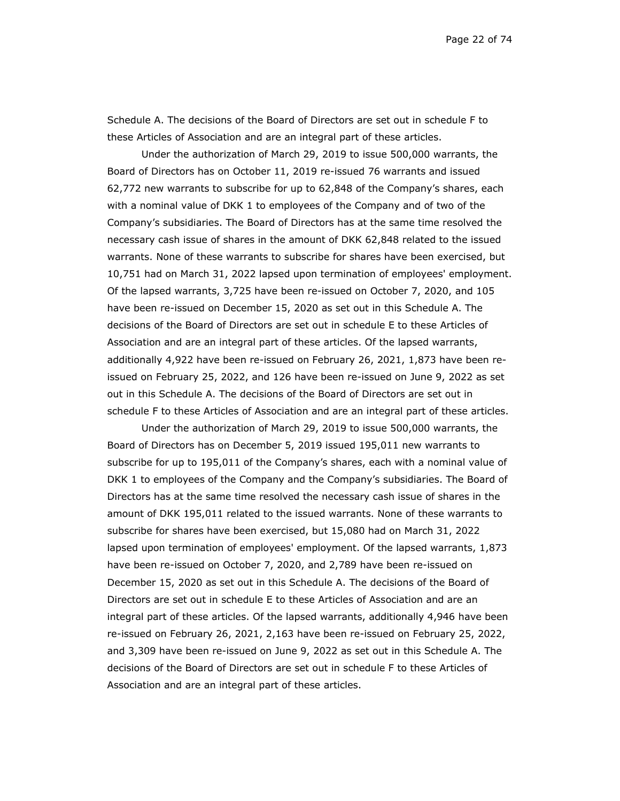Schedule A. The decisions of the Board of Directors are set out in schedule F to these Articles of Association and are an integral part of these articles.

Under the authorization of March 29, 2019 to issue 500,000 warrants, the Board of Directors has on October 11, 2019 re-issued 76 warrants and issued 62,772 new warrants to subscribe for up to 62,848 of the Company's shares, each with a nominal value of DKK 1 to employees of the Company and of two of the Company's subsidiaries. The Board of Directors has at the same time resolved the necessary cash issue of shares in the amount of DKK 62,848 related to the issued warrants. None of these warrants to subscribe for shares have been exercised, but 10,751 had on March 31, 2022 lapsed upon termination of employees' employment. Of the lapsed warrants, 3,725 have been re-issued on October 7, 2020, and 105 have been re-issued on December 15, 2020 as set out in this Schedule A. The decisions of the Board of Directors are set out in schedule E to these Articles of Association and are an integral part of these articles. Of the lapsed warrants, additionally 4,922 have been re-issued on February 26, 2021, 1,873 have been reissued on February 25, 2022, and 126 have been re-issued on June 9, 2022 as set out in this Schedule A. The decisions of the Board of Directors are set out in schedule F to these Articles of Association and are an integral part of these articles.

Under the authorization of March 29, 2019 to issue 500,000 warrants, the Board of Directors has on December 5, 2019 issued 195,011 new warrants to subscribe for up to 195,011 of the Company's shares, each with a nominal value of DKK 1 to employees of the Company and the Company's subsidiaries. The Board of Directors has at the same time resolved the necessary cash issue of shares in the amount of DKK 195,011 related to the issued warrants. None of these warrants to subscribe for shares have been exercised, but 15,080 had on March 31, 2022 lapsed upon termination of employees' employment. Of the lapsed warrants, 1,873 have been re-issued on October 7, 2020, and 2,789 have been re-issued on December 15, 2020 as set out in this Schedule A. The decisions of the Board of Directors are set out in schedule E to these Articles of Association and are an integral part of these articles. Of the lapsed warrants, additionally 4,946 have been re-issued on February 26, 2021, 2,163 have been re-issued on February 25, 2022, and 3,309 have been re-issued on June 9, 2022 as set out in this Schedule A. The decisions of the Board of Directors are set out in schedule F to these Articles of Association and are an integral part of these articles.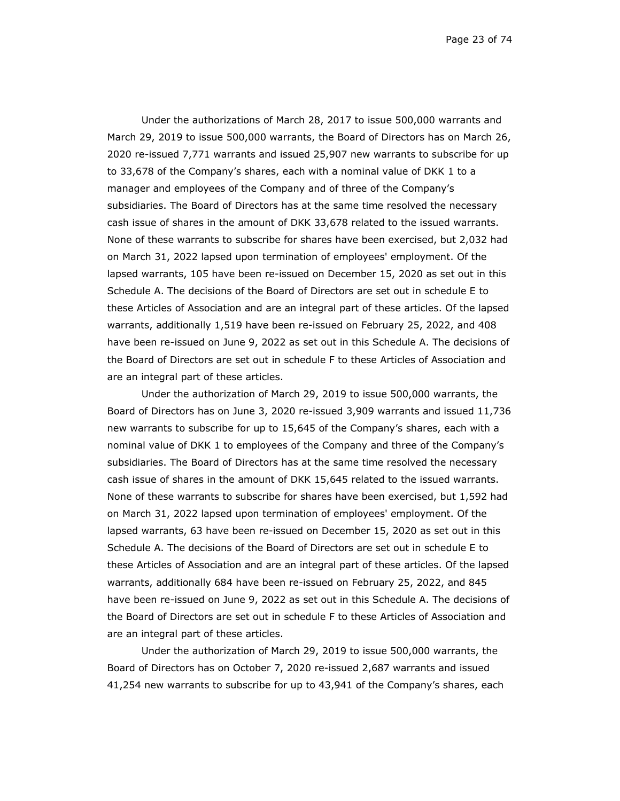Page 23 of 74

Under the authorizations of March 28, 2017 to issue 500,000 warrants and March 29, 2019 to issue 500,000 warrants, the Board of Directors has on March 26, 2020 re-issued 7,771 warrants and issued 25,907 new warrants to subscribe for up to 33,678 of the Company's shares, each with a nominal value of DKK 1 to a manager and employees of the Company and of three of the Company's subsidiaries. The Board of Directors has at the same time resolved the necessary cash issue of shares in the amount of DKK 33,678 related to the issued warrants. None of these warrants to subscribe for shares have been exercised, but 2,032 had on March 31, 2022 lapsed upon termination of employees' employment. Of the lapsed warrants, 105 have been re-issued on December 15, 2020 as set out in this Schedule A. The decisions of the Board of Directors are set out in schedule E to these Articles of Association and are an integral part of these articles. Of the lapsed warrants, additionally 1,519 have been re-issued on February 25, 2022, and 408 have been re-issued on June 9, 2022 as set out in this Schedule A. The decisions of the Board of Directors are set out in schedule F to these Articles of Association and are an integral part of these articles.

Under the authorization of March 29, 2019 to issue 500,000 warrants, the Board of Directors has on June 3, 2020 re-issued 3,909 warrants and issued 11,736 new warrants to subscribe for up to 15,645 of the Company's shares, each with a nominal value of DKK 1 to employees of the Company and three of the Company's subsidiaries. The Board of Directors has at the same time resolved the necessary cash issue of shares in the amount of DKK 15,645 related to the issued warrants. None of these warrants to subscribe for shares have been exercised, but 1,592 had on March 31, 2022 lapsed upon termination of employees' employment. Of the lapsed warrants, 63 have been re-issued on December 15, 2020 as set out in this Schedule A. The decisions of the Board of Directors are set out in schedule E to these Articles of Association and are an integral part of these articles. Of the lapsed warrants, additionally 684 have been re-issued on February 25, 2022, and 845 have been re-issued on June 9, 2022 as set out in this Schedule A. The decisions of the Board of Directors are set out in schedule F to these Articles of Association and are an integral part of these articles.

Under the authorization of March 29, 2019 to issue 500,000 warrants, the Board of Directors has on October 7, 2020 re-issued 2,687 warrants and issued 41,254 new warrants to subscribe for up to 43,941 of the Company's shares, each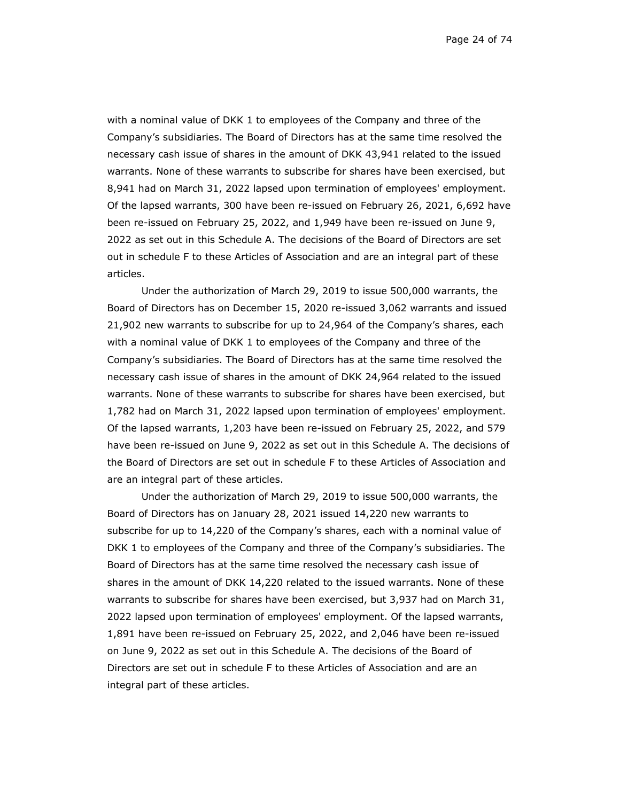Page 24 of 74

with a nominal value of DKK 1 to employees of the Company and three of the Company's subsidiaries. The Board of Directors has at the same time resolved the necessary cash issue of shares in the amount of DKK 43,941 related to the issued warrants. None of these warrants to subscribe for shares have been exercised, but 8,941 had on March 31, 2022 lapsed upon termination of employees' employment. Of the lapsed warrants, 300 have been re-issued on February 26, 2021, 6,692 have been re-issued on February 25, 2022, and 1,949 have been re-issued on June 9, 2022 as set out in this Schedule A. The decisions of the Board of Directors are set out in schedule F to these Articles of Association and are an integral part of these articles.

Under the authorization of March 29, 2019 to issue 500,000 warrants, the Board of Directors has on December 15, 2020 re-issued 3,062 warrants and issued 21,902 new warrants to subscribe for up to 24,964 of the Company's shares, each with a nominal value of DKK 1 to employees of the Company and three of the Company's subsidiaries. The Board of Directors has at the same time resolved the necessary cash issue of shares in the amount of DKK 24,964 related to the issued warrants. None of these warrants to subscribe for shares have been exercised, but 1,782 had on March 31, 2022 lapsed upon termination of employees' employment. Of the lapsed warrants, 1,203 have been re-issued on February 25, 2022, and 579 have been re-issued on June 9, 2022 as set out in this Schedule A. The decisions of the Board of Directors are set out in schedule F to these Articles of Association and are an integral part of these articles.

Under the authorization of March 29, 2019 to issue 500,000 warrants, the Board of Directors has on January 28, 2021 issued 14,220 new warrants to subscribe for up to 14,220 of the Company's shares, each with a nominal value of DKK 1 to employees of the Company and three of the Company's subsidiaries. The Board of Directors has at the same time resolved the necessary cash issue of shares in the amount of DKK 14,220 related to the issued warrants. None of these warrants to subscribe for shares have been exercised, but 3,937 had on March 31, 2022 lapsed upon termination of employees' employment. Of the lapsed warrants, 1,891 have been re-issued on February 25, 2022, and 2,046 have been re-issued on June 9, 2022 as set out in this Schedule A. The decisions of the Board of Directors are set out in schedule F to these Articles of Association and are an integral part of these articles.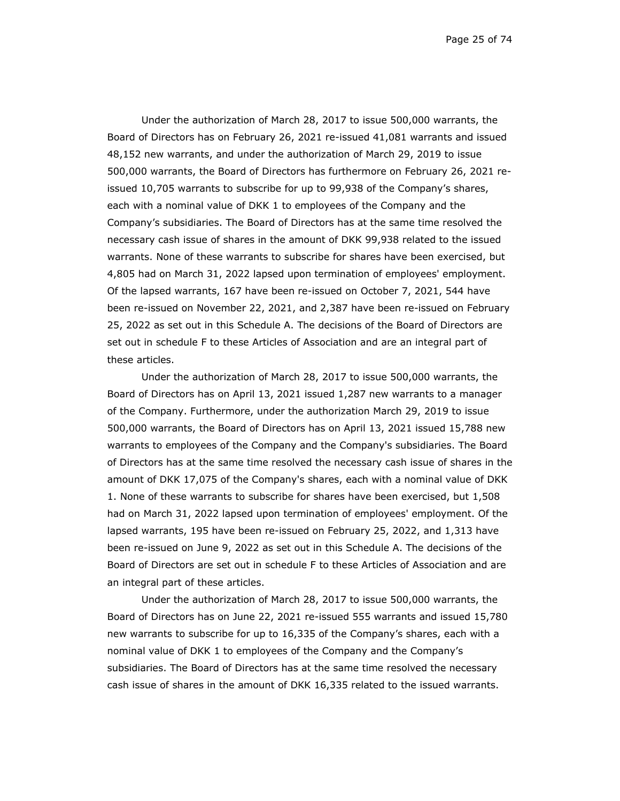Page 25 of 74

Under the authorization of March 28, 2017 to issue 500,000 warrants, the Board of Directors has on February 26, 2021 re-issued 41,081 warrants and issued 48,152 new warrants, and under the authorization of March 29, 2019 to issue 500,000 warrants, the Board of Directors has furthermore on February 26, 2021 reissued 10,705 warrants to subscribe for up to 99,938 of the Company's shares, each with a nominal value of DKK 1 to employees of the Company and the Company's subsidiaries. The Board of Directors has at the same time resolved the necessary cash issue of shares in the amount of DKK 99,938 related to the issued warrants. None of these warrants to subscribe for shares have been exercised, but 4,805 had on March 31, 2022 lapsed upon termination of employees' employment. Of the lapsed warrants, 167 have been re-issued on October 7, 2021, 544 have been re-issued on November 22, 2021, and 2,387 have been re-issued on February 25, 2022 as set out in this Schedule A. The decisions of the Board of Directors are set out in schedule F to these Articles of Association and are an integral part of these articles.

Under the authorization of March 28, 2017 to issue 500,000 warrants, the Board of Directors has on April 13, 2021 issued 1,287 new warrants to a manager of the Company. Furthermore, under the authorization March 29, 2019 to issue 500,000 warrants, the Board of Directors has on April 13, 2021 issued 15,788 new warrants to employees of the Company and the Company's subsidiaries. The Board of Directors has at the same time resolved the necessary cash issue of shares in the amount of DKK 17,075 of the Company's shares, each with a nominal value of DKK 1. None of these warrants to subscribe for shares have been exercised, but 1,508 had on March 31, 2022 lapsed upon termination of employees' employment. Of the lapsed warrants, 195 have been re-issued on February 25, 2022, and 1,313 have been re-issued on June 9, 2022 as set out in this Schedule A. The decisions of the Board of Directors are set out in schedule F to these Articles of Association and are an integral part of these articles.

Under the authorization of March 28, 2017 to issue 500,000 warrants, the Board of Directors has on June 22, 2021 re-issued 555 warrants and issued 15,780 new warrants to subscribe for up to 16,335 of the Company's shares, each with a nominal value of DKK 1 to employees of the Company and the Company's subsidiaries. The Board of Directors has at the same time resolved the necessary cash issue of shares in the amount of DKK 16,335 related to the issued warrants.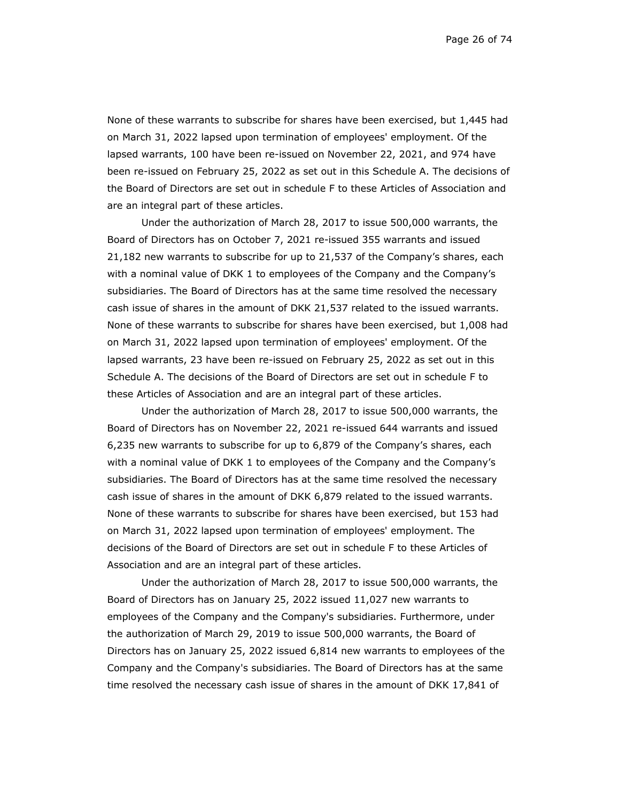Page 26 of 74

None of these warrants to subscribe for shares have been exercised, but 1,445 had on March 31, 2022 lapsed upon termination of employees' employment. Of the lapsed warrants, 100 have been re-issued on November 22, 2021, and 974 have been re-issued on February 25, 2022 as set out in this Schedule A. The decisions of the Board of Directors are set out in schedule F to these Articles of Association and are an integral part of these articles.

Under the authorization of March 28, 2017 to issue 500,000 warrants, the Board of Directors has on October 7, 2021 re-issued 355 warrants and issued 21,182 new warrants to subscribe for up to 21,537 of the Company's shares, each with a nominal value of DKK 1 to employees of the Company and the Company's subsidiaries. The Board of Directors has at the same time resolved the necessary cash issue of shares in the amount of DKK 21,537 related to the issued warrants. None of these warrants to subscribe for shares have been exercised, but 1,008 had on March 31, 2022 lapsed upon termination of employees' employment. Of the lapsed warrants, 23 have been re-issued on February 25, 2022 as set out in this Schedule A. The decisions of the Board of Directors are set out in schedule F to these Articles of Association and are an integral part of these articles.

Under the authorization of March 28, 2017 to issue 500,000 warrants, the Board of Directors has on November 22, 2021 re-issued 644 warrants and issued 6,235 new warrants to subscribe for up to 6,879 of the Company's shares, each with a nominal value of DKK 1 to employees of the Company and the Company's subsidiaries. The Board of Directors has at the same time resolved the necessary cash issue of shares in the amount of DKK 6,879 related to the issued warrants. None of these warrants to subscribe for shares have been exercised, but 153 had on March 31, 2022 lapsed upon termination of employees' employment. The decisions of the Board of Directors are set out in schedule F to these Articles of Association and are an integral part of these articles.

Under the authorization of March 28, 2017 to issue 500,000 warrants, the Board of Directors has on January 25, 2022 issued 11,027 new warrants to employees of the Company and the Company's subsidiaries. Furthermore, under the authorization of March 29, 2019 to issue 500,000 warrants, the Board of Directors has on January 25, 2022 issued 6,814 new warrants to employees of the Company and the Company's subsidiaries. The Board of Directors has at the same time resolved the necessary cash issue of shares in the amount of DKK 17,841 of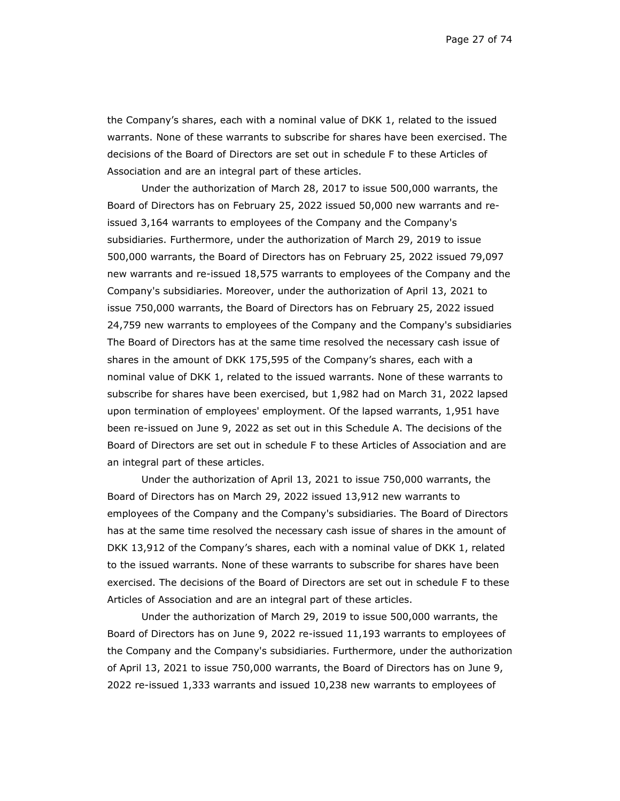Page 27 of 74

the Company's shares, each with a nominal value of DKK 1, related to the issued warrants. None of these warrants to subscribe for shares have been exercised. The decisions of the Board of Directors are set out in schedule F to these Articles of Association and are an integral part of these articles.

Under the authorization of March 28, 2017 to issue 500,000 warrants, the Board of Directors has on February 25, 2022 issued 50,000 new warrants and reissued 3,164 warrants to employees of the Company and the Company's subsidiaries. Furthermore, under the authorization of March 29, 2019 to issue 500,000 warrants, the Board of Directors has on February 25, 2022 issued 79,097 new warrants and re-issued 18,575 warrants to employees of the Company and the Company's subsidiaries. Moreover, under the authorization of April 13, 2021 to issue 750,000 warrants, the Board of Directors has on February 25, 2022 issued 24,759 new warrants to employees of the Company and the Company's subsidiaries The Board of Directors has at the same time resolved the necessary cash issue of shares in the amount of DKK 175,595 of the Company's shares, each with a nominal value of DKK 1, related to the issued warrants. None of these warrants to subscribe for shares have been exercised, but 1,982 had on March 31, 2022 lapsed upon termination of employees' employment. Of the lapsed warrants, 1,951 have been re-issued on June 9, 2022 as set out in this Schedule A. The decisions of the Board of Directors are set out in schedule F to these Articles of Association and are an integral part of these articles.

Under the authorization of April 13, 2021 to issue 750,000 warrants, the Board of Directors has on March 29, 2022 issued 13,912 new warrants to employees of the Company and the Company's subsidiaries. The Board of Directors has at the same time resolved the necessary cash issue of shares in the amount of DKK 13,912 of the Company's shares, each with a nominal value of DKK 1, related to the issued warrants. None of these warrants to subscribe for shares have been exercised. The decisions of the Board of Directors are set out in schedule F to these Articles of Association and are an integral part of these articles.

Under the authorization of March 29, 2019 to issue 500,000 warrants, the Board of Directors has on June 9, 2022 re-issued 11,193 warrants to employees of the Company and the Company's subsidiaries. Furthermore, under the authorization of April 13, 2021 to issue 750,000 warrants, the Board of Directors has on June 9, 2022 re-issued 1,333 warrants and issued 10,238 new warrants to employees of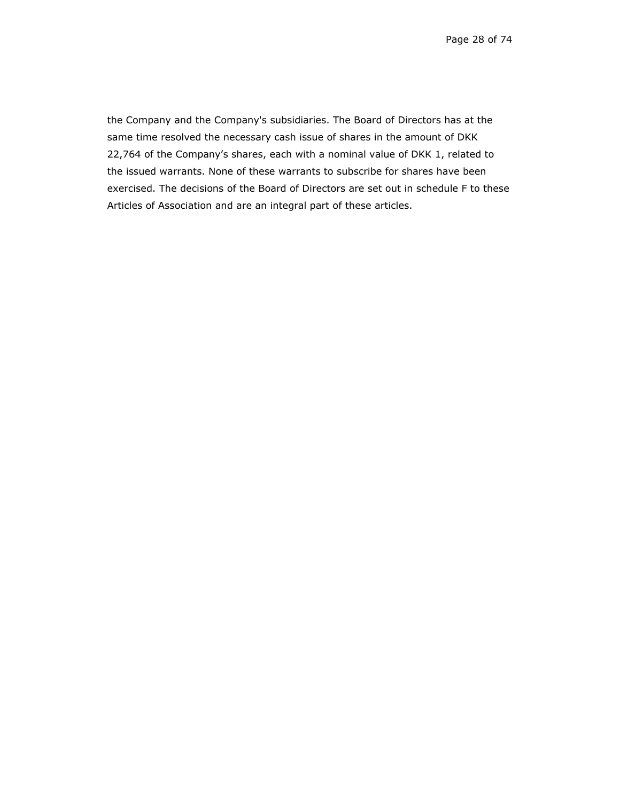the Company and the Company's subsidiaries. The Board of Directors has at the same time resolved the necessary cash issue of shares in the amount of DKK 22,764 of the Company's shares, each with a nominal value of DKK 1, related to the issued warrants. None of these warrants to subscribe for shares have been exercised. The decisions of the Board of Directors are set out in schedule F to these Articles of Association and are an integral part of these articles.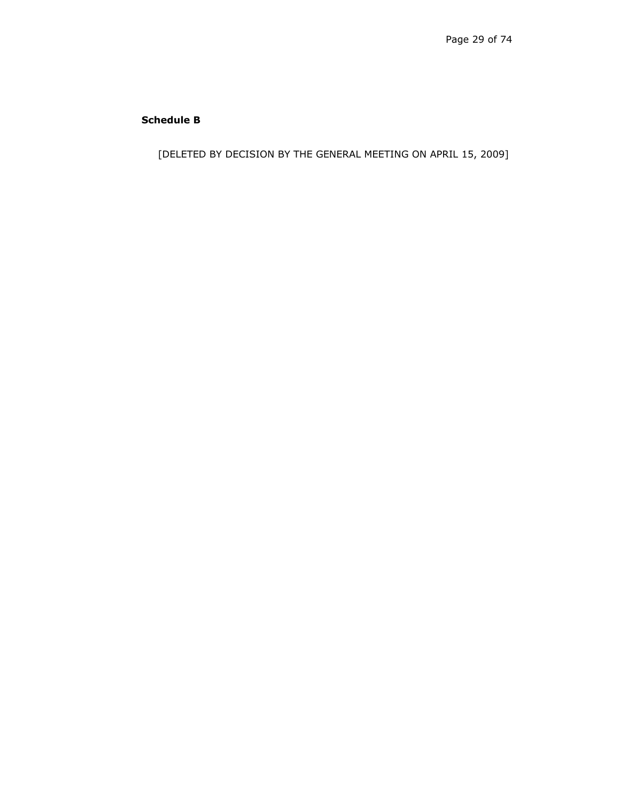# **Schedule B**

[DELETED BY DECISION BY THE GENERAL MEETING ON APRIL 15, 2009]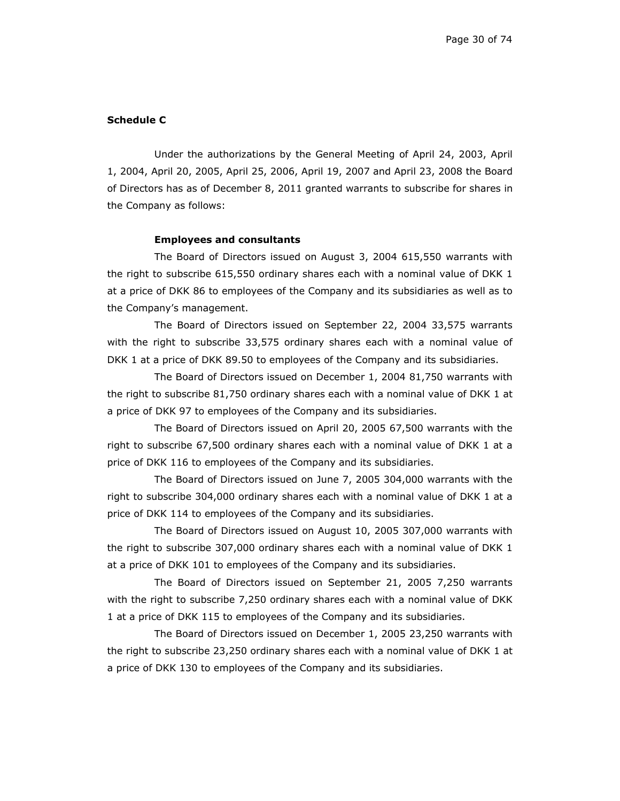#### **Schedule C**

Under the authorizations by the General Meeting of April 24, 2003, April 1, 2004, April 20, 2005, April 25, 2006, April 19, 2007 and April 23, 2008 the Board of Directors has as of December 8, 2011 granted warrants to subscribe for shares in the Company as follows:

#### **Employees and consultants**

The Board of Directors issued on August 3, 2004 615,550 warrants with the right to subscribe 615,550 ordinary shares each with a nominal value of DKK 1 at a price of DKK 86 to employees of the Company and its subsidiaries as well as to the Company's management.

The Board of Directors issued on September 22, 2004 33,575 warrants with the right to subscribe 33,575 ordinary shares each with a nominal value of DKK 1 at a price of DKK 89.50 to employees of the Company and its subsidiaries.

The Board of Directors issued on December 1, 2004 81,750 warrants with the right to subscribe 81,750 ordinary shares each with a nominal value of DKK 1 at a price of DKK 97 to employees of the Company and its subsidiaries.

The Board of Directors issued on April 20, 2005 67,500 warrants with the right to subscribe 67,500 ordinary shares each with a nominal value of DKK 1 at a price of DKK 116 to employees of the Company and its subsidiaries.

The Board of Directors issued on June 7, 2005 304,000 warrants with the right to subscribe 304,000 ordinary shares each with a nominal value of DKK 1 at a price of DKK 114 to employees of the Company and its subsidiaries.

The Board of Directors issued on August 10, 2005 307,000 warrants with the right to subscribe 307,000 ordinary shares each with a nominal value of DKK 1 at a price of DKK 101 to employees of the Company and its subsidiaries.

The Board of Directors issued on September 21, 2005 7,250 warrants with the right to subscribe 7,250 ordinary shares each with a nominal value of DKK 1 at a price of DKK 115 to employees of the Company and its subsidiaries.

The Board of Directors issued on December 1, 2005 23,250 warrants with the right to subscribe 23,250 ordinary shares each with a nominal value of DKK 1 at a price of DKK 130 to employees of the Company and its subsidiaries.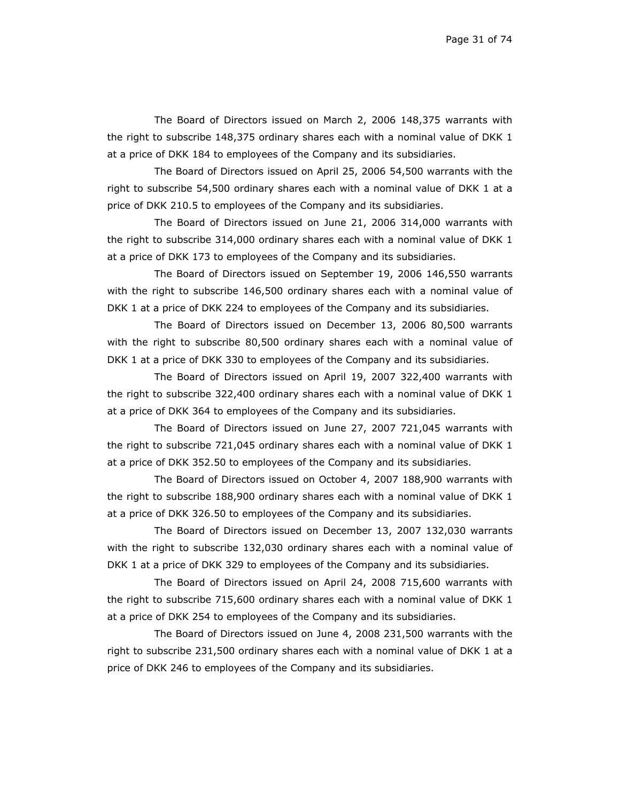The Board of Directors issued on March 2, 2006 148,375 warrants with the right to subscribe 148,375 ordinary shares each with a nominal value of DKK 1 at a price of DKK 184 to employees of the Company and its subsidiaries.

The Board of Directors issued on April 25, 2006 54,500 warrants with the right to subscribe 54,500 ordinary shares each with a nominal value of DKK 1 at a price of DKK 210.5 to employees of the Company and its subsidiaries.

The Board of Directors issued on June 21, 2006 314,000 warrants with the right to subscribe 314,000 ordinary shares each with a nominal value of DKK 1 at a price of DKK 173 to employees of the Company and its subsidiaries.

The Board of Directors issued on September 19, 2006 146,550 warrants with the right to subscribe 146,500 ordinary shares each with a nominal value of DKK 1 at a price of DKK 224 to employees of the Company and its subsidiaries.

The Board of Directors issued on December 13, 2006 80,500 warrants with the right to subscribe 80,500 ordinary shares each with a nominal value of DKK 1 at a price of DKK 330 to employees of the Company and its subsidiaries.

The Board of Directors issued on April 19, 2007 322,400 warrants with the right to subscribe 322,400 ordinary shares each with a nominal value of DKK 1 at a price of DKK 364 to employees of the Company and its subsidiaries.

The Board of Directors issued on June 27, 2007 721,045 warrants with the right to subscribe 721,045 ordinary shares each with a nominal value of DKK 1 at a price of DKK 352.50 to employees of the Company and its subsidiaries.

The Board of Directors issued on October 4, 2007 188,900 warrants with the right to subscribe 188,900 ordinary shares each with a nominal value of DKK 1 at a price of DKK 326.50 to employees of the Company and its subsidiaries.

The Board of Directors issued on December 13, 2007 132,030 warrants with the right to subscribe 132,030 ordinary shares each with a nominal value of DKK 1 at a price of DKK 329 to employees of the Company and its subsidiaries.

The Board of Directors issued on April 24, 2008 715,600 warrants with the right to subscribe 715,600 ordinary shares each with a nominal value of DKK 1 at a price of DKK 254 to employees of the Company and its subsidiaries.

The Board of Directors issued on June 4, 2008 231,500 warrants with the right to subscribe 231,500 ordinary shares each with a nominal value of DKK 1 at a price of DKK 246 to employees of the Company and its subsidiaries.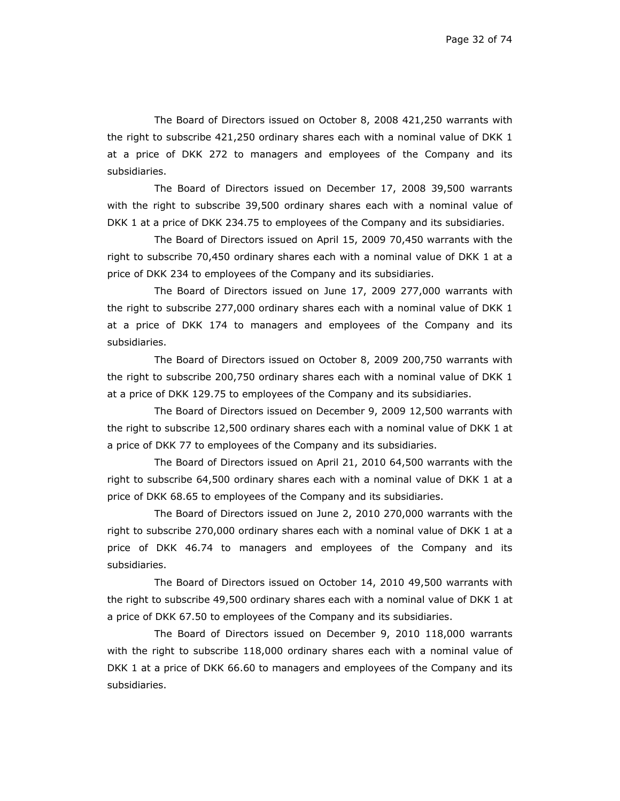The Board of Directors issued on October 8, 2008 421,250 warrants with the right to subscribe 421,250 ordinary shares each with a nominal value of DKK 1 at a price of DKK 272 to managers and employees of the Company and its subsidiaries.

The Board of Directors issued on December 17, 2008 39,500 warrants with the right to subscribe 39,500 ordinary shares each with a nominal value of DKK 1 at a price of DKK 234.75 to employees of the Company and its subsidiaries.

The Board of Directors issued on April 15, 2009 70,450 warrants with the right to subscribe 70,450 ordinary shares each with a nominal value of DKK 1 at a price of DKK 234 to employees of the Company and its subsidiaries.

The Board of Directors issued on June 17, 2009 277,000 warrants with the right to subscribe 277,000 ordinary shares each with a nominal value of DKK 1 at a price of DKK 174 to managers and employees of the Company and its subsidiaries.

The Board of Directors issued on October 8, 2009 200,750 warrants with the right to subscribe 200,750 ordinary shares each with a nominal value of DKK 1 at a price of DKK 129.75 to employees of the Company and its subsidiaries.

The Board of Directors issued on December 9, 2009 12,500 warrants with the right to subscribe 12,500 ordinary shares each with a nominal value of DKK 1 at a price of DKK 77 to employees of the Company and its subsidiaries.

The Board of Directors issued on April 21, 2010 64,500 warrants with the right to subscribe 64,500 ordinary shares each with a nominal value of DKK 1 at a price of DKK 68.65 to employees of the Company and its subsidiaries.

The Board of Directors issued on June 2, 2010 270,000 warrants with the right to subscribe 270,000 ordinary shares each with a nominal value of DKK 1 at a price of DKK 46.74 to managers and employees of the Company and its subsidiaries.

The Board of Directors issued on October 14, 2010 49,500 warrants with the right to subscribe 49,500 ordinary shares each with a nominal value of DKK 1 at a price of DKK 67.50 to employees of the Company and its subsidiaries.

The Board of Directors issued on December 9, 2010 118,000 warrants with the right to subscribe 118,000 ordinary shares each with a nominal value of DKK 1 at a price of DKK 66.60 to managers and employees of the Company and its subsidiaries.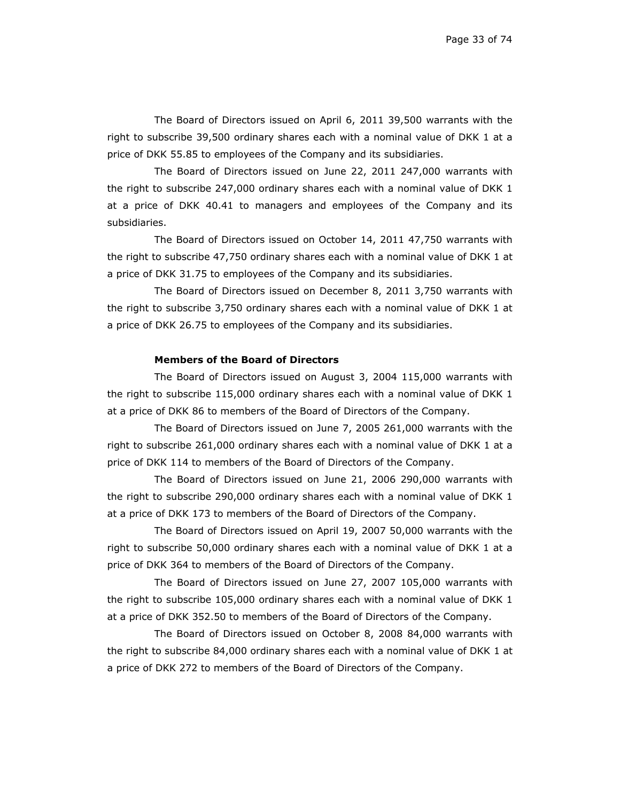The Board of Directors issued on April 6, 2011 39,500 warrants with the right to subscribe 39,500 ordinary shares each with a nominal value of DKK 1 at a price of DKK 55.85 to employees of the Company and its subsidiaries.

The Board of Directors issued on June 22, 2011 247,000 warrants with the right to subscribe 247,000 ordinary shares each with a nominal value of DKK 1 at a price of DKK 40.41 to managers and employees of the Company and its subsidiaries.

The Board of Directors issued on October 14, 2011 47,750 warrants with the right to subscribe 47,750 ordinary shares each with a nominal value of DKK 1 at a price of DKK 31.75 to employees of the Company and its subsidiaries.

The Board of Directors issued on December 8, 2011 3,750 warrants with the right to subscribe 3,750 ordinary shares each with a nominal value of DKK 1 at a price of DKK 26.75 to employees of the Company and its subsidiaries.

### **Members of the Board of Directors**

The Board of Directors issued on August 3, 2004 115,000 warrants with the right to subscribe 115,000 ordinary shares each with a nominal value of DKK 1 at a price of DKK 86 to members of the Board of Directors of the Company.

The Board of Directors issued on June 7, 2005 261,000 warrants with the right to subscribe 261,000 ordinary shares each with a nominal value of DKK 1 at a price of DKK 114 to members of the Board of Directors of the Company.

The Board of Directors issued on June 21, 2006 290,000 warrants with the right to subscribe 290,000 ordinary shares each with a nominal value of DKK 1 at a price of DKK 173 to members of the Board of Directors of the Company.

The Board of Directors issued on April 19, 2007 50,000 warrants with the right to subscribe 50,000 ordinary shares each with a nominal value of DKK 1 at a price of DKK 364 to members of the Board of Directors of the Company.

The Board of Directors issued on June 27, 2007 105,000 warrants with the right to subscribe 105,000 ordinary shares each with a nominal value of DKK 1 at a price of DKK 352.50 to members of the Board of Directors of the Company.

The Board of Directors issued on October 8, 2008 84,000 warrants with the right to subscribe 84,000 ordinary shares each with a nominal value of DKK 1 at a price of DKK 272 to members of the Board of Directors of the Company.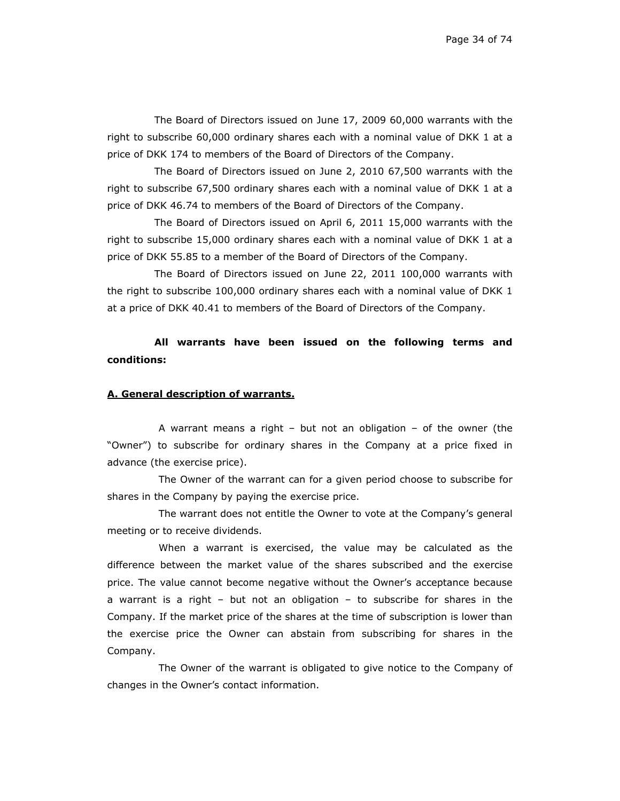The Board of Directors issued on June 17, 2009 60,000 warrants with the right to subscribe 60,000 ordinary shares each with a nominal value of DKK 1 at a price of DKK 174 to members of the Board of Directors of the Company.

The Board of Directors issued on June 2, 2010 67,500 warrants with the right to subscribe 67,500 ordinary shares each with a nominal value of DKK 1 at a price of DKK 46.74 to members of the Board of Directors of the Company.

The Board of Directors issued on April 6, 2011 15,000 warrants with the right to subscribe 15,000 ordinary shares each with a nominal value of DKK 1 at a price of DKK 55.85 to a member of the Board of Directors of the Company.

The Board of Directors issued on June 22, 2011 100,000 warrants with the right to subscribe 100,000 ordinary shares each with a nominal value of DKK 1 at a price of DKK 40.41 to members of the Board of Directors of the Company.

**All warrants have been issued on the following terms and conditions:** 

#### **A. General description of warrants.**

A warrant means a right – but not an obligation – of the owner (the "Owner") to subscribe for ordinary shares in the Company at a price fixed in advance (the exercise price).

The Owner of the warrant can for a given period choose to subscribe for shares in the Company by paying the exercise price.

The warrant does not entitle the Owner to vote at the Company's general meeting or to receive dividends.

When a warrant is exercised, the value may be calculated as the difference between the market value of the shares subscribed and the exercise price. The value cannot become negative without the Owner's acceptance because a warrant is a right – but not an obligation – to subscribe for shares in the Company. If the market price of the shares at the time of subscription is lower than the exercise price the Owner can abstain from subscribing for shares in the Company.

The Owner of the warrant is obligated to give notice to the Company of changes in the Owner's contact information.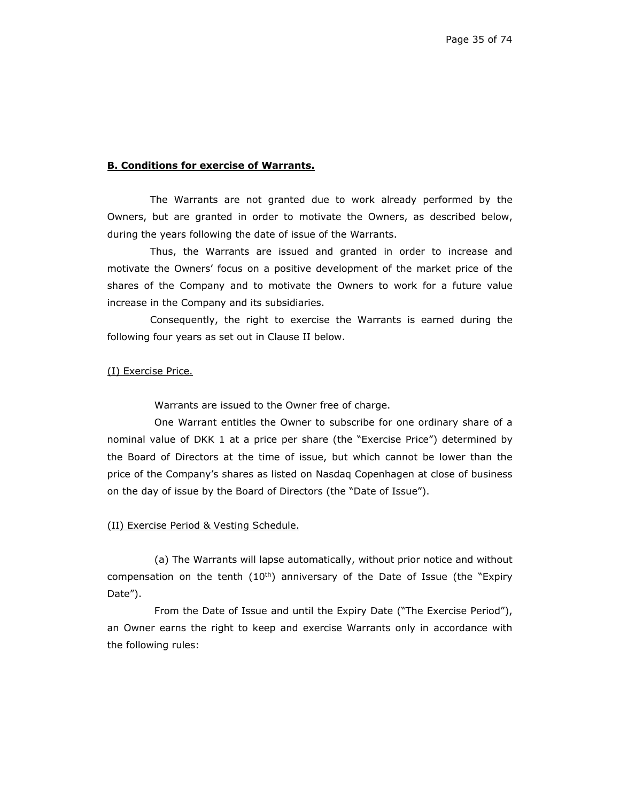## **B. Conditions for exercise of Warrants.**

The Warrants are not granted due to work already performed by the Owners, but are granted in order to motivate the Owners, as described below, during the years following the date of issue of the Warrants.

Thus, the Warrants are issued and granted in order to increase and motivate the Owners' focus on a positive development of the market price of the shares of the Company and to motivate the Owners to work for a future value increase in the Company and its subsidiaries.

Consequently, the right to exercise the Warrants is earned during the following four years as set out in Clause II below.

#### (I) Exercise Price.

Warrants are issued to the Owner free of charge.

One Warrant entitles the Owner to subscribe for one ordinary share of a nominal value of DKK 1 at a price per share (the "Exercise Price") determined by the Board of Directors at the time of issue, but which cannot be lower than the price of the Company's shares as listed on Nasdaq Copenhagen at close of business on the day of issue by the Board of Directors (the "Date of Issue").

#### (II) Exercise Period & Vesting Schedule.

(a) The Warrants will lapse automatically, without prior notice and without compensation on the tenth  $(10<sup>th</sup>)$  anniversary of the Date of Issue (the "Expiry Date").

From the Date of Issue and until the Expiry Date ("The Exercise Period"), an Owner earns the right to keep and exercise Warrants only in accordance with the following rules: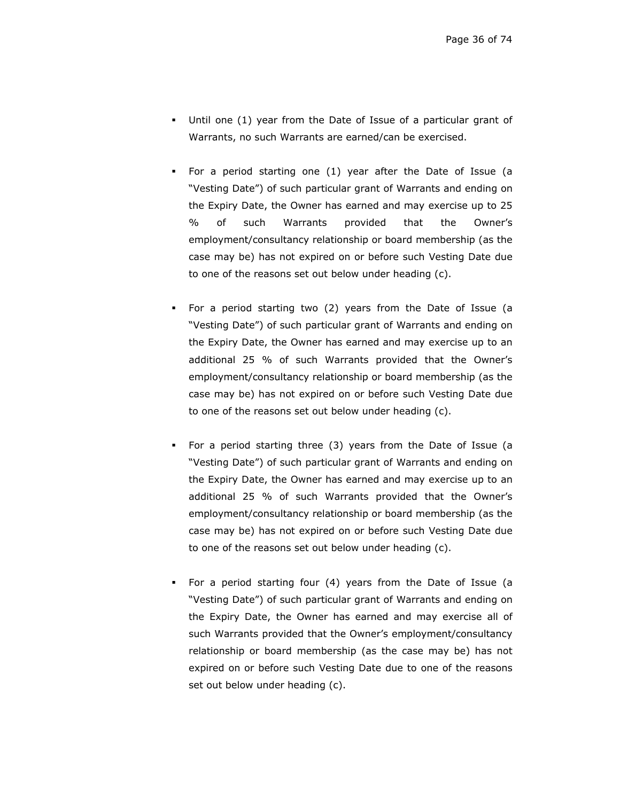- Until one (1) year from the Date of Issue of a particular grant of Warrants, no such Warrants are earned/can be exercised.
- For a period starting one (1) year after the Date of Issue (a "Vesting Date") of such particular grant of Warrants and ending on the Expiry Date, the Owner has earned and may exercise up to 25 % of such Warrants provided that the Owner's employment/consultancy relationship or board membership (as the case may be) has not expired on or before such Vesting Date due to one of the reasons set out below under heading (c).
- For a period starting two (2) years from the Date of Issue (a "Vesting Date") of such particular grant of Warrants and ending on the Expiry Date, the Owner has earned and may exercise up to an additional 25 % of such Warrants provided that the Owner's employment/consultancy relationship or board membership (as the case may be) has not expired on or before such Vesting Date due to one of the reasons set out below under heading (c).
- For a period starting three (3) years from the Date of Issue (a "Vesting Date") of such particular grant of Warrants and ending on the Expiry Date, the Owner has earned and may exercise up to an additional 25 % of such Warrants provided that the Owner's employment/consultancy relationship or board membership (as the case may be) has not expired on or before such Vesting Date due to one of the reasons set out below under heading (c).
- For a period starting four (4) years from the Date of Issue (a "Vesting Date") of such particular grant of Warrants and ending on the Expiry Date, the Owner has earned and may exercise all of such Warrants provided that the Owner's employment/consultancy relationship or board membership (as the case may be) has not expired on or before such Vesting Date due to one of the reasons set out below under heading (c).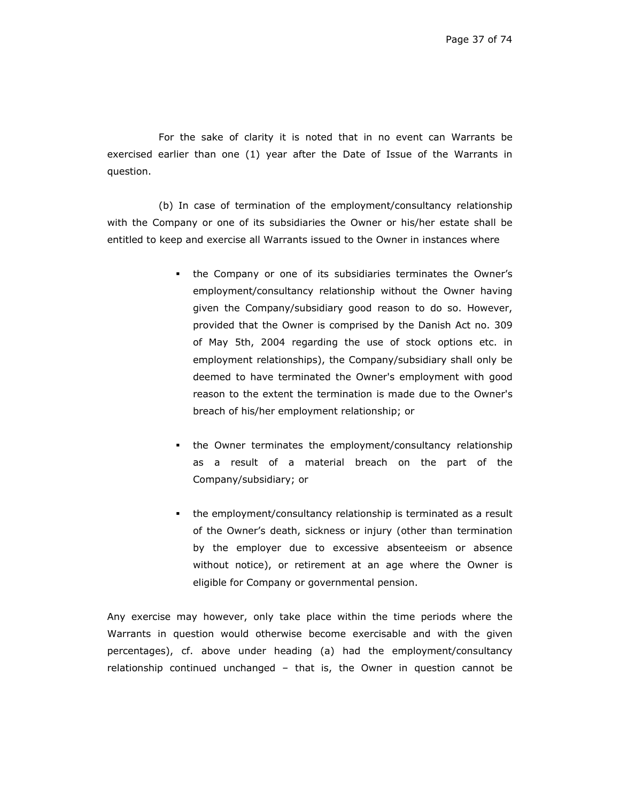For the sake of clarity it is noted that in no event can Warrants be exercised earlier than one (1) year after the Date of Issue of the Warrants in question.

(b) In case of termination of the employment/consultancy relationship with the Company or one of its subsidiaries the Owner or his/her estate shall be entitled to keep and exercise all Warrants issued to the Owner in instances where

- the Company or one of its subsidiaries terminates the Owner's employment/consultancy relationship without the Owner having given the Company/subsidiary good reason to do so. However, provided that the Owner is comprised by the Danish Act no. 309 of May 5th, 2004 regarding the use of stock options etc. in employment relationships), the Company/subsidiary shall only be deemed to have terminated the Owner's employment with good reason to the extent the termination is made due to the Owner's breach of his/her employment relationship; or
- the Owner terminates the employment/consultancy relationship as a result of a material breach on the part of the Company/subsidiary; or
- the employment/consultancy relationship is terminated as a result of the Owner's death, sickness or injury (other than termination by the employer due to excessive absenteeism or absence without notice), or retirement at an age where the Owner is eligible for Company or governmental pension.

Any exercise may however, only take place within the time periods where the Warrants in question would otherwise become exercisable and with the given percentages), cf. above under heading (a) had the employment/consultancy relationship continued unchanged – that is, the Owner in question cannot be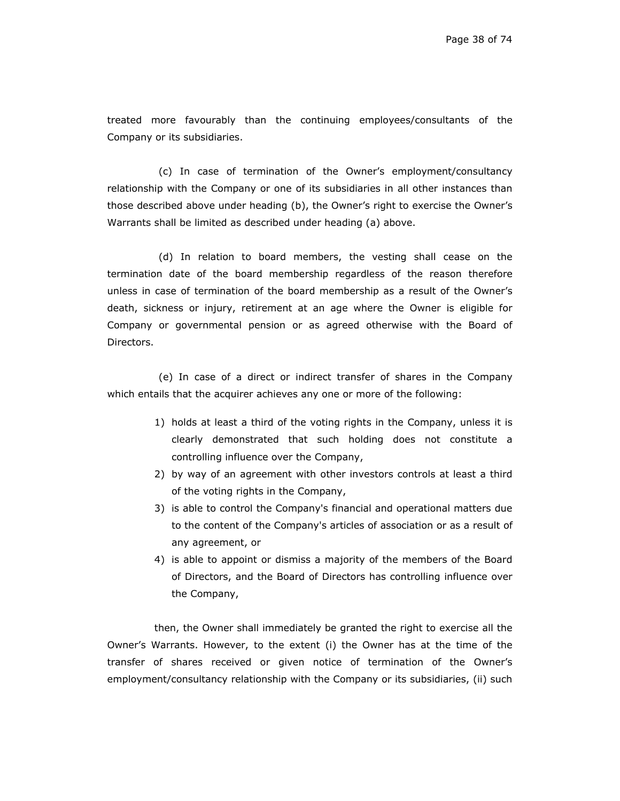treated more favourably than the continuing employees/consultants of the Company or its subsidiaries.

(c) In case of termination of the Owner's employment/consultancy relationship with the Company or one of its subsidiaries in all other instances than those described above under heading (b), the Owner's right to exercise the Owner's Warrants shall be limited as described under heading (a) above.

(d) In relation to board members, the vesting shall cease on the termination date of the board membership regardless of the reason therefore unless in case of termination of the board membership as a result of the Owner's death, sickness or injury, retirement at an age where the Owner is eligible for Company or governmental pension or as agreed otherwise with the Board of Directors.

(e) In case of a direct or indirect transfer of shares in the Company which entails that the acquirer achieves any one or more of the following:

- 1) holds at least a third of the voting rights in the Company, unless it is clearly demonstrated that such holding does not constitute a controlling influence over the Company,
- 2) by way of an agreement with other investors controls at least a third of the voting rights in the Company,
- 3) is able to control the Company's financial and operational matters due to the content of the Company's articles of association or as a result of any agreement, or
- 4) is able to appoint or dismiss a majority of the members of the Board of Directors, and the Board of Directors has controlling influence over the Company,

then, the Owner shall immediately be granted the right to exercise all the Owner's Warrants. However, to the extent (i) the Owner has at the time of the transfer of shares received or given notice of termination of the Owner's employment/consultancy relationship with the Company or its subsidiaries, (ii) such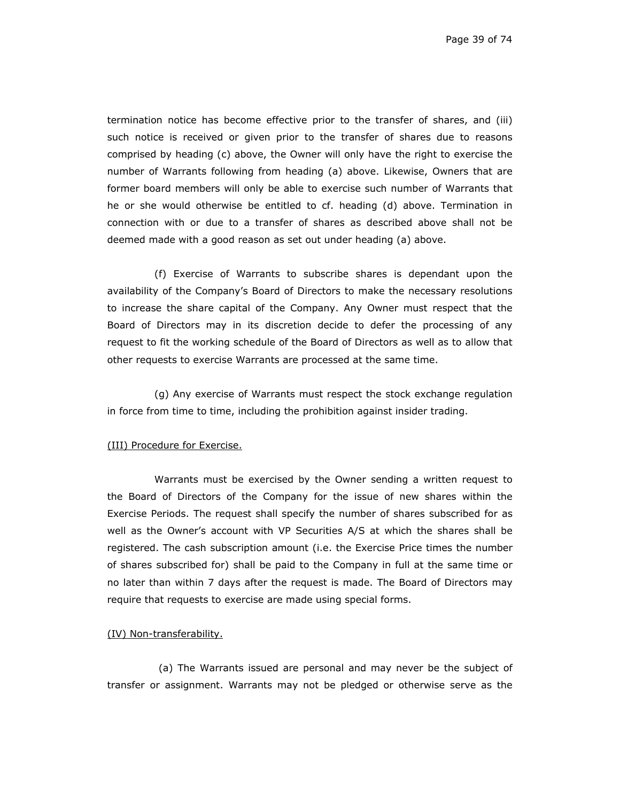Page 39 of 74

termination notice has become effective prior to the transfer of shares, and (iii) such notice is received or given prior to the transfer of shares due to reasons comprised by heading (c) above, the Owner will only have the right to exercise the number of Warrants following from heading (a) above. Likewise, Owners that are former board members will only be able to exercise such number of Warrants that he or she would otherwise be entitled to cf. heading (d) above. Termination in connection with or due to a transfer of shares as described above shall not be deemed made with a good reason as set out under heading (a) above.

(f) Exercise of Warrants to subscribe shares is dependant upon the availability of the Company's Board of Directors to make the necessary resolutions to increase the share capital of the Company. Any Owner must respect that the Board of Directors may in its discretion decide to defer the processing of any request to fit the working schedule of the Board of Directors as well as to allow that other requests to exercise Warrants are processed at the same time.

(g) Any exercise of Warrants must respect the stock exchange regulation in force from time to time, including the prohibition against insider trading.

## (III) Procedure for Exercise.

Warrants must be exercised by the Owner sending a written request to the Board of Directors of the Company for the issue of new shares within the Exercise Periods. The request shall specify the number of shares subscribed for as well as the Owner's account with VP Securities A/S at which the shares shall be registered. The cash subscription amount (i.e. the Exercise Price times the number of shares subscribed for) shall be paid to the Company in full at the same time or no later than within 7 days after the request is made. The Board of Directors may require that requests to exercise are made using special forms.

## (IV) Non-transferability.

(a) The Warrants issued are personal and may never be the subject of transfer or assignment. Warrants may not be pledged or otherwise serve as the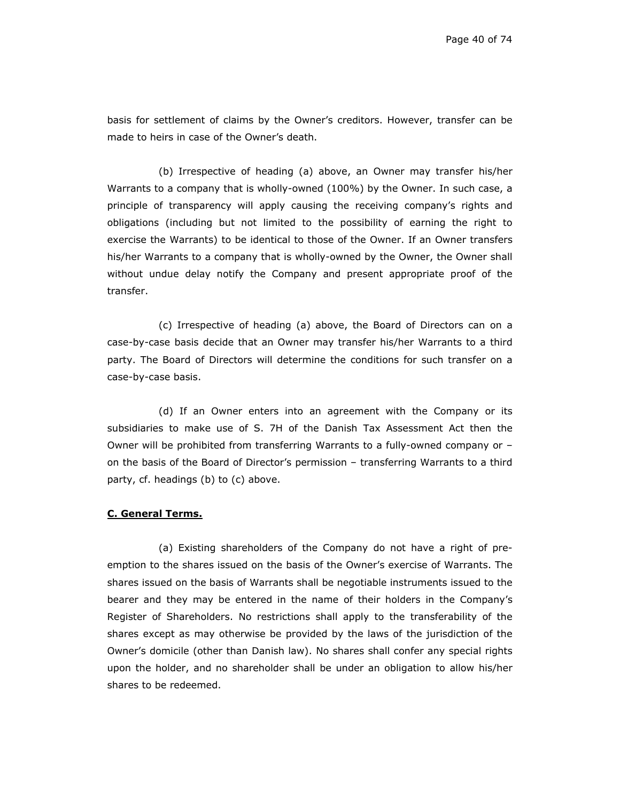basis for settlement of claims by the Owner's creditors. However, transfer can be made to heirs in case of the Owner's death.

(b) Irrespective of heading (a) above, an Owner may transfer his/her Warrants to a company that is wholly-owned (100%) by the Owner. In such case, a principle of transparency will apply causing the receiving company's rights and obligations (including but not limited to the possibility of earning the right to exercise the Warrants) to be identical to those of the Owner. If an Owner transfers his/her Warrants to a company that is wholly-owned by the Owner, the Owner shall without undue delay notify the Company and present appropriate proof of the transfer.

(c) Irrespective of heading (a) above, the Board of Directors can on a case-by-case basis decide that an Owner may transfer his/her Warrants to a third party. The Board of Directors will determine the conditions for such transfer on a case-by-case basis.

(d) If an Owner enters into an agreement with the Company or its subsidiaries to make use of S. 7H of the Danish Tax Assessment Act then the Owner will be prohibited from transferring Warrants to a fully-owned company or – on the basis of the Board of Director's permission – transferring Warrants to a third party, cf. headings (b) to (c) above.

## **C. General Terms.**

(a) Existing shareholders of the Company do not have a right of preemption to the shares issued on the basis of the Owner's exercise of Warrants. The shares issued on the basis of Warrants shall be negotiable instruments issued to the bearer and they may be entered in the name of their holders in the Company's Register of Shareholders. No restrictions shall apply to the transferability of the shares except as may otherwise be provided by the laws of the jurisdiction of the Owner's domicile (other than Danish law). No shares shall confer any special rights upon the holder, and no shareholder shall be under an obligation to allow his/her shares to be redeemed.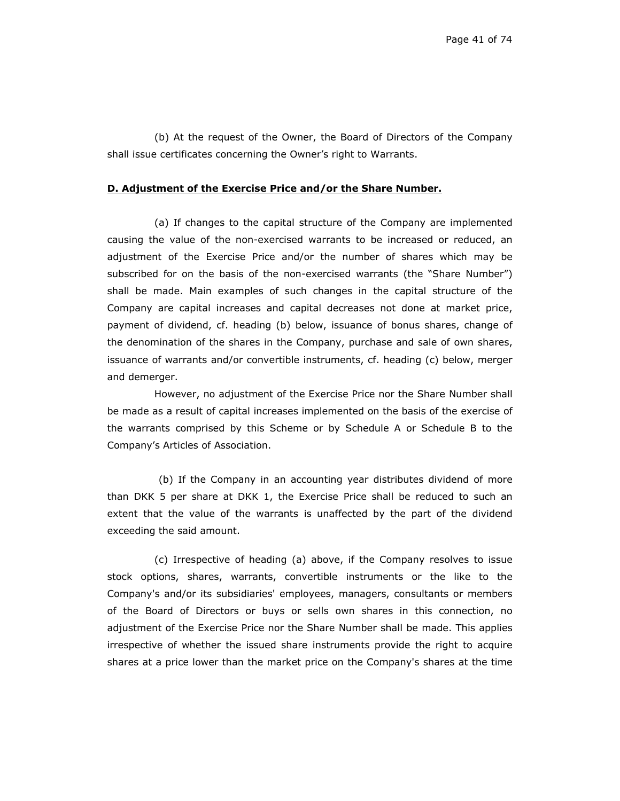(b) At the request of the Owner, the Board of Directors of the Company shall issue certificates concerning the Owner's right to Warrants.

## **D. Adjustment of the Exercise Price and/or the Share Number.**

(a) If changes to the capital structure of the Company are implemented causing the value of the non-exercised warrants to be increased or reduced, an adjustment of the Exercise Price and/or the number of shares which may be subscribed for on the basis of the non-exercised warrants (the "Share Number") shall be made. Main examples of such changes in the capital structure of the Company are capital increases and capital decreases not done at market price, payment of dividend, cf. heading (b) below, issuance of bonus shares, change of the denomination of the shares in the Company, purchase and sale of own shares, issuance of warrants and/or convertible instruments, cf. heading (c) below, merger and demerger.

However, no adjustment of the Exercise Price nor the Share Number shall be made as a result of capital increases implemented on the basis of the exercise of the warrants comprised by this Scheme or by Schedule A or Schedule B to the Company's Articles of Association.

(b) If the Company in an accounting year distributes dividend of more than DKK 5 per share at DKK 1, the Exercise Price shall be reduced to such an extent that the value of the warrants is unaffected by the part of the dividend exceeding the said amount.

(c) Irrespective of heading (a) above, if the Company resolves to issue stock options, shares, warrants, convertible instruments or the like to the Company's and/or its subsidiaries' employees, managers, consultants or members of the Board of Directors or buys or sells own shares in this connection, no adjustment of the Exercise Price nor the Share Number shall be made. This applies irrespective of whether the issued share instruments provide the right to acquire shares at a price lower than the market price on the Company's shares at the time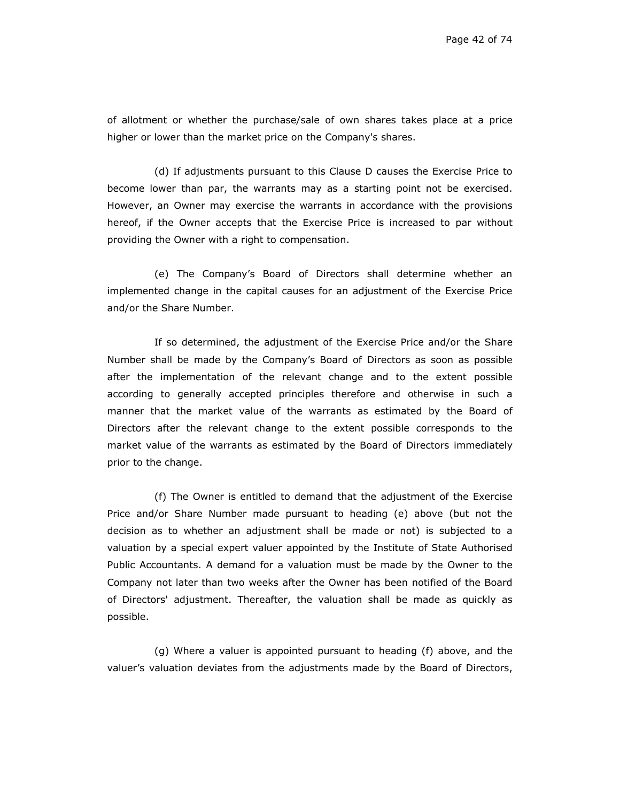of allotment or whether the purchase/sale of own shares takes place at a price higher or lower than the market price on the Company's shares.

(d) If adjustments pursuant to this Clause D causes the Exercise Price to become lower than par, the warrants may as a starting point not be exercised. However, an Owner may exercise the warrants in accordance with the provisions hereof, if the Owner accepts that the Exercise Price is increased to par without providing the Owner with a right to compensation.

(e) The Company's Board of Directors shall determine whether an implemented change in the capital causes for an adjustment of the Exercise Price and/or the Share Number.

If so determined, the adjustment of the Exercise Price and/or the Share Number shall be made by the Company's Board of Directors as soon as possible after the implementation of the relevant change and to the extent possible according to generally accepted principles therefore and otherwise in such a manner that the market value of the warrants as estimated by the Board of Directors after the relevant change to the extent possible corresponds to the market value of the warrants as estimated by the Board of Directors immediately prior to the change.

(f) The Owner is entitled to demand that the adjustment of the Exercise Price and/or Share Number made pursuant to heading (e) above (but not the decision as to whether an adjustment shall be made or not) is subjected to a valuation by a special expert valuer appointed by the Institute of State Authorised Public Accountants. A demand for a valuation must be made by the Owner to the Company not later than two weeks after the Owner has been notified of the Board of Directors' adjustment. Thereafter, the valuation shall be made as quickly as possible.

(g) Where a valuer is appointed pursuant to heading (f) above, and the valuer's valuation deviates from the adjustments made by the Board of Directors,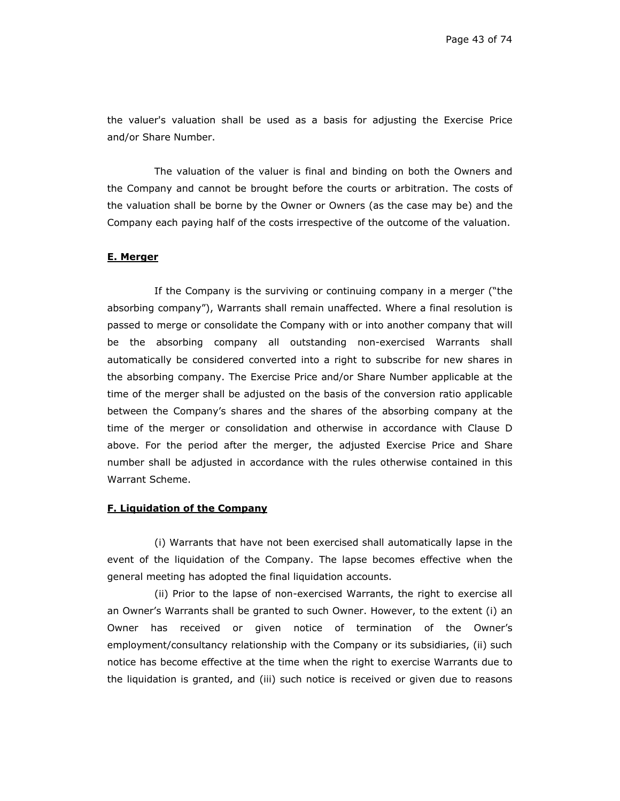the valuer's valuation shall be used as a basis for adjusting the Exercise Price and/or Share Number.

The valuation of the valuer is final and binding on both the Owners and the Company and cannot be brought before the courts or arbitration. The costs of the valuation shall be borne by the Owner or Owners (as the case may be) and the Company each paying half of the costs irrespective of the outcome of the valuation.

### **E. Merger**

If the Company is the surviving or continuing company in a merger ("the absorbing company"), Warrants shall remain unaffected. Where a final resolution is passed to merge or consolidate the Company with or into another company that will be the absorbing company all outstanding non-exercised Warrants shall automatically be considered converted into a right to subscribe for new shares in the absorbing company. The Exercise Price and/or Share Number applicable at the time of the merger shall be adjusted on the basis of the conversion ratio applicable between the Company's shares and the shares of the absorbing company at the time of the merger or consolidation and otherwise in accordance with Clause D above. For the period after the merger, the adjusted Exercise Price and Share number shall be adjusted in accordance with the rules otherwise contained in this Warrant Scheme.

## **F. Liquidation of the Company**

(i) Warrants that have not been exercised shall automatically lapse in the event of the liquidation of the Company. The lapse becomes effective when the general meeting has adopted the final liquidation accounts.

(ii) Prior to the lapse of non-exercised Warrants, the right to exercise all an Owner's Warrants shall be granted to such Owner. However, to the extent (i) an Owner has received or given notice of termination of the Owner's employment/consultancy relationship with the Company or its subsidiaries, (ii) such notice has become effective at the time when the right to exercise Warrants due to the liquidation is granted, and (iii) such notice is received or given due to reasons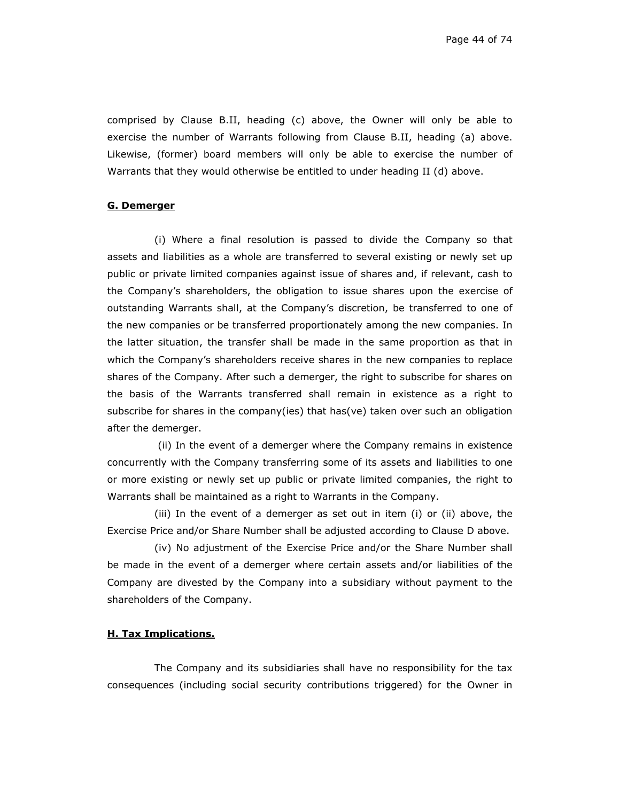Page 44 of 74

comprised by Clause B.II, heading (c) above, the Owner will only be able to exercise the number of Warrants following from Clause B.II, heading (a) above. Likewise, (former) board members will only be able to exercise the number of Warrants that they would otherwise be entitled to under heading II (d) above.

## **G. Demerger**

(i) Where a final resolution is passed to divide the Company so that assets and liabilities as a whole are transferred to several existing or newly set up public or private limited companies against issue of shares and, if relevant, cash to the Company's shareholders, the obligation to issue shares upon the exercise of outstanding Warrants shall, at the Company's discretion, be transferred to one of the new companies or be transferred proportionately among the new companies. In the latter situation, the transfer shall be made in the same proportion as that in which the Company's shareholders receive shares in the new companies to replace shares of the Company. After such a demerger, the right to subscribe for shares on the basis of the Warrants transferred shall remain in existence as a right to subscribe for shares in the company(ies) that has(ve) taken over such an obligation after the demerger.

 (ii) In the event of a demerger where the Company remains in existence concurrently with the Company transferring some of its assets and liabilities to one or more existing or newly set up public or private limited companies, the right to Warrants shall be maintained as a right to Warrants in the Company.

(iii) In the event of a demerger as set out in item (i) or (ii) above, the Exercise Price and/or Share Number shall be adjusted according to Clause D above.

(iv) No adjustment of the Exercise Price and/or the Share Number shall be made in the event of a demerger where certain assets and/or liabilities of the Company are divested by the Company into a subsidiary without payment to the shareholders of the Company.

# **H. Tax Implications.**

The Company and its subsidiaries shall have no responsibility for the tax consequences (including social security contributions triggered) for the Owner in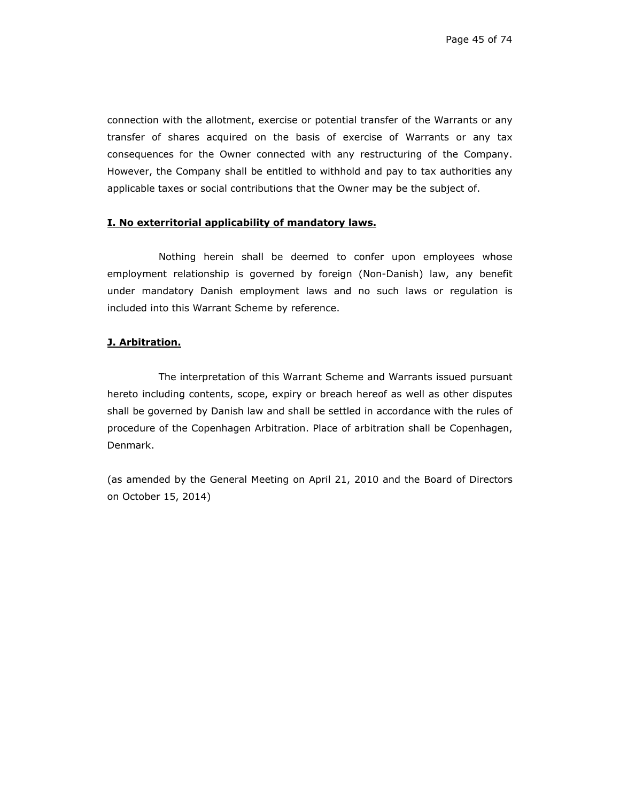connection with the allotment, exercise or potential transfer of the Warrants or any transfer of shares acquired on the basis of exercise of Warrants or any tax consequences for the Owner connected with any restructuring of the Company. However, the Company shall be entitled to withhold and pay to tax authorities any applicable taxes or social contributions that the Owner may be the subject of.

# **I. No exterritorial applicability of mandatory laws.**

Nothing herein shall be deemed to confer upon employees whose employment relationship is governed by foreign (Non-Danish) law, any benefit under mandatory Danish employment laws and no such laws or regulation is included into this Warrant Scheme by reference.

# **J. Arbitration.**

The interpretation of this Warrant Scheme and Warrants issued pursuant hereto including contents, scope, expiry or breach hereof as well as other disputes shall be governed by Danish law and shall be settled in accordance with the rules of procedure of the Copenhagen Arbitration. Place of arbitration shall be Copenhagen, Denmark.

(as amended by the General Meeting on April 21, 2010 and the Board of Directors on October 15, 2014)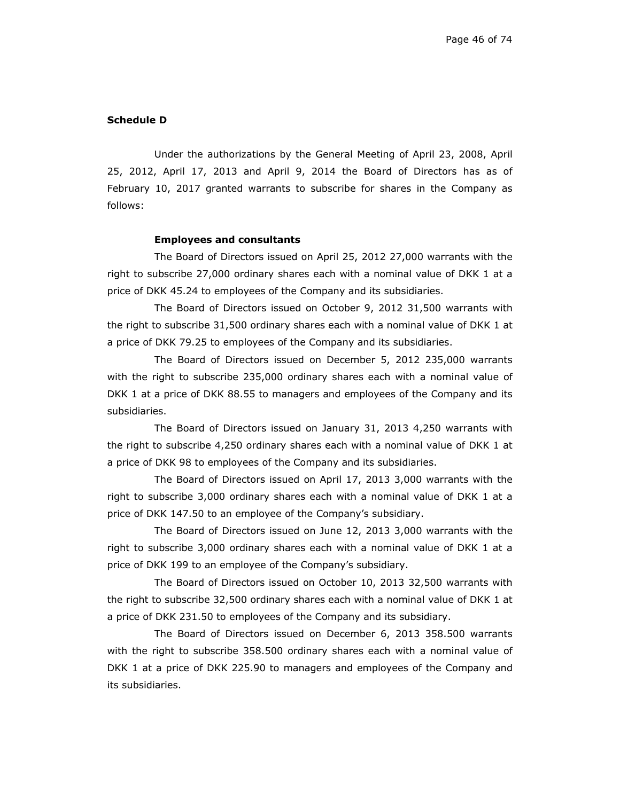#### **Schedule D**

Under the authorizations by the General Meeting of April 23, 2008, April 25, 2012, April 17, 2013 and April 9, 2014 the Board of Directors has as of February 10, 2017 granted warrants to subscribe for shares in the Company as follows:

#### **Employees and consultants**

The Board of Directors issued on April 25, 2012 27,000 warrants with the right to subscribe 27,000 ordinary shares each with a nominal value of DKK 1 at a price of DKK 45.24 to employees of the Company and its subsidiaries.

The Board of Directors issued on October 9, 2012 31,500 warrants with the right to subscribe 31,500 ordinary shares each with a nominal value of DKK 1 at a price of DKK 79.25 to employees of the Company and its subsidiaries.

The Board of Directors issued on December 5, 2012 235,000 warrants with the right to subscribe 235,000 ordinary shares each with a nominal value of DKK 1 at a price of DKK 88.55 to managers and employees of the Company and its subsidiaries.

The Board of Directors issued on January 31, 2013 4,250 warrants with the right to subscribe 4,250 ordinary shares each with a nominal value of DKK 1 at a price of DKK 98 to employees of the Company and its subsidiaries.

The Board of Directors issued on April 17, 2013 3,000 warrants with the right to subscribe 3,000 ordinary shares each with a nominal value of DKK 1 at a price of DKK 147.50 to an employee of the Company's subsidiary.

The Board of Directors issued on June 12, 2013 3,000 warrants with the right to subscribe 3,000 ordinary shares each with a nominal value of DKK 1 at a price of DKK 199 to an employee of the Company's subsidiary.

The Board of Directors issued on October 10, 2013 32,500 warrants with the right to subscribe 32,500 ordinary shares each with a nominal value of DKK 1 at a price of DKK 231.50 to employees of the Company and its subsidiary.

The Board of Directors issued on December 6, 2013 358.500 warrants with the right to subscribe 358.500 ordinary shares each with a nominal value of DKK 1 at a price of DKK 225.90 to managers and employees of the Company and its subsidiaries.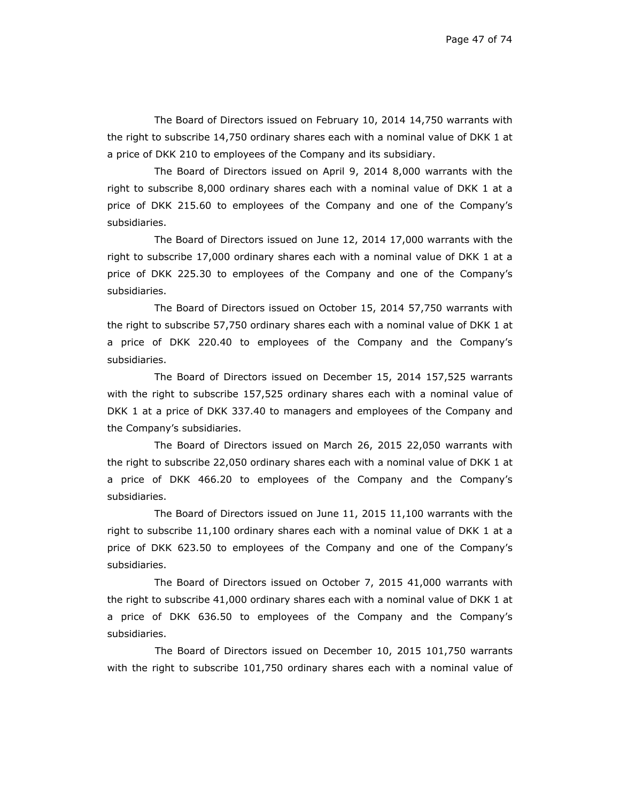The Board of Directors issued on February 10, 2014 14,750 warrants with the right to subscribe 14,750 ordinary shares each with a nominal value of DKK 1 at a price of DKK 210 to employees of the Company and its subsidiary.

The Board of Directors issued on April 9, 2014 8,000 warrants with the right to subscribe 8,000 ordinary shares each with a nominal value of DKK 1 at a price of DKK 215.60 to employees of the Company and one of the Company's subsidiaries.

The Board of Directors issued on June 12, 2014 17,000 warrants with the right to subscribe 17,000 ordinary shares each with a nominal value of DKK 1 at a price of DKK 225.30 to employees of the Company and one of the Company's subsidiaries.

The Board of Directors issued on October 15, 2014 57,750 warrants with the right to subscribe 57,750 ordinary shares each with a nominal value of DKK 1 at a price of DKK 220.40 to employees of the Company and the Company's subsidiaries.

The Board of Directors issued on December 15, 2014 157,525 warrants with the right to subscribe 157,525 ordinary shares each with a nominal value of DKK 1 at a price of DKK 337.40 to managers and employees of the Company and the Company's subsidiaries.

The Board of Directors issued on March 26, 2015 22,050 warrants with the right to subscribe 22,050 ordinary shares each with a nominal value of DKK 1 at a price of DKK 466.20 to employees of the Company and the Company's subsidiaries.

The Board of Directors issued on June 11, 2015 11,100 warrants with the right to subscribe 11,100 ordinary shares each with a nominal value of DKK 1 at a price of DKK 623.50 to employees of the Company and one of the Company's subsidiaries.

The Board of Directors issued on October 7, 2015 41,000 warrants with the right to subscribe 41,000 ordinary shares each with a nominal value of DKK 1 at a price of DKK 636.50 to employees of the Company and the Company's subsidiaries.

 The Board of Directors issued on December 10, 2015 101,750 warrants with the right to subscribe 101,750 ordinary shares each with a nominal value of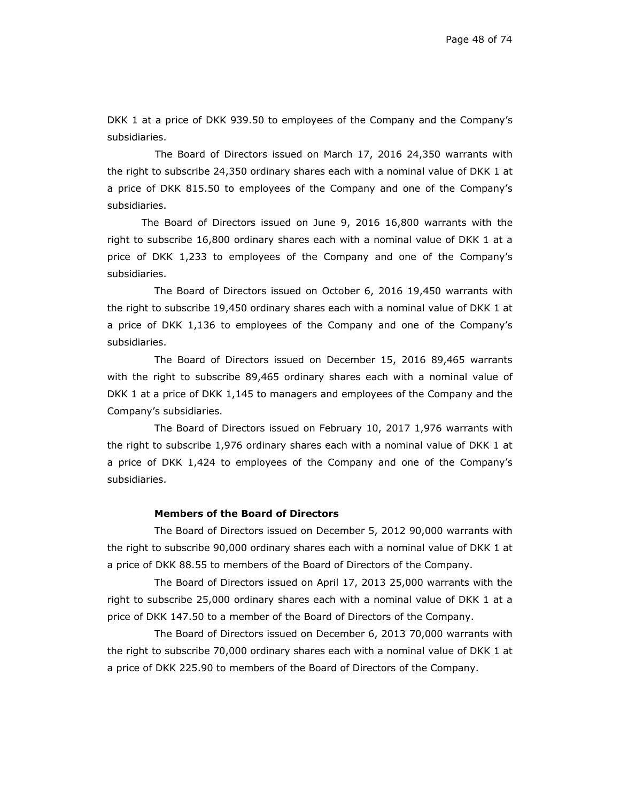DKK 1 at a price of DKK 939.50 to employees of the Company and the Company's subsidiaries.

 The Board of Directors issued on March 17, 2016 24,350 warrants with the right to subscribe 24,350 ordinary shares each with a nominal value of DKK 1 at a price of DKK 815.50 to employees of the Company and one of the Company's subsidiaries.

The Board of Directors issued on June 9, 2016 16,800 warrants with the right to subscribe 16,800 ordinary shares each with a nominal value of DKK 1 at a price of DKK 1,233 to employees of the Company and one of the Company's subsidiaries.

The Board of Directors issued on October 6, 2016 19,450 warrants with the right to subscribe 19,450 ordinary shares each with a nominal value of DKK 1 at a price of DKK 1,136 to employees of the Company and one of the Company's subsidiaries.

The Board of Directors issued on December 15, 2016 89,465 warrants with the right to subscribe 89,465 ordinary shares each with a nominal value of DKK 1 at a price of DKK 1,145 to managers and employees of the Company and the Company's subsidiaries.

The Board of Directors issued on February 10, 2017 1,976 warrants with the right to subscribe 1,976 ordinary shares each with a nominal value of DKK 1 at a price of DKK 1,424 to employees of the Company and one of the Company's subsidiaries.

## **Members of the Board of Directors**

The Board of Directors issued on December 5, 2012 90,000 warrants with the right to subscribe 90,000 ordinary shares each with a nominal value of DKK 1 at a price of DKK 88.55 to members of the Board of Directors of the Company.

The Board of Directors issued on April 17, 2013 25,000 warrants with the right to subscribe 25,000 ordinary shares each with a nominal value of DKK 1 at a price of DKK 147.50 to a member of the Board of Directors of the Company.

The Board of Directors issued on December 6, 2013 70,000 warrants with the right to subscribe 70,000 ordinary shares each with a nominal value of DKK 1 at a price of DKK 225.90 to members of the Board of Directors of the Company.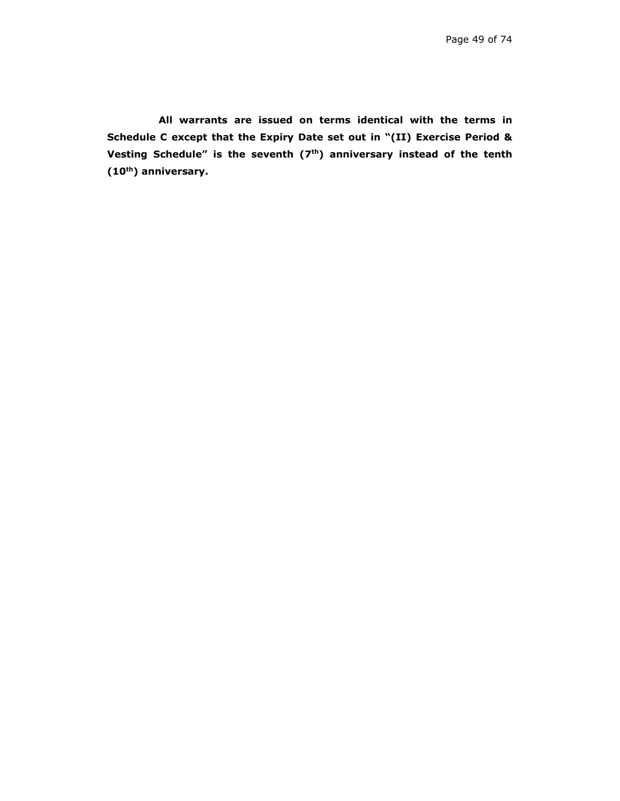**All warrants are issued on terms identical with the terms in Schedule C except that the Expiry Date set out in "(II) Exercise Period &**  Vesting Schedule" is the seventh (7<sup>th</sup>) anniversary instead of the tenth **(10th) anniversary.**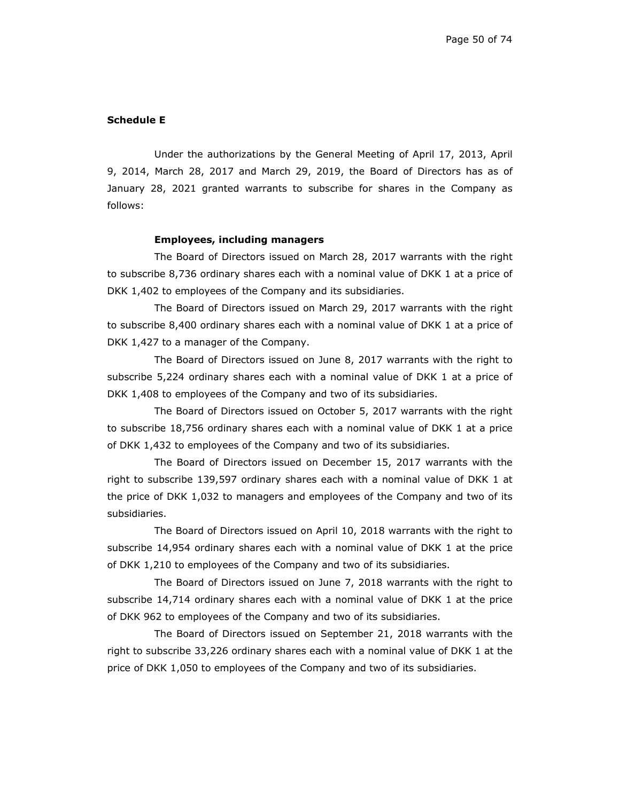#### **Schedule E**

Under the authorizations by the General Meeting of April 17, 2013, April 9, 2014, March 28, 2017 and March 29, 2019, the Board of Directors has as of January 28, 2021 granted warrants to subscribe for shares in the Company as follows:

#### **Employees, including managers**

The Board of Directors issued on March 28, 2017 warrants with the right to subscribe 8,736 ordinary shares each with a nominal value of DKK 1 at a price of DKK 1,402 to employees of the Company and its subsidiaries.

The Board of Directors issued on March 29, 2017 warrants with the right to subscribe 8,400 ordinary shares each with a nominal value of DKK 1 at a price of DKK 1,427 to a manager of the Company.

The Board of Directors issued on June 8, 2017 warrants with the right to subscribe 5,224 ordinary shares each with a nominal value of DKK 1 at a price of DKK 1,408 to employees of the Company and two of its subsidiaries.

The Board of Directors issued on October 5, 2017 warrants with the right to subscribe 18,756 ordinary shares each with a nominal value of DKK 1 at a price of DKK 1,432 to employees of the Company and two of its subsidiaries.

The Board of Directors issued on December 15, 2017 warrants with the right to subscribe 139,597 ordinary shares each with a nominal value of DKK 1 at the price of DKK 1,032 to managers and employees of the Company and two of its subsidiaries.

The Board of Directors issued on April 10, 2018 warrants with the right to subscribe 14,954 ordinary shares each with a nominal value of DKK 1 at the price of DKK 1,210 to employees of the Company and two of its subsidiaries.

The Board of Directors issued on June 7, 2018 warrants with the right to subscribe 14,714 ordinary shares each with a nominal value of DKK 1 at the price of DKK 962 to employees of the Company and two of its subsidiaries.

The Board of Directors issued on September 21, 2018 warrants with the right to subscribe 33,226 ordinary shares each with a nominal value of DKK 1 at the price of DKK 1,050 to employees of the Company and two of its subsidiaries.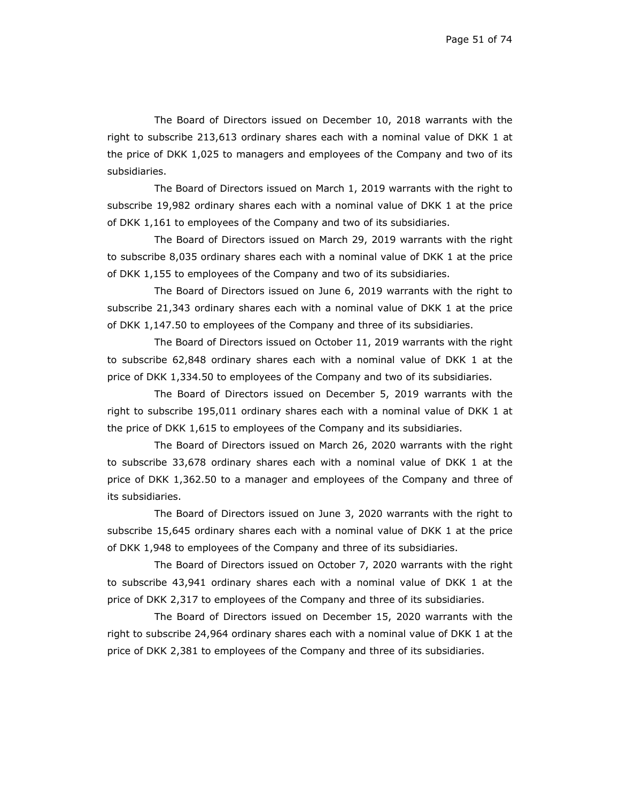The Board of Directors issued on December 10, 2018 warrants with the right to subscribe 213,613 ordinary shares each with a nominal value of DKK 1 at the price of DKK 1,025 to managers and employees of the Company and two of its subsidiaries.

The Board of Directors issued on March 1, 2019 warrants with the right to subscribe 19,982 ordinary shares each with a nominal value of DKK 1 at the price of DKK 1,161 to employees of the Company and two of its subsidiaries.

The Board of Directors issued on March 29, 2019 warrants with the right to subscribe 8,035 ordinary shares each with a nominal value of DKK 1 at the price of DKK 1,155 to employees of the Company and two of its subsidiaries.

The Board of Directors issued on June 6, 2019 warrants with the right to subscribe 21,343 ordinary shares each with a nominal value of DKK 1 at the price of DKK 1,147.50 to employees of the Company and three of its subsidiaries.

The Board of Directors issued on October 11, 2019 warrants with the right to subscribe 62,848 ordinary shares each with a nominal value of DKK 1 at the price of DKK 1,334.50 to employees of the Company and two of its subsidiaries.

The Board of Directors issued on December 5, 2019 warrants with the right to subscribe 195,011 ordinary shares each with a nominal value of DKK 1 at the price of DKK 1,615 to employees of the Company and its subsidiaries.

The Board of Directors issued on March 26, 2020 warrants with the right to subscribe 33,678 ordinary shares each with a nominal value of DKK 1 at the price of DKK 1,362.50 to a manager and employees of the Company and three of its subsidiaries.

The Board of Directors issued on June 3, 2020 warrants with the right to subscribe 15,645 ordinary shares each with a nominal value of DKK 1 at the price of DKK 1,948 to employees of the Company and three of its subsidiaries.

The Board of Directors issued on October 7, 2020 warrants with the right to subscribe 43,941 ordinary shares each with a nominal value of DKK 1 at the price of DKK 2,317 to employees of the Company and three of its subsidiaries.

The Board of Directors issued on December 15, 2020 warrants with the right to subscribe 24,964 ordinary shares each with a nominal value of DKK 1 at the price of DKK 2,381 to employees of the Company and three of its subsidiaries.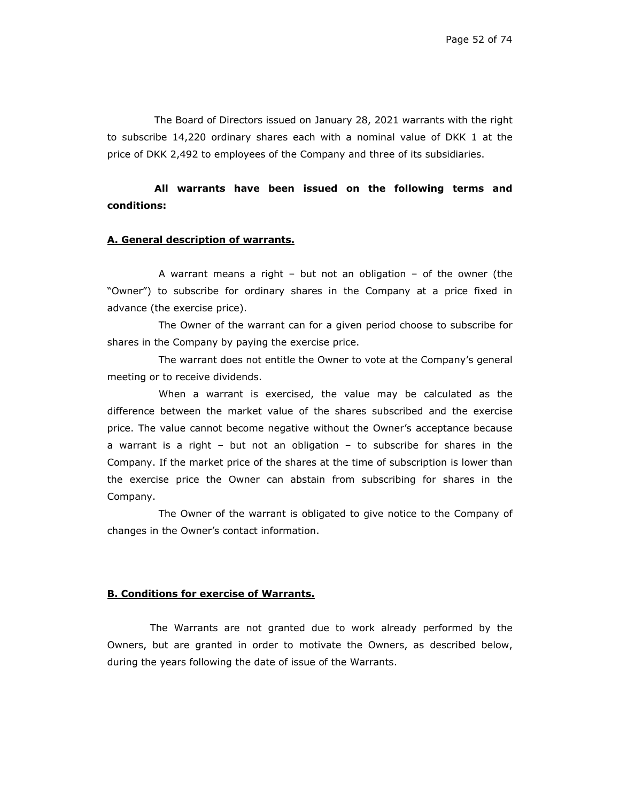The Board of Directors issued on January 28, 2021 warrants with the right to subscribe 14,220 ordinary shares each with a nominal value of DKK 1 at the price of DKK 2,492 to employees of the Company and three of its subsidiaries.

**All warrants have been issued on the following terms and conditions:** 

#### **A. General description of warrants.**

A warrant means a right – but not an obligation – of the owner (the "Owner") to subscribe for ordinary shares in the Company at a price fixed in advance (the exercise price).

The Owner of the warrant can for a given period choose to subscribe for shares in the Company by paying the exercise price.

The warrant does not entitle the Owner to vote at the Company's general meeting or to receive dividends.

When a warrant is exercised, the value may be calculated as the difference between the market value of the shares subscribed and the exercise price. The value cannot become negative without the Owner's acceptance because a warrant is a right – but not an obligation – to subscribe for shares in the Company. If the market price of the shares at the time of subscription is lower than the exercise price the Owner can abstain from subscribing for shares in the Company.

The Owner of the warrant is obligated to give notice to the Company of changes in the Owner's contact information.

### **B. Conditions for exercise of Warrants.**

The Warrants are not granted due to work already performed by the Owners, but are granted in order to motivate the Owners, as described below, during the years following the date of issue of the Warrants.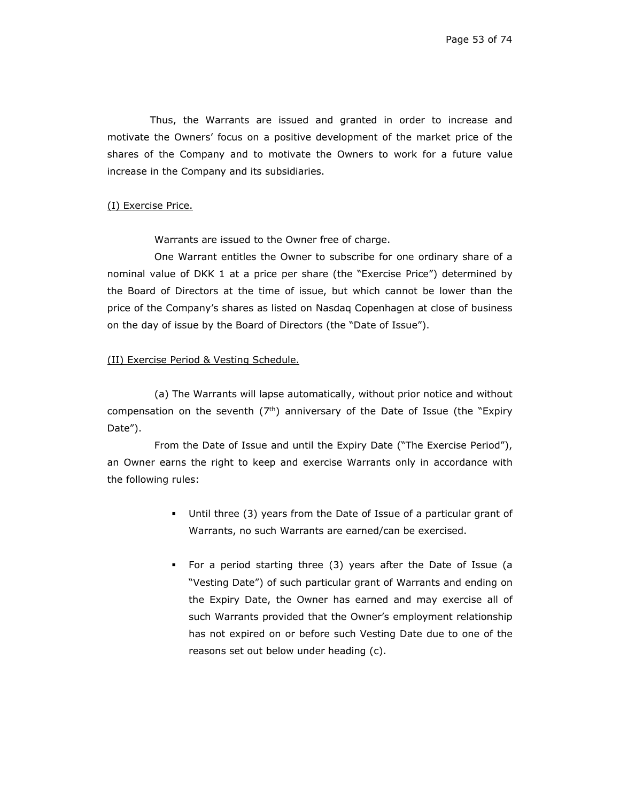Thus, the Warrants are issued and granted in order to increase and motivate the Owners' focus on a positive development of the market price of the shares of the Company and to motivate the Owners to work for a future value increase in the Company and its subsidiaries.

## (I) Exercise Price.

Warrants are issued to the Owner free of charge.

One Warrant entitles the Owner to subscribe for one ordinary share of a nominal value of DKK 1 at a price per share (the "Exercise Price") determined by the Board of Directors at the time of issue, but which cannot be lower than the price of the Company's shares as listed on Nasdaq Copenhagen at close of business on the day of issue by the Board of Directors (the "Date of Issue").

#### (II) Exercise Period & Vesting Schedule.

(a) The Warrants will lapse automatically, without prior notice and without compensation on the seventh  $(7<sup>th</sup>)$  anniversary of the Date of Issue (the "Expiry Date").

From the Date of Issue and until the Expiry Date ("The Exercise Period"), an Owner earns the right to keep and exercise Warrants only in accordance with the following rules:

- Until three (3) years from the Date of Issue of a particular grant of Warrants, no such Warrants are earned/can be exercised.
- For a period starting three (3) years after the Date of Issue (a "Vesting Date") of such particular grant of Warrants and ending on the Expiry Date, the Owner has earned and may exercise all of such Warrants provided that the Owner's employment relationship has not expired on or before such Vesting Date due to one of the reasons set out below under heading (c).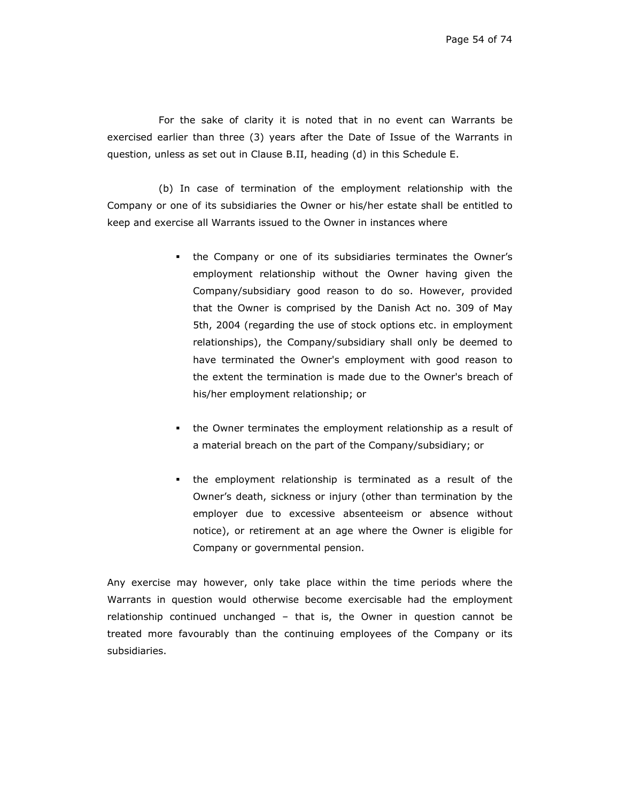For the sake of clarity it is noted that in no event can Warrants be exercised earlier than three (3) years after the Date of Issue of the Warrants in question, unless as set out in Clause B.II, heading (d) in this Schedule E.

(b) In case of termination of the employment relationship with the Company or one of its subsidiaries the Owner or his/her estate shall be entitled to keep and exercise all Warrants issued to the Owner in instances where

- the Company or one of its subsidiaries terminates the Owner's employment relationship without the Owner having given the Company/subsidiary good reason to do so. However, provided that the Owner is comprised by the Danish Act no. 309 of May 5th, 2004 (regarding the use of stock options etc. in employment relationships), the Company/subsidiary shall only be deemed to have terminated the Owner's employment with good reason to the extent the termination is made due to the Owner's breach of his/her employment relationship; or
- the Owner terminates the employment relationship as a result of a material breach on the part of the Company/subsidiary; or
- the employment relationship is terminated as a result of the Owner's death, sickness or injury (other than termination by the employer due to excessive absenteeism or absence without notice), or retirement at an age where the Owner is eligible for Company or governmental pension.

Any exercise may however, only take place within the time periods where the Warrants in question would otherwise become exercisable had the employment relationship continued unchanged – that is, the Owner in question cannot be treated more favourably than the continuing employees of the Company or its subsidiaries.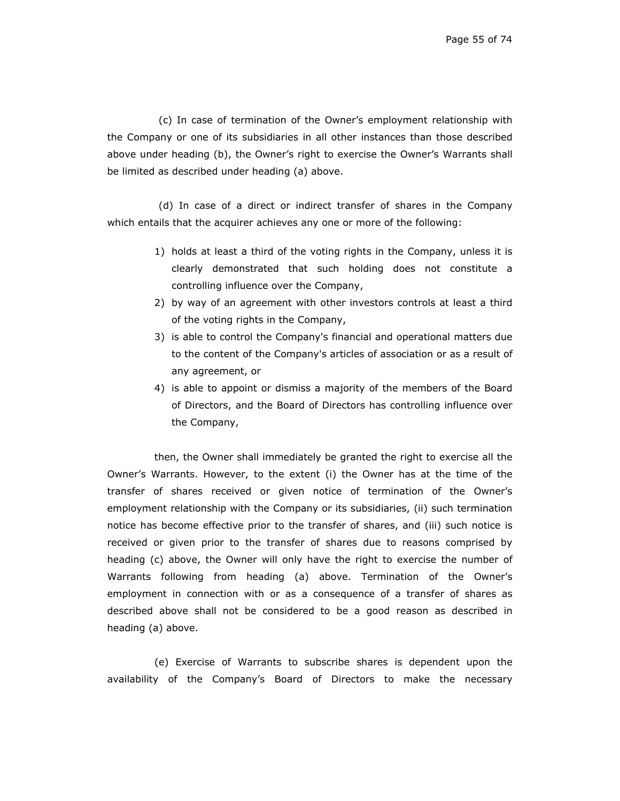(c) In case of termination of the Owner's employment relationship with the Company or one of its subsidiaries in all other instances than those described above under heading (b), the Owner's right to exercise the Owner's Warrants shall be limited as described under heading (a) above.

(d) In case of a direct or indirect transfer of shares in the Company which entails that the acquirer achieves any one or more of the following:

- 1) holds at least a third of the voting rights in the Company, unless it is clearly demonstrated that such holding does not constitute a controlling influence over the Company,
- 2) by way of an agreement with other investors controls at least a third of the voting rights in the Company,
- 3) is able to control the Company's financial and operational matters due to the content of the Company's articles of association or as a result of any agreement, or
- 4) is able to appoint or dismiss a majority of the members of the Board of Directors, and the Board of Directors has controlling influence over the Company,

then, the Owner shall immediately be granted the right to exercise all the Owner's Warrants. However, to the extent (i) the Owner has at the time of the transfer of shares received or given notice of termination of the Owner's employment relationship with the Company or its subsidiaries, (ii) such termination notice has become effective prior to the transfer of shares, and (iii) such notice is received or given prior to the transfer of shares due to reasons comprised by heading (c) above, the Owner will only have the right to exercise the number of Warrants following from heading (a) above. Termination of the Owner's employment in connection with or as a consequence of a transfer of shares as described above shall not be considered to be a good reason as described in heading (a) above.

(e) Exercise of Warrants to subscribe shares is dependent upon the availability of the Company's Board of Directors to make the necessary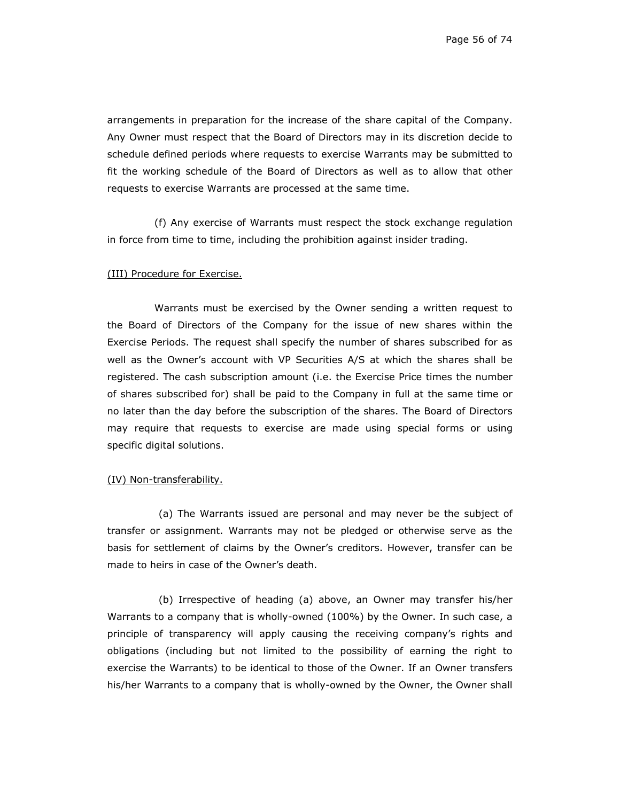arrangements in preparation for the increase of the share capital of the Company. Any Owner must respect that the Board of Directors may in its discretion decide to schedule defined periods where requests to exercise Warrants may be submitted to fit the working schedule of the Board of Directors as well as to allow that other requests to exercise Warrants are processed at the same time.

(f) Any exercise of Warrants must respect the stock exchange regulation in force from time to time, including the prohibition against insider trading.

### (III) Procedure for Exercise.

Warrants must be exercised by the Owner sending a written request to the Board of Directors of the Company for the issue of new shares within the Exercise Periods. The request shall specify the number of shares subscribed for as well as the Owner's account with VP Securities A/S at which the shares shall be registered. The cash subscription amount (i.e. the Exercise Price times the number of shares subscribed for) shall be paid to the Company in full at the same time or no later than the day before the subscription of the shares. The Board of Directors may require that requests to exercise are made using special forms or using specific digital solutions.

#### (IV) Non-transferability.

(a) The Warrants issued are personal and may never be the subject of transfer or assignment. Warrants may not be pledged or otherwise serve as the basis for settlement of claims by the Owner's creditors. However, transfer can be made to heirs in case of the Owner's death.

(b) Irrespective of heading (a) above, an Owner may transfer his/her Warrants to a company that is wholly-owned (100%) by the Owner. In such case, a principle of transparency will apply causing the receiving company's rights and obligations (including but not limited to the possibility of earning the right to exercise the Warrants) to be identical to those of the Owner. If an Owner transfers his/her Warrants to a company that is wholly-owned by the Owner, the Owner shall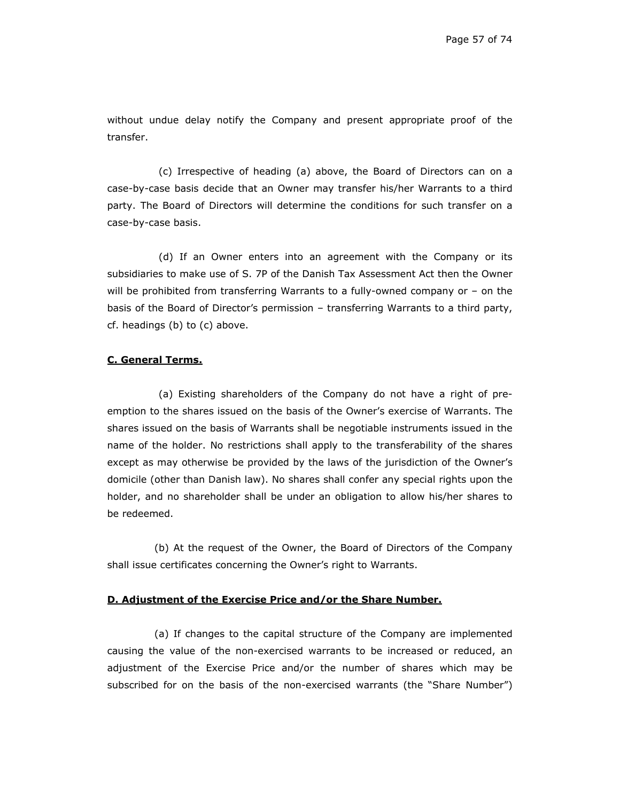without undue delay notify the Company and present appropriate proof of the transfer.

(c) Irrespective of heading (a) above, the Board of Directors can on a case-by-case basis decide that an Owner may transfer his/her Warrants to a third party. The Board of Directors will determine the conditions for such transfer on a case-by-case basis.

(d) If an Owner enters into an agreement with the Company or its subsidiaries to make use of S. 7P of the Danish Tax Assessment Act then the Owner will be prohibited from transferring Warrants to a fully-owned company or – on the basis of the Board of Director's permission – transferring Warrants to a third party, cf. headings (b) to (c) above.

#### **C. General Terms.**

(a) Existing shareholders of the Company do not have a right of preemption to the shares issued on the basis of the Owner's exercise of Warrants. The shares issued on the basis of Warrants shall be negotiable instruments issued in the name of the holder. No restrictions shall apply to the transferability of the shares except as may otherwise be provided by the laws of the jurisdiction of the Owner's domicile (other than Danish law). No shares shall confer any special rights upon the holder, and no shareholder shall be under an obligation to allow his/her shares to be redeemed.

(b) At the request of the Owner, the Board of Directors of the Company shall issue certificates concerning the Owner's right to Warrants.

## **D. Adjustment of the Exercise Price and/or the Share Number.**

(a) If changes to the capital structure of the Company are implemented causing the value of the non-exercised warrants to be increased or reduced, an adjustment of the Exercise Price and/or the number of shares which may be subscribed for on the basis of the non-exercised warrants (the "Share Number")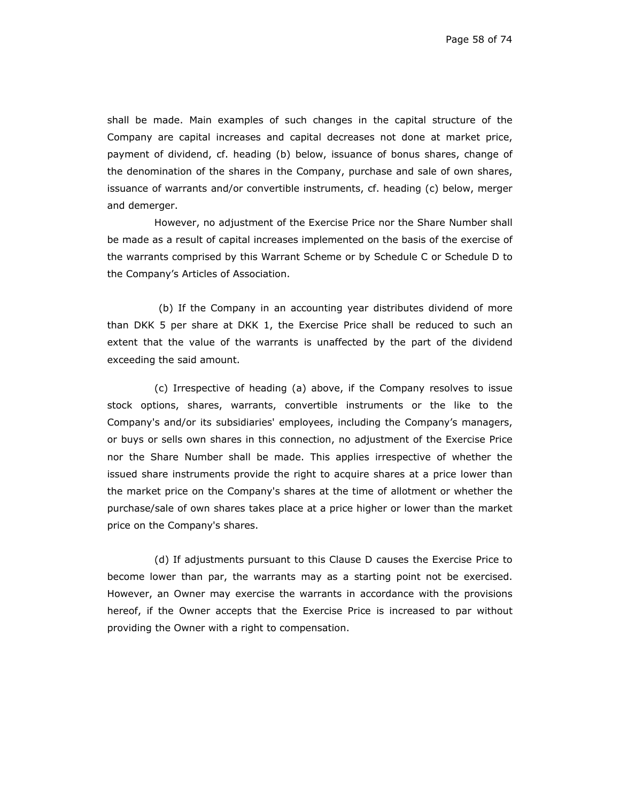shall be made. Main examples of such changes in the capital structure of the Company are capital increases and capital decreases not done at market price, payment of dividend, cf. heading (b) below, issuance of bonus shares, change of the denomination of the shares in the Company, purchase and sale of own shares, issuance of warrants and/or convertible instruments, cf. heading (c) below, merger and demerger.

However, no adjustment of the Exercise Price nor the Share Number shall be made as a result of capital increases implemented on the basis of the exercise of the warrants comprised by this Warrant Scheme or by Schedule C or Schedule D to the Company's Articles of Association.

(b) If the Company in an accounting year distributes dividend of more than DKK 5 per share at DKK 1, the Exercise Price shall be reduced to such an extent that the value of the warrants is unaffected by the part of the dividend exceeding the said amount.

(c) Irrespective of heading (a) above, if the Company resolves to issue stock options, shares, warrants, convertible instruments or the like to the Company's and/or its subsidiaries' employees, including the Company's managers, or buys or sells own shares in this connection, no adjustment of the Exercise Price nor the Share Number shall be made. This applies irrespective of whether the issued share instruments provide the right to acquire shares at a price lower than the market price on the Company's shares at the time of allotment or whether the purchase/sale of own shares takes place at a price higher or lower than the market price on the Company's shares.

(d) If adjustments pursuant to this Clause D causes the Exercise Price to become lower than par, the warrants may as a starting point not be exercised. However, an Owner may exercise the warrants in accordance with the provisions hereof, if the Owner accepts that the Exercise Price is increased to par without providing the Owner with a right to compensation.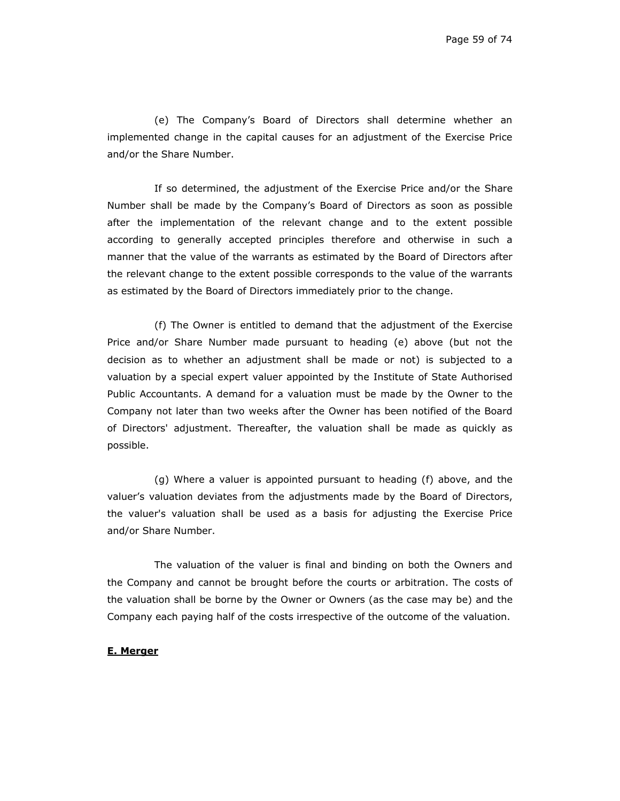(e) The Company's Board of Directors shall determine whether an implemented change in the capital causes for an adjustment of the Exercise Price and/or the Share Number.

If so determined, the adjustment of the Exercise Price and/or the Share Number shall be made by the Company's Board of Directors as soon as possible after the implementation of the relevant change and to the extent possible according to generally accepted principles therefore and otherwise in such a manner that the value of the warrants as estimated by the Board of Directors after the relevant change to the extent possible corresponds to the value of the warrants as estimated by the Board of Directors immediately prior to the change.

(f) The Owner is entitled to demand that the adjustment of the Exercise Price and/or Share Number made pursuant to heading (e) above (but not the decision as to whether an adjustment shall be made or not) is subjected to a valuation by a special expert valuer appointed by the Institute of State Authorised Public Accountants. A demand for a valuation must be made by the Owner to the Company not later than two weeks after the Owner has been notified of the Board of Directors' adjustment. Thereafter, the valuation shall be made as quickly as possible.

(g) Where a valuer is appointed pursuant to heading (f) above, and the valuer's valuation deviates from the adjustments made by the Board of Directors, the valuer's valuation shall be used as a basis for adjusting the Exercise Price and/or Share Number.

The valuation of the valuer is final and binding on both the Owners and the Company and cannot be brought before the courts or arbitration. The costs of the valuation shall be borne by the Owner or Owners (as the case may be) and the Company each paying half of the costs irrespective of the outcome of the valuation.

## **E. Merger**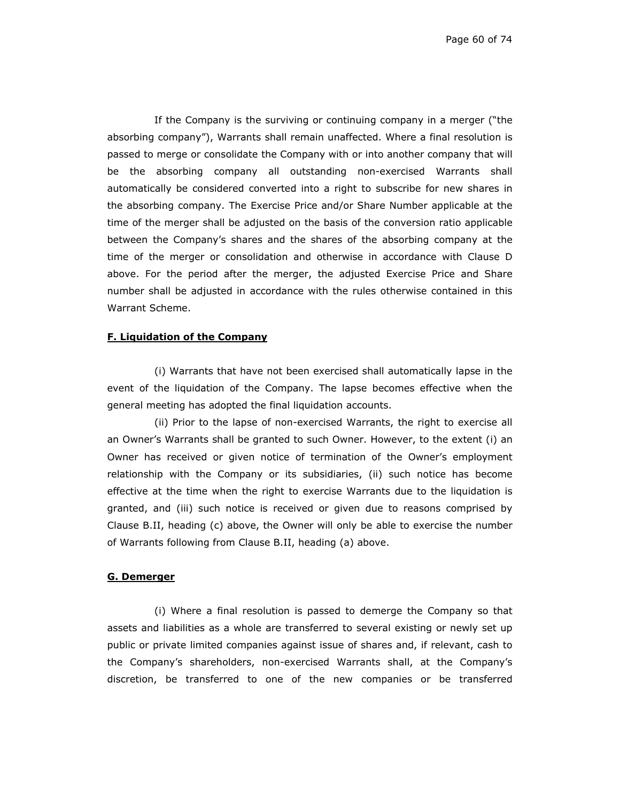If the Company is the surviving or continuing company in a merger ("the absorbing company"), Warrants shall remain unaffected. Where a final resolution is passed to merge or consolidate the Company with or into another company that will be the absorbing company all outstanding non-exercised Warrants shall automatically be considered converted into a right to subscribe for new shares in the absorbing company. The Exercise Price and/or Share Number applicable at the time of the merger shall be adjusted on the basis of the conversion ratio applicable between the Company's shares and the shares of the absorbing company at the time of the merger or consolidation and otherwise in accordance with Clause D above. For the period after the merger, the adjusted Exercise Price and Share number shall be adjusted in accordance with the rules otherwise contained in this Warrant Scheme.

## **F. Liquidation of the Company**

(i) Warrants that have not been exercised shall automatically lapse in the event of the liquidation of the Company. The lapse becomes effective when the general meeting has adopted the final liquidation accounts.

(ii) Prior to the lapse of non-exercised Warrants, the right to exercise all an Owner's Warrants shall be granted to such Owner. However, to the extent (i) an Owner has received or given notice of termination of the Owner's employment relationship with the Company or its subsidiaries, (ii) such notice has become effective at the time when the right to exercise Warrants due to the liquidation is granted, and (iii) such notice is received or given due to reasons comprised by Clause B.II, heading (c) above, the Owner will only be able to exercise the number of Warrants following from Clause B.II, heading (a) above.

#### **G. Demerger**

(i) Where a final resolution is passed to demerge the Company so that assets and liabilities as a whole are transferred to several existing or newly set up public or private limited companies against issue of shares and, if relevant, cash to the Company's shareholders, non-exercised Warrants shall, at the Company's discretion, be transferred to one of the new companies or be transferred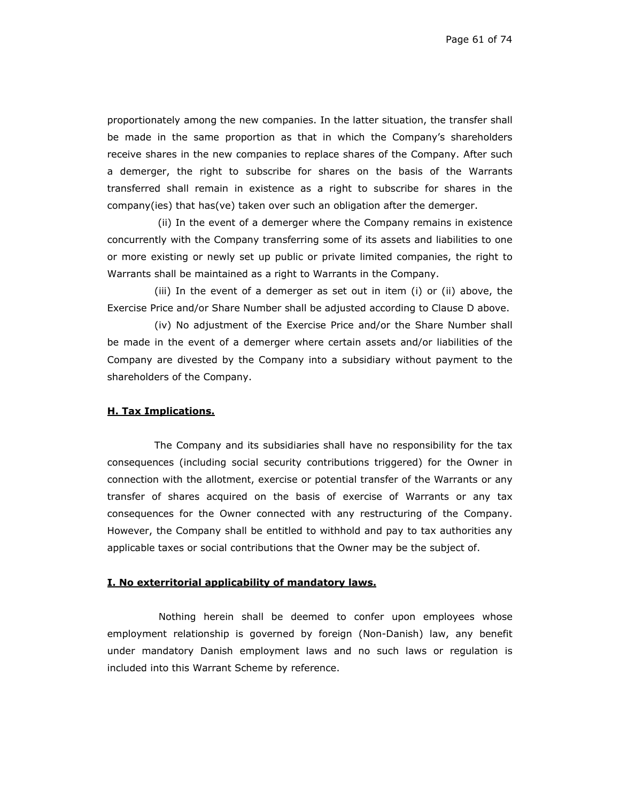proportionately among the new companies. In the latter situation, the transfer shall be made in the same proportion as that in which the Company's shareholders receive shares in the new companies to replace shares of the Company. After such a demerger, the right to subscribe for shares on the basis of the Warrants transferred shall remain in existence as a right to subscribe for shares in the company(ies) that has(ve) taken over such an obligation after the demerger.

 (ii) In the event of a demerger where the Company remains in existence concurrently with the Company transferring some of its assets and liabilities to one or more existing or newly set up public or private limited companies, the right to Warrants shall be maintained as a right to Warrants in the Company.

(iii) In the event of a demerger as set out in item (i) or (ii) above, the Exercise Price and/or Share Number shall be adjusted according to Clause D above.

(iv) No adjustment of the Exercise Price and/or the Share Number shall be made in the event of a demerger where certain assets and/or liabilities of the Company are divested by the Company into a subsidiary without payment to the shareholders of the Company.

#### **H. Tax Implications.**

The Company and its subsidiaries shall have no responsibility for the tax consequences (including social security contributions triggered) for the Owner in connection with the allotment, exercise or potential transfer of the Warrants or any transfer of shares acquired on the basis of exercise of Warrants or any tax consequences for the Owner connected with any restructuring of the Company. However, the Company shall be entitled to withhold and pay to tax authorities any applicable taxes or social contributions that the Owner may be the subject of.

#### **I. No exterritorial applicability of mandatory laws.**

Nothing herein shall be deemed to confer upon employees whose employment relationship is governed by foreign (Non-Danish) law, any benefit under mandatory Danish employment laws and no such laws or regulation is included into this Warrant Scheme by reference.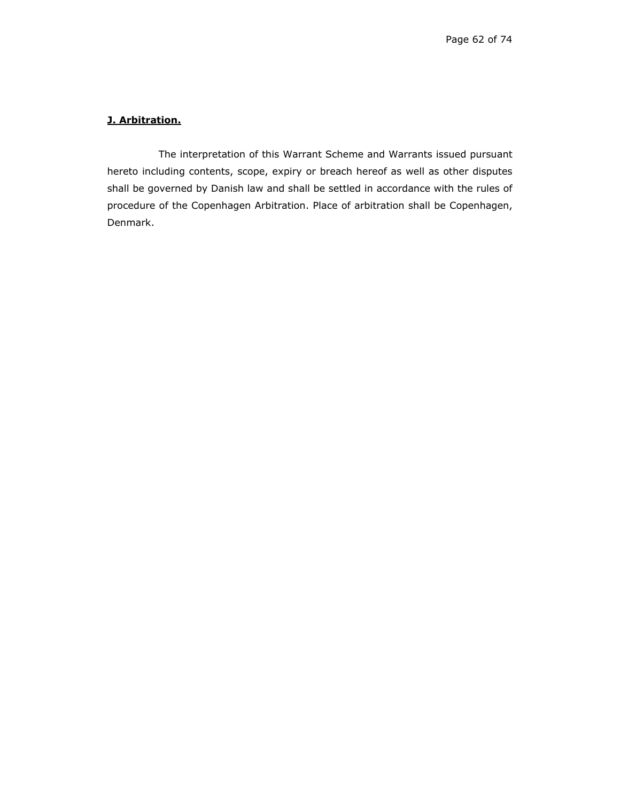# **J. Arbitration.**

The interpretation of this Warrant Scheme and Warrants issued pursuant hereto including contents, scope, expiry or breach hereof as well as other disputes shall be governed by Danish law and shall be settled in accordance with the rules of procedure of the Copenhagen Arbitration. Place of arbitration shall be Copenhagen, Denmark.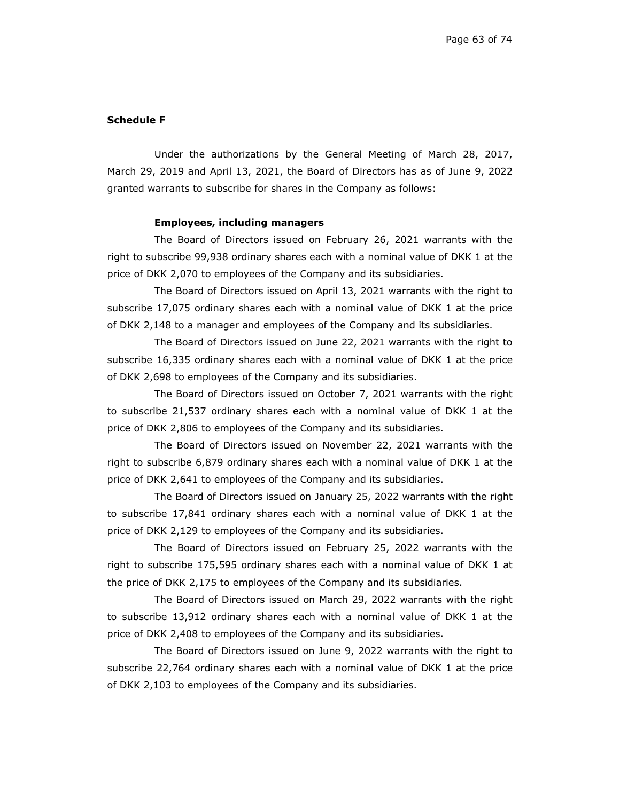#### **Schedule F**

Under the authorizations by the General Meeting of March 28, 2017, March 29, 2019 and April 13, 2021, the Board of Directors has as of June 9, 2022 granted warrants to subscribe for shares in the Company as follows:

## **Employees, including managers**

The Board of Directors issued on February 26, 2021 warrants with the right to subscribe 99,938 ordinary shares each with a nominal value of DKK 1 at the price of DKK 2,070 to employees of the Company and its subsidiaries.

The Board of Directors issued on April 13, 2021 warrants with the right to subscribe 17,075 ordinary shares each with a nominal value of DKK 1 at the price of DKK 2,148 to a manager and employees of the Company and its subsidiaries.

The Board of Directors issued on June 22, 2021 warrants with the right to subscribe 16,335 ordinary shares each with a nominal value of DKK 1 at the price of DKK 2,698 to employees of the Company and its subsidiaries.

The Board of Directors issued on October 7, 2021 warrants with the right to subscribe 21,537 ordinary shares each with a nominal value of DKK 1 at the price of DKK 2,806 to employees of the Company and its subsidiaries.

The Board of Directors issued on November 22, 2021 warrants with the right to subscribe 6,879 ordinary shares each with a nominal value of DKK 1 at the price of DKK 2,641 to employees of the Company and its subsidiaries.

The Board of Directors issued on January 25, 2022 warrants with the right to subscribe 17,841 ordinary shares each with a nominal value of DKK 1 at the price of DKK 2,129 to employees of the Company and its subsidiaries.

The Board of Directors issued on February 25, 2022 warrants with the right to subscribe 175,595 ordinary shares each with a nominal value of DKK 1 at the price of DKK 2,175 to employees of the Company and its subsidiaries.

The Board of Directors issued on March 29, 2022 warrants with the right to subscribe 13,912 ordinary shares each with a nominal value of DKK 1 at the price of DKK 2,408 to employees of the Company and its subsidiaries.

The Board of Directors issued on June 9, 2022 warrants with the right to subscribe 22,764 ordinary shares each with a nominal value of DKK 1 at the price of DKK 2,103 to employees of the Company and its subsidiaries.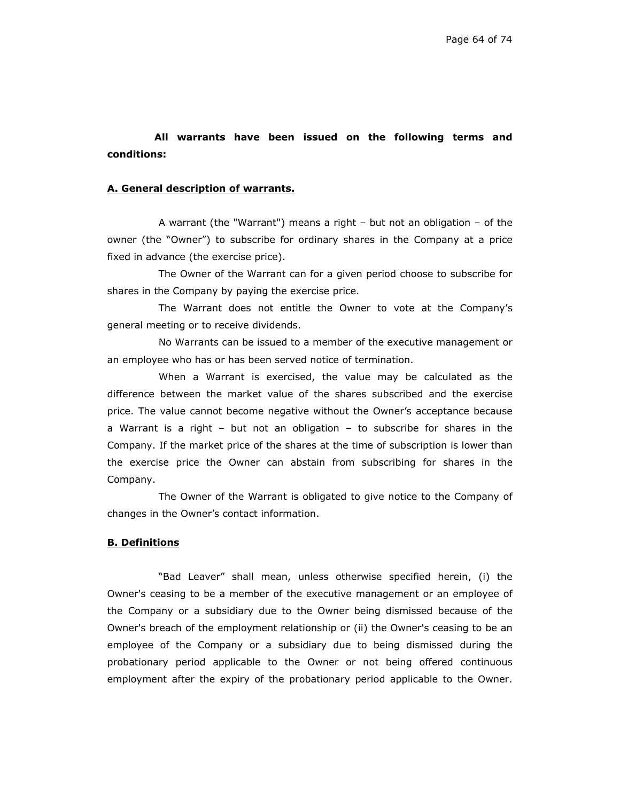# **All warrants have been issued on the following terms and conditions:**

## **A. General description of warrants.**

A warrant (the "Warrant") means a right – but not an obligation – of the owner (the "Owner") to subscribe for ordinary shares in the Company at a price fixed in advance (the exercise price).

The Owner of the Warrant can for a given period choose to subscribe for shares in the Company by paying the exercise price.

The Warrant does not entitle the Owner to vote at the Company's general meeting or to receive dividends.

No Warrants can be issued to a member of the executive management or an employee who has or has been served notice of termination.

When a Warrant is exercised, the value may be calculated as the difference between the market value of the shares subscribed and the exercise price. The value cannot become negative without the Owner's acceptance because a Warrant is a right – but not an obligation – to subscribe for shares in the Company. If the market price of the shares at the time of subscription is lower than the exercise price the Owner can abstain from subscribing for shares in the Company.

The Owner of the Warrant is obligated to give notice to the Company of changes in the Owner's contact information.

## **B. Definitions**

"Bad Leaver" shall mean, unless otherwise specified herein, (i) the Owner's ceasing to be a member of the executive management or an employee of the Company or a subsidiary due to the Owner being dismissed because of the Owner's breach of the employment relationship or (ii) the Owner's ceasing to be an employee of the Company or a subsidiary due to being dismissed during the probationary period applicable to the Owner or not being offered continuous employment after the expiry of the probationary period applicable to the Owner.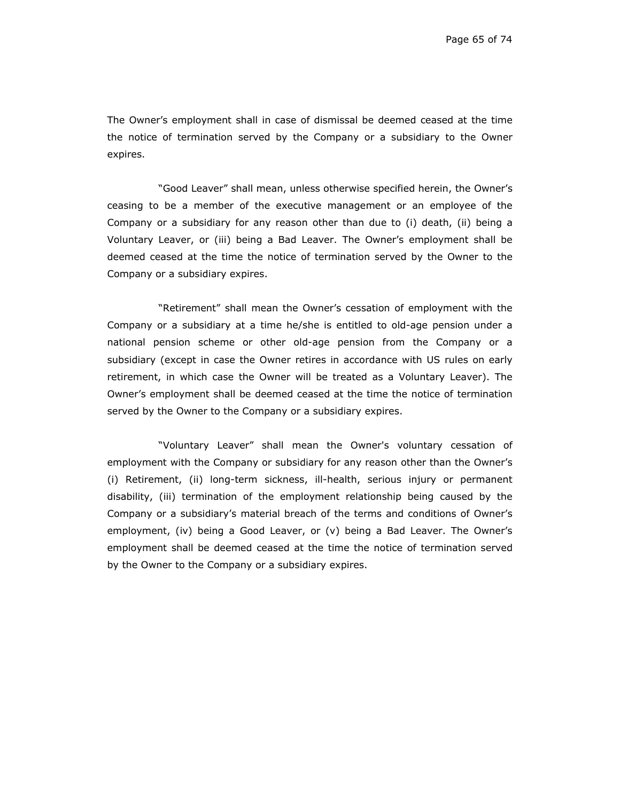The Owner's employment shall in case of dismissal be deemed ceased at the time the notice of termination served by the Company or a subsidiary to the Owner expires.

"Good Leaver" shall mean, unless otherwise specified herein, the Owner's ceasing to be a member of the executive management or an employee of the Company or a subsidiary for any reason other than due to (i) death, (ii) being a Voluntary Leaver, or (iii) being a Bad Leaver. The Owner's employment shall be deemed ceased at the time the notice of termination served by the Owner to the Company or a subsidiary expires.

"Retirement" shall mean the Owner's cessation of employment with the Company or a subsidiary at a time he/she is entitled to old-age pension under a national pension scheme or other old-age pension from the Company or a subsidiary (except in case the Owner retires in accordance with US rules on early retirement, in which case the Owner will be treated as a Voluntary Leaver). The Owner's employment shall be deemed ceased at the time the notice of termination served by the Owner to the Company or a subsidiary expires.

"Voluntary Leaver" shall mean the Owner's voluntary cessation of employment with the Company or subsidiary for any reason other than the Owner's (i) Retirement, (ii) long-term sickness, ill-health, serious injury or permanent disability, (iii) termination of the employment relationship being caused by the Company or a subsidiary's material breach of the terms and conditions of Owner's employment, (iv) being a Good Leaver, or (v) being a Bad Leaver. The Owner's employment shall be deemed ceased at the time the notice of termination served by the Owner to the Company or a subsidiary expires.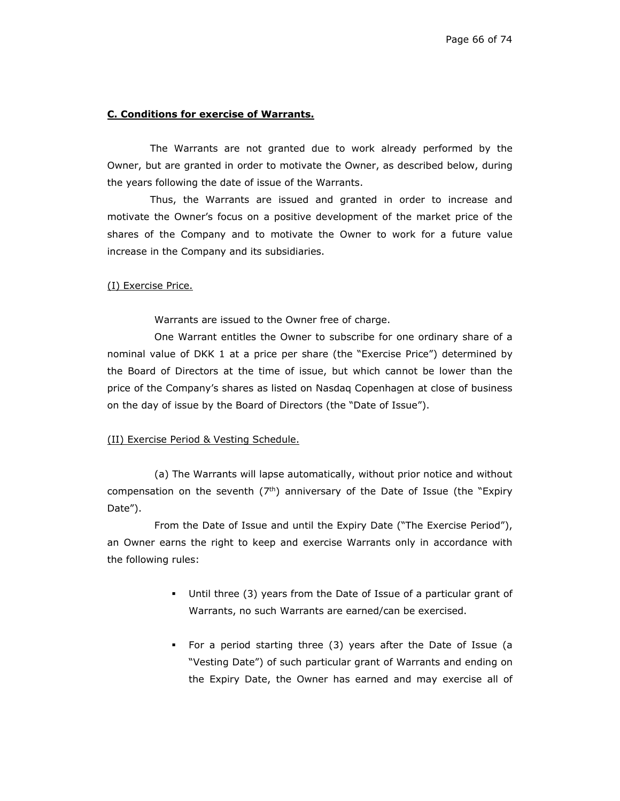### **C. Conditions for exercise of Warrants.**

The Warrants are not granted due to work already performed by the Owner, but are granted in order to motivate the Owner, as described below, during the years following the date of issue of the Warrants.

Thus, the Warrants are issued and granted in order to increase and motivate the Owner's focus on a positive development of the market price of the shares of the Company and to motivate the Owner to work for a future value increase in the Company and its subsidiaries.

#### (I) Exercise Price.

Warrants are issued to the Owner free of charge.

One Warrant entitles the Owner to subscribe for one ordinary share of a nominal value of DKK 1 at a price per share (the "Exercise Price") determined by the Board of Directors at the time of issue, but which cannot be lower than the price of the Company's shares as listed on Nasdaq Copenhagen at close of business on the day of issue by the Board of Directors (the "Date of Issue").

#### (II) Exercise Period & Vesting Schedule.

(a) The Warrants will lapse automatically, without prior notice and without compensation on the seventh  $(7<sup>th</sup>)$  anniversary of the Date of Issue (the "Expiry Date").

From the Date of Issue and until the Expiry Date ("The Exercise Period"), an Owner earns the right to keep and exercise Warrants only in accordance with the following rules:

- Until three (3) years from the Date of Issue of a particular grant of Warrants, no such Warrants are earned/can be exercised.
- For a period starting three (3) years after the Date of Issue (a "Vesting Date") of such particular grant of Warrants and ending on the Expiry Date, the Owner has earned and may exercise all of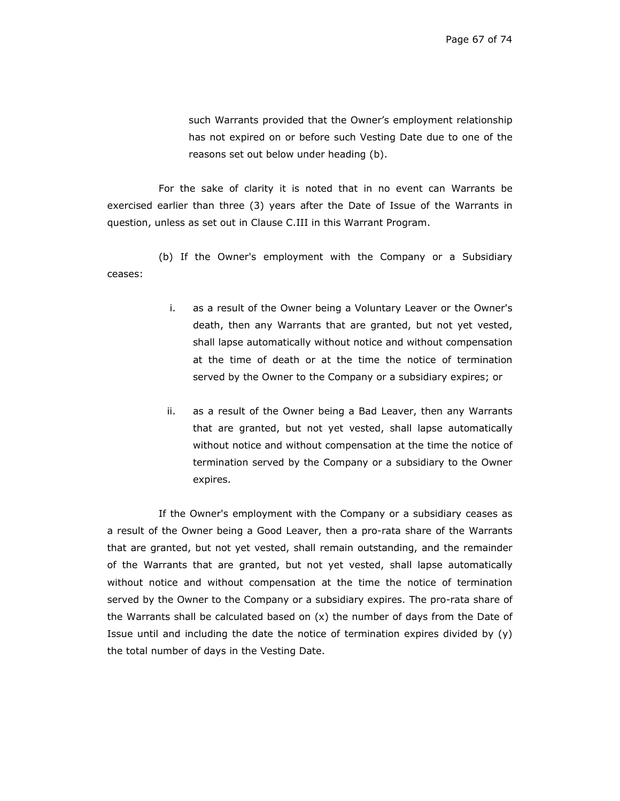such Warrants provided that the Owner's employment relationship has not expired on or before such Vesting Date due to one of the reasons set out below under heading (b).

For the sake of clarity it is noted that in no event can Warrants be exercised earlier than three (3) years after the Date of Issue of the Warrants in question, unless as set out in Clause C.III in this Warrant Program.

(b) If the Owner's employment with the Company or a Subsidiary ceases:

- i. as a result of the Owner being a Voluntary Leaver or the Owner's death, then any Warrants that are granted, but not yet vested, shall lapse automatically without notice and without compensation at the time of death or at the time the notice of termination served by the Owner to the Company or a subsidiary expires; or
- ii. as a result of the Owner being a Bad Leaver, then any Warrants that are granted, but not yet vested, shall lapse automatically without notice and without compensation at the time the notice of termination served by the Company or a subsidiary to the Owner expires.

If the Owner's employment with the Company or a subsidiary ceases as a result of the Owner being a Good Leaver, then a pro-rata share of the Warrants that are granted, but not yet vested, shall remain outstanding, and the remainder of the Warrants that are granted, but not yet vested, shall lapse automatically without notice and without compensation at the time the notice of termination served by the Owner to the Company or a subsidiary expires. The pro-rata share of the Warrants shall be calculated based on  $(x)$  the number of days from the Date of Issue until and including the date the notice of termination expires divided by  $(y)$ the total number of days in the Vesting Date.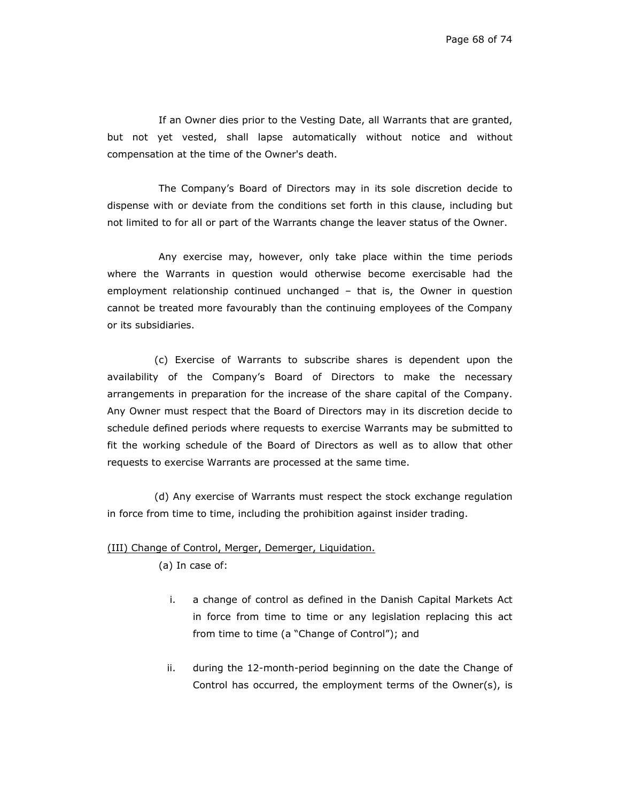If an Owner dies prior to the Vesting Date, all Warrants that are granted, but not yet vested, shall lapse automatically without notice and without compensation at the time of the Owner's death.

The Company's Board of Directors may in its sole discretion decide to dispense with or deviate from the conditions set forth in this clause, including but not limited to for all or part of the Warrants change the leaver status of the Owner.

Any exercise may, however, only take place within the time periods where the Warrants in question would otherwise become exercisable had the employment relationship continued unchanged – that is, the Owner in question cannot be treated more favourably than the continuing employees of the Company or its subsidiaries.

(c) Exercise of Warrants to subscribe shares is dependent upon the availability of the Company's Board of Directors to make the necessary arrangements in preparation for the increase of the share capital of the Company. Any Owner must respect that the Board of Directors may in its discretion decide to schedule defined periods where requests to exercise Warrants may be submitted to fit the working schedule of the Board of Directors as well as to allow that other requests to exercise Warrants are processed at the same time.

(d) Any exercise of Warrants must respect the stock exchange regulation in force from time to time, including the prohibition against insider trading.

# (III) Change of Control, Merger, Demerger, Liquidation.

(a) In case of:

- i. a change of control as defined in the Danish Capital Markets Act in force from time to time or any legislation replacing this act from time to time (a "Change of Control"); and
- ii. during the 12-month-period beginning on the date the Change of Control has occurred, the employment terms of the Owner(s), is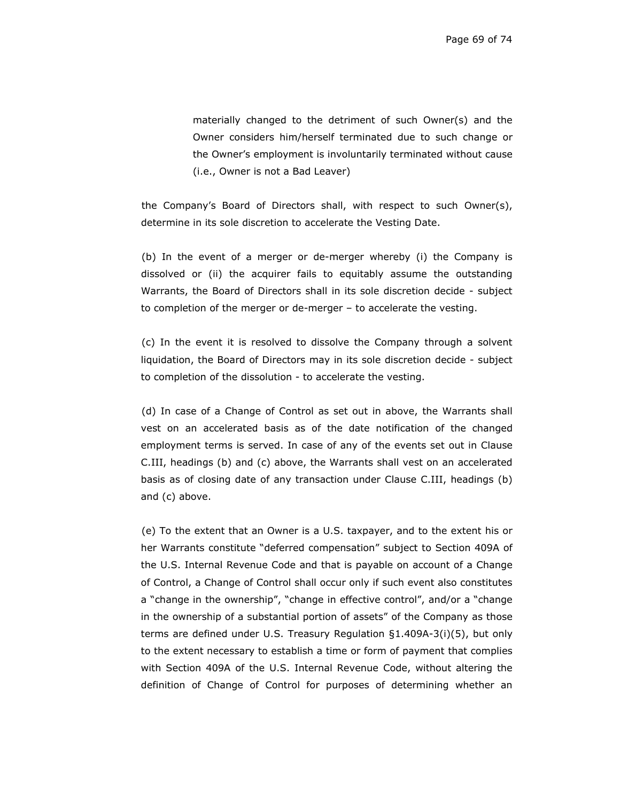materially changed to the detriment of such Owner(s) and the Owner considers him/herself terminated due to such change or the Owner's employment is involuntarily terminated without cause (i.e., Owner is not a Bad Leaver)

the Company's Board of Directors shall, with respect to such Owner(s), determine in its sole discretion to accelerate the Vesting Date.

(b) In the event of a merger or de-merger whereby (i) the Company is dissolved or (ii) the acquirer fails to equitably assume the outstanding Warrants, the Board of Directors shall in its sole discretion decide - subject to completion of the merger or de-merger – to accelerate the vesting.

(c) In the event it is resolved to dissolve the Company through a solvent liquidation, the Board of Directors may in its sole discretion decide - subject to completion of the dissolution - to accelerate the vesting.

(d) In case of a Change of Control as set out in above, the Warrants shall vest on an accelerated basis as of the date notification of the changed employment terms is served. In case of any of the events set out in Clause C.III, headings (b) and (c) above, the Warrants shall vest on an accelerated basis as of closing date of any transaction under Clause C.III, headings (b) and (c) above.

(e) To the extent that an Owner is a U.S. taxpayer, and to the extent his or her Warrants constitute "deferred compensation" subject to Section 409A of the U.S. Internal Revenue Code and that is payable on account of a Change of Control, a Change of Control shall occur only if such event also constitutes a "change in the ownership", "change in effective control", and/or a "change in the ownership of a substantial portion of assets" of the Company as those terms are defined under U.S. Treasury Regulation §1.409A-3(i)(5), but only to the extent necessary to establish a time or form of payment that complies with Section 409A of the U.S. Internal Revenue Code, without altering the definition of Change of Control for purposes of determining whether an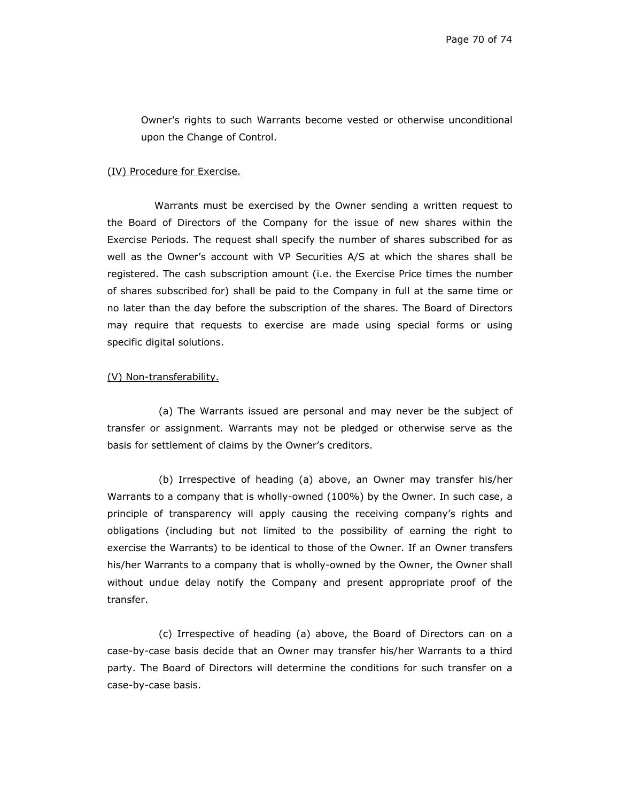Owner's rights to such Warrants become vested or otherwise unconditional upon the Change of Control.

#### (IV) Procedure for Exercise.

Warrants must be exercised by the Owner sending a written request to the Board of Directors of the Company for the issue of new shares within the Exercise Periods. The request shall specify the number of shares subscribed for as well as the Owner's account with VP Securities A/S at which the shares shall be registered. The cash subscription amount (i.e. the Exercise Price times the number of shares subscribed for) shall be paid to the Company in full at the same time or no later than the day before the subscription of the shares. The Board of Directors may require that requests to exercise are made using special forms or using specific digital solutions.

### (V) Non-transferability.

(a) The Warrants issued are personal and may never be the subject of transfer or assignment. Warrants may not be pledged or otherwise serve as the basis for settlement of claims by the Owner's creditors.

(b) Irrespective of heading (a) above, an Owner may transfer his/her Warrants to a company that is wholly-owned (100%) by the Owner. In such case, a principle of transparency will apply causing the receiving company's rights and obligations (including but not limited to the possibility of earning the right to exercise the Warrants) to be identical to those of the Owner. If an Owner transfers his/her Warrants to a company that is wholly-owned by the Owner, the Owner shall without undue delay notify the Company and present appropriate proof of the transfer.

(c) Irrespective of heading (a) above, the Board of Directors can on a case-by-case basis decide that an Owner may transfer his/her Warrants to a third party. The Board of Directors will determine the conditions for such transfer on a case-by-case basis.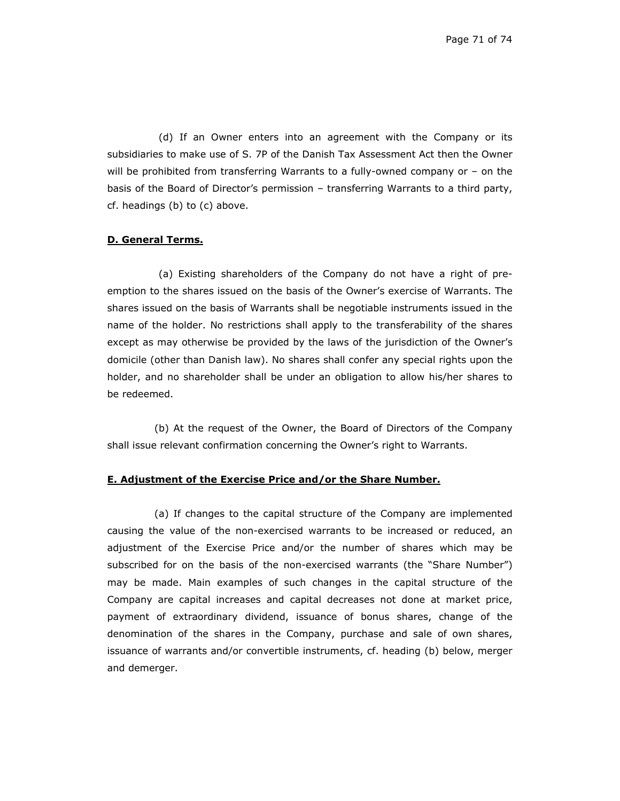(d) If an Owner enters into an agreement with the Company or its subsidiaries to make use of S. 7P of the Danish Tax Assessment Act then the Owner will be prohibited from transferring Warrants to a fully-owned company or – on the basis of the Board of Director's permission – transferring Warrants to a third party, cf. headings (b) to (c) above.

## **D. General Terms.**

(a) Existing shareholders of the Company do not have a right of preemption to the shares issued on the basis of the Owner's exercise of Warrants. The shares issued on the basis of Warrants shall be negotiable instruments issued in the name of the holder. No restrictions shall apply to the transferability of the shares except as may otherwise be provided by the laws of the jurisdiction of the Owner's domicile (other than Danish law). No shares shall confer any special rights upon the holder, and no shareholder shall be under an obligation to allow his/her shares to be redeemed.

(b) At the request of the Owner, the Board of Directors of the Company shall issue relevant confirmation concerning the Owner's right to Warrants.

## **E. Adjustment of the Exercise Price and/or the Share Number.**

(a) If changes to the capital structure of the Company are implemented causing the value of the non-exercised warrants to be increased or reduced, an adjustment of the Exercise Price and/or the number of shares which may be subscribed for on the basis of the non-exercised warrants (the "Share Number") may be made. Main examples of such changes in the capital structure of the Company are capital increases and capital decreases not done at market price, payment of extraordinary dividend, issuance of bonus shares, change of the denomination of the shares in the Company, purchase and sale of own shares, issuance of warrants and/or convertible instruments, cf. heading (b) below, merger and demerger.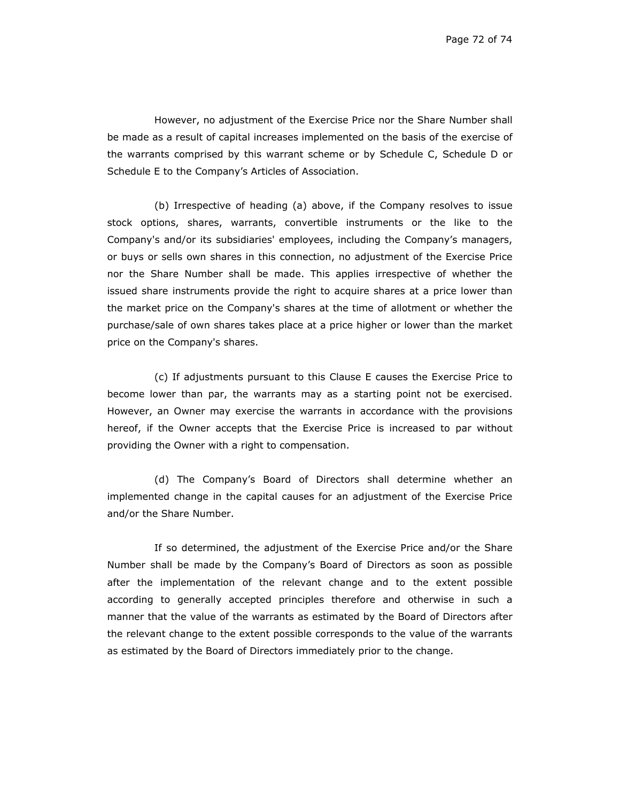However, no adjustment of the Exercise Price nor the Share Number shall be made as a result of capital increases implemented on the basis of the exercise of the warrants comprised by this warrant scheme or by Schedule C, Schedule D or Schedule E to the Company's Articles of Association.

(b) Irrespective of heading (a) above, if the Company resolves to issue stock options, shares, warrants, convertible instruments or the like to the Company's and/or its subsidiaries' employees, including the Company's managers, or buys or sells own shares in this connection, no adjustment of the Exercise Price nor the Share Number shall be made. This applies irrespective of whether the issued share instruments provide the right to acquire shares at a price lower than the market price on the Company's shares at the time of allotment or whether the purchase/sale of own shares takes place at a price higher or lower than the market price on the Company's shares.

(c) If adjustments pursuant to this Clause E causes the Exercise Price to become lower than par, the warrants may as a starting point not be exercised. However, an Owner may exercise the warrants in accordance with the provisions hereof, if the Owner accepts that the Exercise Price is increased to par without providing the Owner with a right to compensation.

(d) The Company's Board of Directors shall determine whether an implemented change in the capital causes for an adjustment of the Exercise Price and/or the Share Number.

If so determined, the adjustment of the Exercise Price and/or the Share Number shall be made by the Company's Board of Directors as soon as possible after the implementation of the relevant change and to the extent possible according to generally accepted principles therefore and otherwise in such a manner that the value of the warrants as estimated by the Board of Directors after the relevant change to the extent possible corresponds to the value of the warrants as estimated by the Board of Directors immediately prior to the change.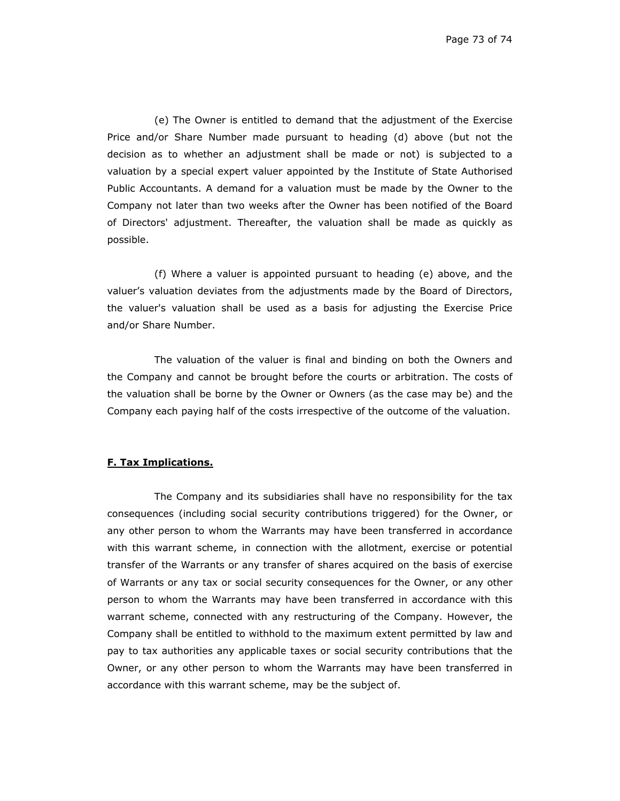(e) The Owner is entitled to demand that the adjustment of the Exercise Price and/or Share Number made pursuant to heading (d) above (but not the decision as to whether an adjustment shall be made or not) is subjected to a valuation by a special expert valuer appointed by the Institute of State Authorised Public Accountants. A demand for a valuation must be made by the Owner to the Company not later than two weeks after the Owner has been notified of the Board of Directors' adjustment. Thereafter, the valuation shall be made as quickly as possible.

(f) Where a valuer is appointed pursuant to heading (e) above, and the valuer's valuation deviates from the adjustments made by the Board of Directors, the valuer's valuation shall be used as a basis for adjusting the Exercise Price and/or Share Number.

The valuation of the valuer is final and binding on both the Owners and the Company and cannot be brought before the courts or arbitration. The costs of the valuation shall be borne by the Owner or Owners (as the case may be) and the Company each paying half of the costs irrespective of the outcome of the valuation.

## **F. Tax Implications.**

The Company and its subsidiaries shall have no responsibility for the tax consequences (including social security contributions triggered) for the Owner, or any other person to whom the Warrants may have been transferred in accordance with this warrant scheme, in connection with the allotment, exercise or potential transfer of the Warrants or any transfer of shares acquired on the basis of exercise of Warrants or any tax or social security consequences for the Owner, or any other person to whom the Warrants may have been transferred in accordance with this warrant scheme, connected with any restructuring of the Company. However, the Company shall be entitled to withhold to the maximum extent permitted by law and pay to tax authorities any applicable taxes or social security contributions that the Owner, or any other person to whom the Warrants may have been transferred in accordance with this warrant scheme, may be the subject of.